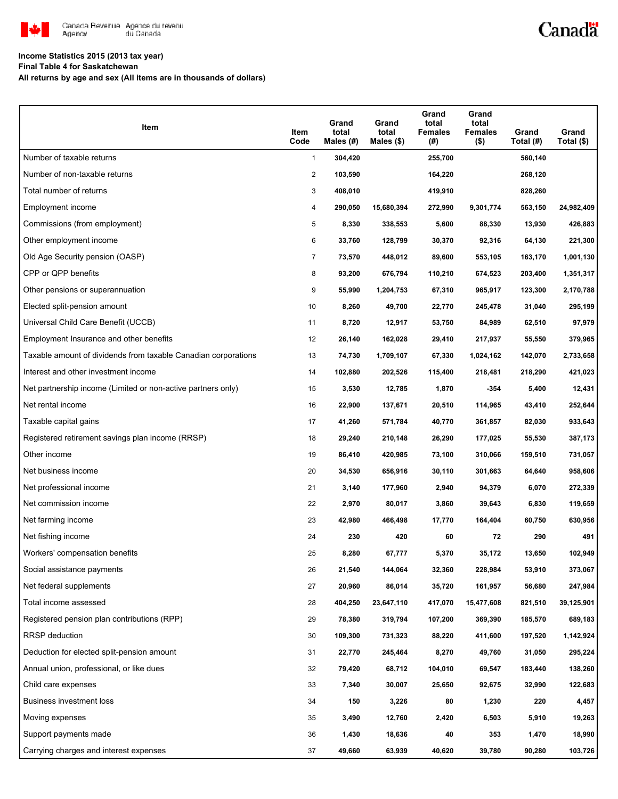

## Canadä

## **Income Statistics 2015 (2013 tax year)**

**Final Table 4 for Saskatchewan**

**All returns by age and sex (All items are in thousands of dollars)**

| Item                                                           | Item<br>Code | Grand<br>total<br>Males (#) | Grand<br>total<br>Males (\$) | Grand<br>total<br><b>Females</b><br>(#) | Grand<br>total<br><b>Females</b><br>$($ \$) | Grand<br>Total (#) | Grand<br>Total (\$) |
|----------------------------------------------------------------|--------------|-----------------------------|------------------------------|-----------------------------------------|---------------------------------------------|--------------------|---------------------|
| Number of taxable returns                                      | 1            | 304,420                     |                              | 255,700                                 |                                             | 560,140            |                     |
| Number of non-taxable returns                                  | 2            | 103,590                     |                              | 164,220                                 |                                             | 268,120            |                     |
| Total number of returns                                        | 3            | 408,010                     |                              | 419,910                                 |                                             | 828,260            |                     |
| Employment income                                              | 4            | 290,050                     | 15,680,394                   | 272,990                                 | 9,301,774                                   | 563,150            | 24,982,409          |
| Commissions (from employment)                                  | 5            | 8,330                       | 338,553                      | 5,600                                   | 88,330                                      | 13,930             | 426,883             |
| Other employment income                                        | 6            | 33,760                      | 128,799                      | 30,370                                  | 92,316                                      | 64,130             | 221,300             |
| Old Age Security pension (OASP)                                | 7            | 73,570                      | 448,012                      | 89,600                                  | 553,105                                     | 163,170            | 1,001,130           |
| CPP or QPP benefits                                            | 8            | 93,200                      | 676,794                      | 110,210                                 | 674,523                                     | 203,400            | 1,351,317           |
| Other pensions or superannuation                               | 9            | 55,990                      | 1,204,753                    | 67,310                                  | 965,917                                     | 123,300            | 2,170,788           |
| Elected split-pension amount                                   | 10           | 8,260                       | 49,700                       | 22,770                                  | 245,478                                     | 31,040             | 295,199             |
| Universal Child Care Benefit (UCCB)                            | 11           | 8,720                       | 12,917                       | 53,750                                  | 84,989                                      | 62,510             | 97,979              |
| Employment Insurance and other benefits                        | 12           | 26,140                      | 162,028                      | 29,410                                  | 217,937                                     | 55,550             | 379,965             |
| Taxable amount of dividends from taxable Canadian corporations | 13           | 74,730                      | 1,709,107                    | 67,330                                  | 1,024,162                                   | 142,070            | 2,733,658           |
| Interest and other investment income                           | 14           | 102,880                     | 202,526                      | 115,400                                 | 218,481                                     | 218,290            | 421,023             |
| Net partnership income (Limited or non-active partners only)   | 15           | 3,530                       | 12,785                       | 1,870                                   | $-354$                                      | 5,400              | 12,431              |
| Net rental income                                              | 16           | 22,900                      | 137,671                      | 20,510                                  | 114,965                                     | 43,410             | 252,644             |
| Taxable capital gains                                          | 17           | 41,260                      | 571,784                      | 40,770                                  | 361,857                                     | 82,030             | 933,643             |
| Registered retirement savings plan income (RRSP)               | 18           | 29,240                      | 210,148                      | 26,290                                  | 177,025                                     | 55,530             | 387,173             |
| Other income                                                   | 19           | 86,410                      | 420,985                      | 73,100                                  | 310,066                                     | 159,510            | 731,057             |
| Net business income                                            | 20           | 34,530                      | 656,916                      | 30,110                                  | 301,663                                     | 64,640             | 958,606             |
| Net professional income                                        | 21           | 3,140                       | 177,960                      | 2,940                                   | 94,379                                      | 6,070              | 272,339             |
| Net commission income                                          | 22           | 2,970                       | 80,017                       | 3,860                                   | 39,643                                      | 6,830              | 119,659             |
| Net farming income                                             | 23           | 42,980                      | 466,498                      | 17,770                                  | 164,404                                     | 60,750             | 630,956             |
| Net fishing income                                             | 24           | 230                         | 420                          | 60                                      | 72                                          | 290                | 491                 |
| Workers' compensation benefits                                 | 25           | 8,280                       | 67,777                       | 5,370                                   | 35,172                                      | 13,650             | 102,949             |
| Social assistance payments                                     | 26           | 21,540                      | 144,064                      | 32,360                                  | 228,984                                     | 53,910             | 373,067             |
| Net federal supplements                                        | 27           | 20,960                      | 86,014                       | 35,720                                  | 161,957                                     | 56,680             | 247,984             |
| Total income assessed                                          | 28           | 404,250                     | 23,647,110                   | 417,070                                 | 15,477,608                                  | 821,510            | 39,125,901          |
| Registered pension plan contributions (RPP)                    | 29           | 78,380                      | 319,794                      | 107,200                                 | 369,390                                     | 185,570            | 689,183             |
| <b>RRSP</b> deduction                                          | 30           | 109,300                     | 731,323                      | 88,220                                  | 411,600                                     | 197,520            | 1,142,924           |
| Deduction for elected split-pension amount                     | 31           | 22,770                      | 245,464                      | 8,270                                   | 49,760                                      | 31,050             | 295,224             |
| Annual union, professional, or like dues                       | 32           | 79,420                      | 68,712                       | 104,010                                 | 69,547                                      | 183,440            | 138,260             |
| Child care expenses                                            | 33           | 7,340                       | 30,007                       | 25,650                                  | 92,675                                      | 32,990             | 122,683             |
| Business investment loss                                       | 34           | 150                         | 3,226                        | 80                                      | 1,230                                       | 220                | 4,457               |
| Moving expenses                                                | 35           | 3,490                       | 12,760                       | 2,420                                   | 6,503                                       | 5,910              | 19,263              |
| Support payments made                                          | 36           | 1,430                       | 18,636                       | 40                                      | 353                                         | 1,470              | 18,990              |
| Carrying charges and interest expenses                         | 37           | 49,660                      | 63,939                       | 40,620                                  | 39,780                                      | 90,280             | 103,726             |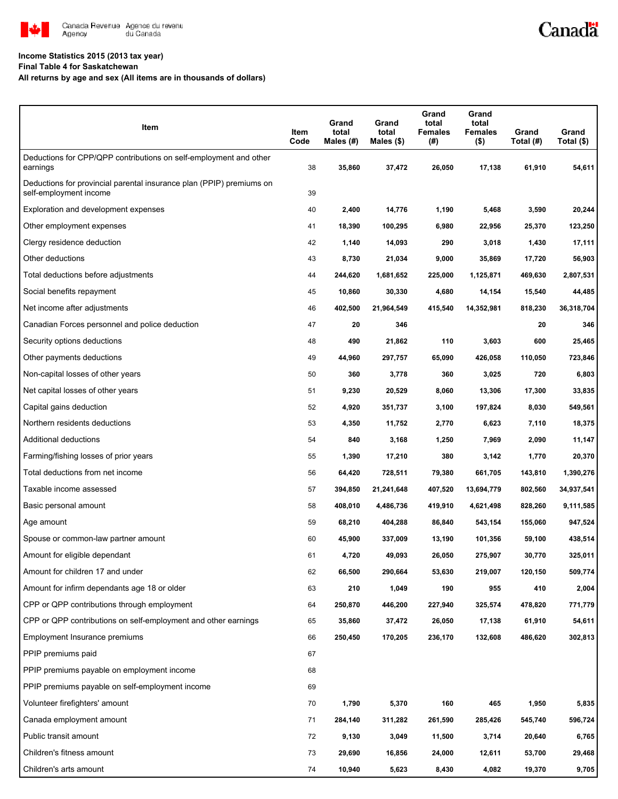

#### **Income Statistics 2015 (2013 tax year)**

**Final Table 4 for Saskatchewan**

**All returns by age and sex (All items are in thousands of dollars)**

| Item                                                                                           | Item<br>Code | Grand<br>total<br>Males (#) | Grand<br>total<br>Males $($)$ | Grand<br>total<br><b>Females</b><br>(#) | Grand<br>total<br>Females<br>$($ \$) | Grand<br>Total (#) | Grand<br>Total (\$) |
|------------------------------------------------------------------------------------------------|--------------|-----------------------------|-------------------------------|-----------------------------------------|--------------------------------------|--------------------|---------------------|
| Deductions for CPP/QPP contributions on self-employment and other<br>earnings                  | 38           | 35,860                      | 37,472                        | 26,050                                  | 17,138                               | 61,910             | 54,611              |
| Deductions for provincial parental insurance plan (PPIP) premiums on<br>self-employment income | 39           |                             |                               |                                         |                                      |                    |                     |
| Exploration and development expenses                                                           | 40           | 2,400                       | 14,776                        | 1,190                                   | 5,468                                | 3,590              | 20,244              |
| Other employment expenses                                                                      | 41           | 18,390                      | 100,295                       | 6,980                                   | 22,956                               | 25,370             | 123,250             |
| Clergy residence deduction                                                                     | 42           | 1,140                       | 14,093                        | 290                                     | 3,018                                | 1,430              | 17,111              |
| Other deductions                                                                               | 43           | 8,730                       | 21,034                        | 9,000                                   | 35,869                               | 17,720             | 56,903              |
| Total deductions before adjustments                                                            | 44           | 244,620                     | 1,681,652                     | 225,000                                 | 1,125,871                            | 469,630            | 2,807,531           |
| Social benefits repayment                                                                      | 45           | 10,860                      | 30,330                        | 4,680                                   | 14,154                               | 15,540             | 44,485              |
| Net income after adjustments                                                                   | 46           | 402,500                     | 21,964,549                    | 415,540                                 | 14,352,981                           | 818,230            | 36,318,704          |
| Canadian Forces personnel and police deduction                                                 | 47           | 20                          | 346                           |                                         |                                      | 20                 | 346                 |
| Security options deductions                                                                    | 48           | 490                         | 21,862                        | 110                                     | 3,603                                | 600                | 25,465              |
| Other payments deductions                                                                      | 49           | 44,960                      | 297,757                       | 65,090                                  | 426,058                              | 110,050            | 723,846             |
| Non-capital losses of other years                                                              | 50           | 360                         | 3,778                         | 360                                     | 3,025                                | 720                | 6,803               |
| Net capital losses of other years                                                              | 51           | 9,230                       | 20,529                        | 8,060                                   | 13,306                               | 17,300             | 33,835              |
| Capital gains deduction                                                                        | 52           | 4,920                       | 351,737                       | 3,100                                   | 197,824                              | 8,030              | 549,561             |
| Northern residents deductions                                                                  | 53           | 4,350                       | 11,752                        | 2,770                                   | 6,623                                | 7,110              | 18,375              |
| Additional deductions                                                                          | 54           | 840                         | 3,168                         | 1,250                                   | 7,969                                | 2,090              | 11,147              |
| Farming/fishing losses of prior years                                                          | 55           | 1,390                       | 17,210                        | 380                                     | 3,142                                | 1,770              | 20,370              |
| Total deductions from net income                                                               | 56           | 64,420                      | 728,511                       | 79,380                                  | 661,705                              | 143,810            | 1,390,276           |
| Taxable income assessed                                                                        | 57           | 394,850                     | 21,241,648                    | 407,520                                 | 13,694,779                           | 802,560            | 34,937,541          |
| Basic personal amount                                                                          | 58           | 408,010                     | 4,486,736                     | 419,910                                 | 4,621,498                            | 828,260            | 9,111,585           |
| Age amount                                                                                     | 59           | 68,210                      | 404,288                       | 86,840                                  | 543,154                              | 155,060            | 947,524             |
| Spouse or common-law partner amount                                                            | 60           | 45,900                      | 337,009                       | 13,190                                  | 101,356                              | 59,100             | 438,514             |
| Amount for eligible dependant                                                                  | 61           | 4,720                       | 49,093                        | 26,050                                  | 275,907                              | 30,770             | 325,011             |
| Amount for children 17 and under                                                               | 62           | 66,500                      | 290,664                       | 53,630                                  | 219,007                              | 120,150            | 509,774             |
| Amount for infirm dependants age 18 or older                                                   | 63           | 210                         | 1,049                         | 190                                     | 955                                  | 410                | 2,004               |
| CPP or QPP contributions through employment                                                    | 64           | 250,870                     | 446,200                       | 227,940                                 | 325,574                              | 478,820            | 771,779             |
| CPP or QPP contributions on self-employment and other earnings                                 | 65           | 35,860                      | 37,472                        | 26,050                                  | 17,138                               | 61,910             | 54,611              |
| Employment Insurance premiums                                                                  | 66           | 250,450                     | 170,205                       | 236,170                                 | 132,608                              | 486,620            | 302,813             |
| PPIP premiums paid                                                                             | 67           |                             |                               |                                         |                                      |                    |                     |
| PPIP premiums payable on employment income                                                     | 68           |                             |                               |                                         |                                      |                    |                     |
| PPIP premiums payable on self-employment income                                                | 69           |                             |                               |                                         |                                      |                    |                     |
| Volunteer firefighters' amount                                                                 | 70           | 1,790                       | 5,370                         | 160                                     | 465                                  | 1,950              | 5,835               |
| Canada employment amount                                                                       | 71           | 284,140                     | 311,282                       | 261,590                                 | 285,426                              | 545,740            | 596,724             |
| Public transit amount                                                                          | 72           | 9,130                       | 3,049                         | 11,500                                  | 3,714                                | 20,640             | 6,765               |
| Children's fitness amount                                                                      | 73           | 29,690                      | 16,856                        | 24,000                                  | 12,611                               | 53,700             | 29,468              |
| Children's arts amount                                                                         | 74           | 10,940                      | 5,623                         | 8,430                                   | 4,082                                | 19,370             | 9,705               |

Canadä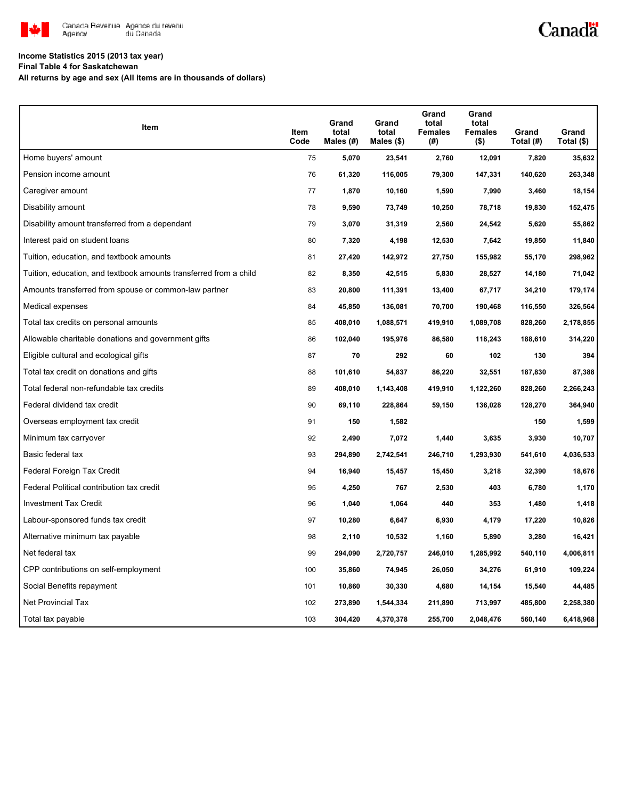

# Canadä

## **Income Statistics 2015 (2013 tax year)**

**Final Table 4 for Saskatchewan**

**All returns by age and sex (All items are in thousands of dollars)**

| Item                                                              | Item<br>Code | Grand<br>total<br>Males (#) | Grand<br>total<br>Males $($)$ | Grand<br>total<br><b>Females</b><br>(#) | Grand<br>total<br><b>Females</b><br>$($ \$) | Grand<br>Total (#) | Grand<br>Total (\$) |
|-------------------------------------------------------------------|--------------|-----------------------------|-------------------------------|-----------------------------------------|---------------------------------------------|--------------------|---------------------|
| Home buyers' amount                                               | 75           | 5,070                       | 23,541                        | 2,760                                   | 12,091                                      | 7,820              | 35,632              |
| Pension income amount                                             | 76           | 61,320                      | 116,005                       | 79,300                                  | 147,331                                     | 140,620            | 263,348             |
| Caregiver amount                                                  | 77           | 1,870                       | 10,160                        | 1,590                                   | 7,990                                       | 3,460              | 18,154              |
| Disability amount                                                 | 78           | 9,590                       | 73,749                        | 10,250                                  | 78,718                                      | 19,830             | 152,475             |
| Disability amount transferred from a dependant                    | 79           | 3,070                       | 31,319                        | 2,560                                   | 24,542                                      | 5,620              | 55,862              |
| Interest paid on student loans                                    | 80           | 7,320                       | 4,198                         | 12,530                                  | 7,642                                       | 19,850             | 11,840              |
| Tuition, education, and textbook amounts                          | 81           | 27,420                      | 142,972                       | 27,750                                  | 155,982                                     | 55,170             | 298,962             |
| Tuition, education, and textbook amounts transferred from a child | 82           | 8,350                       | 42,515                        | 5,830                                   | 28,527                                      | 14,180             | 71,042              |
| Amounts transferred from spouse or common-law partner             | 83           | 20,800                      | 111,391                       | 13,400                                  | 67,717                                      | 34,210             | 179,174             |
| Medical expenses                                                  | 84           | 45,850                      | 136,081                       | 70,700                                  | 190,468                                     | 116,550            | 326,564             |
| Total tax credits on personal amounts                             | 85           | 408,010                     | 1,088,571                     | 419,910                                 | 1,089,708                                   | 828,260            | 2,178,855           |
| Allowable charitable donations and government gifts               | 86           | 102,040                     | 195,976                       | 86,580                                  | 118,243                                     | 188,610            | 314,220             |
| Eligible cultural and ecological gifts                            | 87           | 70                          | 292                           | 60                                      | 102                                         | 130                | 394                 |
| Total tax credit on donations and gifts                           | 88           | 101,610                     | 54,837                        | 86,220                                  | 32,551                                      | 187,830            | 87,388              |
| Total federal non-refundable tax credits                          | 89           | 408,010                     | 1,143,408                     | 419,910                                 | 1,122,260                                   | 828,260            | 2,266,243           |
| Federal dividend tax credit                                       | 90           | 69,110                      | 228,864                       | 59,150                                  | 136,028                                     | 128,270            | 364,940             |
| Overseas employment tax credit                                    | 91           | 150                         | 1,582                         |                                         |                                             | 150                | 1,599               |
| Minimum tax carryover                                             | 92           | 2,490                       | 7,072                         | 1,440                                   | 3,635                                       | 3,930              | 10,707              |
| Basic federal tax                                                 | 93           | 294,890                     | 2,742,541                     | 246,710                                 | 1,293,930                                   | 541,610            | 4,036,533           |
| Federal Foreign Tax Credit                                        | 94           | 16,940                      | 15,457                        | 15,450                                  | 3,218                                       | 32,390             | 18,676              |
| Federal Political contribution tax credit                         | 95           | 4,250                       | 767                           | 2,530                                   | 403                                         | 6,780              | 1,170               |
| <b>Investment Tax Credit</b>                                      | 96           | 1,040                       | 1,064                         | 440                                     | 353                                         | 1,480              | 1,418               |
| Labour-sponsored funds tax credit                                 | 97           | 10,280                      | 6,647                         | 6,930                                   | 4,179                                       | 17,220             | 10,826              |
| Alternative minimum tax payable                                   | 98           | 2,110                       | 10,532                        | 1,160                                   | 5,890                                       | 3,280              | 16,421              |
| Net federal tax                                                   | 99           | 294,090                     | 2,720,757                     | 246,010                                 | 1,285,992                                   | 540,110            | 4,006,811           |
| CPP contributions on self-employment                              | 100          | 35,860                      | 74,945                        | 26,050                                  | 34,276                                      | 61,910             | 109,224             |
| Social Benefits repayment                                         | 101          | 10,860                      | 30,330                        | 4,680                                   | 14,154                                      | 15,540             | 44,485              |
| <b>Net Provincial Tax</b>                                         | 102          | 273,890                     | 1,544,334                     | 211,890                                 | 713,997                                     | 485,800            | 2,258,380           |
| Total tax payable                                                 | 103          | 304,420                     | 4,370,378                     | 255,700                                 | 2,048,476                                   | 560,140            | 6,418,968           |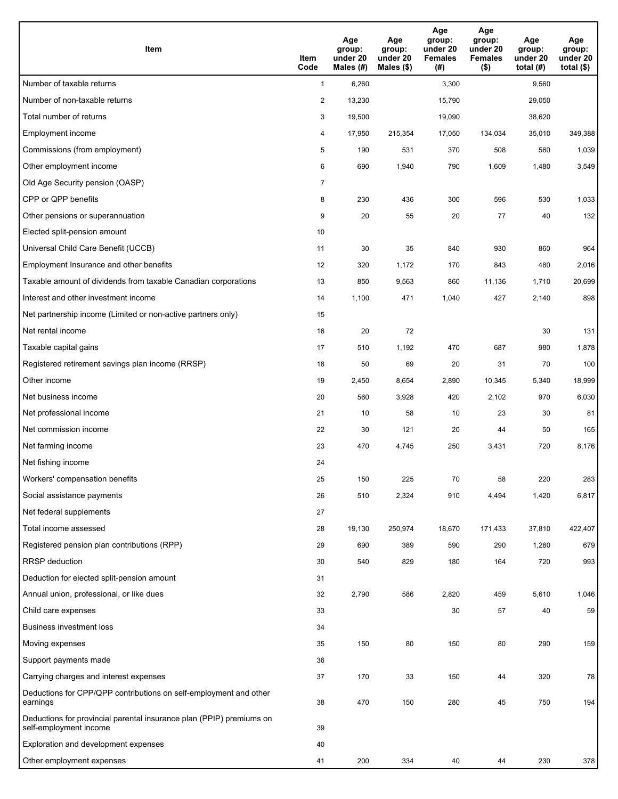| <b>Item</b>                                                                                    | Item<br>Code            | Age<br>group:<br>under 20<br>Males (#) | Age<br>group:<br>under 20<br>Males (\$) | Age<br>group:<br>under 20<br><b>Females</b><br>(#) | Age<br>group:<br>under 20<br><b>Females</b><br>$($ \$) | Age<br>group:<br>under 20<br>total $(H)$ | Age<br>group:<br>under 20<br>total $($)$ |
|------------------------------------------------------------------------------------------------|-------------------------|----------------------------------------|-----------------------------------------|----------------------------------------------------|--------------------------------------------------------|------------------------------------------|------------------------------------------|
| Number of taxable returns                                                                      | $\mathbf{1}$            | 6,260                                  |                                         | 3,300                                              |                                                        | 9,560                                    |                                          |
| Number of non-taxable returns                                                                  | $\overline{\mathbf{c}}$ | 13,230                                 |                                         | 15,790                                             |                                                        | 29,050                                   |                                          |
| Total number of returns                                                                        | 3                       | 19,500                                 |                                         | 19,090                                             |                                                        | 38,620                                   |                                          |
| Employment income                                                                              | 4                       | 17,950                                 | 215,354                                 | 17,050                                             | 134,034                                                | 35,010                                   | 349,388                                  |
| Commissions (from employment)                                                                  | 5                       | 190                                    | 531                                     | 370                                                | 508                                                    | 560                                      | 1,039                                    |
| Other employment income                                                                        | 6                       | 690                                    | 1,940                                   | 790                                                | 1,609                                                  | 1,480                                    | 3,549                                    |
| Old Age Security pension (OASP)                                                                | $\overline{7}$          |                                        |                                         |                                                    |                                                        |                                          |                                          |
| CPP or QPP benefits                                                                            | 8                       | 230                                    | 436                                     | 300                                                | 596                                                    | 530                                      | 1,033                                    |
| Other pensions or superannuation                                                               | 9                       | 20                                     | 55                                      | 20                                                 | 77                                                     | 40                                       | 132                                      |
| Elected split-pension amount                                                                   | 10                      |                                        |                                         |                                                    |                                                        |                                          |                                          |
| Universal Child Care Benefit (UCCB)                                                            | 11                      | 30                                     | 35                                      | 840                                                | 930                                                    | 860                                      | 964                                      |
| Employment Insurance and other benefits                                                        | 12                      | 320                                    | 1,172                                   | 170                                                | 843                                                    | 480                                      | 2,016                                    |
| Taxable amount of dividends from taxable Canadian corporations                                 | 13                      | 850                                    | 9,563                                   | 860                                                | 11,136                                                 | 1,710                                    | 20,699                                   |
| Interest and other investment income                                                           | 14                      | 1,100                                  | 471                                     | 1,040                                              | 427                                                    | 2,140                                    | 898                                      |
| Net partnership income (Limited or non-active partners only)                                   | 15                      |                                        |                                         |                                                    |                                                        |                                          |                                          |
| Net rental income                                                                              | 16                      | 20                                     | 72                                      |                                                    |                                                        | 30                                       | 131                                      |
| Taxable capital gains                                                                          | 17                      | 510                                    | 1,192                                   | 470                                                | 687                                                    | 980                                      | 1,878                                    |
| Registered retirement savings plan income (RRSP)                                               | 18                      | 50                                     | 69                                      | 20                                                 | 31                                                     | 70                                       | 100                                      |
| Other income                                                                                   | 19                      | 2,450                                  | 8,654                                   | 2,890                                              | 10,345                                                 | 5,340                                    | 18,999                                   |
| Net business income                                                                            | 20                      | 560                                    | 3,928                                   | 420                                                | 2,102                                                  | 970                                      | 6,030                                    |
| Net professional income                                                                        | 21                      | 10                                     | 58                                      | 10                                                 | 23                                                     | 30                                       | 81                                       |
| Net commission income                                                                          | 22                      | 30                                     | 121                                     | 20                                                 | 44                                                     | 50                                       | 165                                      |
| Net farming income                                                                             | 23                      | 470                                    | 4,745                                   | 250                                                | 3,431                                                  | 720                                      | 8,176                                    |
| Net fishing income                                                                             | 24                      |                                        |                                         |                                                    |                                                        |                                          |                                          |
| Workers' compensation benefits                                                                 | 25                      | 150                                    | 225                                     | 70                                                 | 58                                                     | 220                                      | 283                                      |
| Social assistance payments                                                                     | 26                      | 510                                    | 2,324                                   | 910                                                | 4,494                                                  | 1,420                                    | 6,817                                    |
| Net federal supplements                                                                        | 27                      |                                        |                                         |                                                    |                                                        |                                          |                                          |
| Total income assessed                                                                          | 28                      | 19,130                                 | 250,974                                 | 18,670                                             | 171,433                                                | 37,810                                   | 422,407                                  |
| Registered pension plan contributions (RPP)                                                    | 29                      | 690                                    | 389                                     | 590                                                | 290                                                    | 1,280                                    | 679                                      |
| RRSP deduction                                                                                 | 30                      | 540                                    | 829                                     | 180                                                | 164                                                    | 720                                      | 993                                      |
| Deduction for elected split-pension amount                                                     | 31                      |                                        |                                         |                                                    |                                                        |                                          |                                          |
| Annual union, professional, or like dues                                                       | 32                      | 2,790                                  | 586                                     | 2,820                                              | 459                                                    | 5,610                                    | 1,046                                    |
| Child care expenses                                                                            | 33                      |                                        |                                         | 30                                                 | 57                                                     | 40                                       | 59                                       |
| <b>Business investment loss</b>                                                                | 34                      |                                        |                                         |                                                    |                                                        |                                          |                                          |
| Moving expenses                                                                                | 35                      | 150                                    | 80                                      | 150                                                | 80                                                     | 290                                      | 159                                      |
| Support payments made                                                                          | 36                      |                                        |                                         |                                                    |                                                        |                                          |                                          |
| Carrying charges and interest expenses                                                         | 37                      | 170                                    | 33                                      | 150                                                | 44                                                     | 320                                      | 78                                       |
| Deductions for CPP/QPP contributions on self-employment and other<br>earnings                  | 38                      | 470                                    | 150                                     | 280                                                | 45                                                     | 750                                      | 194                                      |
| Deductions for provincial parental insurance plan (PPIP) premiums on<br>self-employment income | 39                      |                                        |                                         |                                                    |                                                        |                                          |                                          |
| Exploration and development expenses                                                           | 40                      |                                        |                                         |                                                    |                                                        |                                          |                                          |
| Other employment expenses                                                                      | 41                      | 200                                    | 334                                     | 40                                                 | 44                                                     | 230                                      | 378                                      |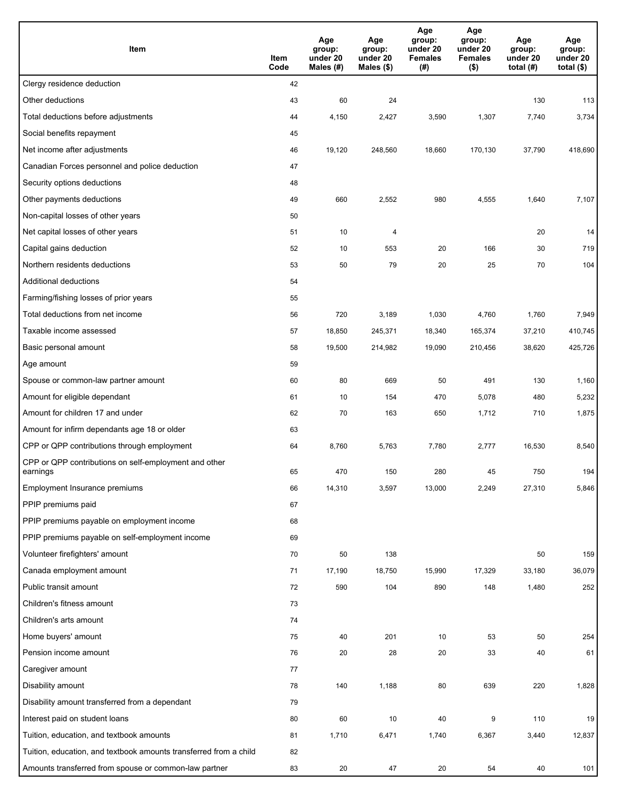| Item                                                              | Item<br>Code | Age<br>group:<br>under 20<br>Males (#) | Age<br>group:<br>under 20<br>Males (\$) | Age<br>group:<br>under 20<br><b>Females</b><br>(# ) | Age<br>group:<br>under 20<br><b>Females</b><br>$($ \$) | Age<br>group:<br>under 20<br>total $(H)$ | Age<br>group:<br>under 20<br>total $($)$ |
|-------------------------------------------------------------------|--------------|----------------------------------------|-----------------------------------------|-----------------------------------------------------|--------------------------------------------------------|------------------------------------------|------------------------------------------|
| Clergy residence deduction                                        | 42           |                                        |                                         |                                                     |                                                        |                                          |                                          |
| Other deductions                                                  | 43           | 60                                     | 24                                      |                                                     |                                                        | 130                                      | 113                                      |
| Total deductions before adjustments                               | 44           | 4,150                                  | 2,427                                   | 3,590                                               | 1,307                                                  | 7,740                                    | 3,734                                    |
| Social benefits repayment                                         | 45           |                                        |                                         |                                                     |                                                        |                                          |                                          |
| Net income after adjustments                                      | 46           | 19,120                                 | 248,560                                 | 18,660                                              | 170,130                                                | 37,790                                   | 418,690                                  |
| Canadian Forces personnel and police deduction                    | 47           |                                        |                                         |                                                     |                                                        |                                          |                                          |
| Security options deductions                                       | 48           |                                        |                                         |                                                     |                                                        |                                          |                                          |
| Other payments deductions                                         | 49           | 660                                    | 2,552                                   | 980                                                 | 4,555                                                  | 1,640                                    | 7,107                                    |
| Non-capital losses of other years                                 | 50           |                                        |                                         |                                                     |                                                        |                                          |                                          |
| Net capital losses of other years                                 | 51           | 10                                     | 4                                       |                                                     |                                                        | 20                                       | 14                                       |
| Capital gains deduction                                           | 52           | 10                                     | 553                                     | 20                                                  | 166                                                    | 30                                       | 719                                      |
| Northern residents deductions                                     | 53           | 50                                     | 79                                      | 20                                                  | 25                                                     | 70                                       | 104                                      |
| Additional deductions                                             | 54           |                                        |                                         |                                                     |                                                        |                                          |                                          |
| Farming/fishing losses of prior years                             | 55           |                                        |                                         |                                                     |                                                        |                                          |                                          |
| Total deductions from net income                                  | 56           | 720                                    | 3,189                                   | 1,030                                               | 4,760                                                  | 1,760                                    | 7,949                                    |
| Taxable income assessed                                           | 57           | 18,850                                 | 245,371                                 | 18,340                                              | 165,374                                                | 37,210                                   | 410,745                                  |
| Basic personal amount                                             | 58           | 19,500                                 | 214,982                                 | 19,090                                              | 210,456                                                | 38,620                                   | 425,726                                  |
| Age amount                                                        | 59           |                                        |                                         |                                                     |                                                        |                                          |                                          |
| Spouse or common-law partner amount                               | 60           | 80                                     | 669                                     | 50                                                  | 491                                                    | 130                                      | 1,160                                    |
| Amount for eligible dependant                                     | 61           | 10                                     | 154                                     | 470                                                 | 5,078                                                  | 480                                      | 5,232                                    |
| Amount for children 17 and under                                  | 62           | 70                                     | 163                                     | 650                                                 | 1,712                                                  | 710                                      | 1,875                                    |
| Amount for infirm dependants age 18 or older                      | 63           |                                        |                                         |                                                     |                                                        |                                          |                                          |
| CPP or QPP contributions through employment                       | 64           | 8,760                                  | 5,763                                   | 7,780                                               | 2,777                                                  | 16,530                                   | 8,540                                    |
| CPP or QPP contributions on self-employment and other<br>earnings | 65           | 470                                    | 150                                     | 280                                                 | 45                                                     | 750                                      | 194                                      |
| Employment Insurance premiums                                     | 66           | 14,310                                 | 3,597                                   | 13,000                                              | 2,249                                                  | 27,310                                   | 5,846                                    |
| PPIP premiums paid                                                | 67           |                                        |                                         |                                                     |                                                        |                                          |                                          |
| PPIP premiums payable on employment income                        | 68           |                                        |                                         |                                                     |                                                        |                                          |                                          |
| PPIP premiums payable on self-employment income                   | 69           |                                        |                                         |                                                     |                                                        |                                          |                                          |
| Volunteer firefighters' amount                                    | 70           | 50                                     | 138                                     |                                                     |                                                        | 50                                       | 159                                      |
| Canada employment amount                                          | 71           | 17,190                                 | 18,750                                  | 15,990                                              | 17,329                                                 | 33,180                                   | 36,079                                   |
| Public transit amount                                             | 72           | 590                                    | 104                                     | 890                                                 | 148                                                    | 1,480                                    | 252                                      |
| Children's fitness amount                                         | 73           |                                        |                                         |                                                     |                                                        |                                          |                                          |
| Children's arts amount                                            | 74           |                                        |                                         |                                                     |                                                        |                                          |                                          |
| Home buyers' amount                                               | 75           | 40                                     | 201                                     | 10                                                  | 53                                                     | 50                                       | 254                                      |
| Pension income amount                                             | 76           | 20                                     | 28                                      | 20                                                  | 33                                                     | 40                                       | 61                                       |
| Caregiver amount                                                  | 77           |                                        |                                         |                                                     |                                                        |                                          |                                          |
| Disability amount                                                 | 78           | 140                                    | 1,188                                   | 80                                                  | 639                                                    | 220                                      | 1,828                                    |
| Disability amount transferred from a dependant                    | 79           |                                        |                                         |                                                     |                                                        |                                          |                                          |
| Interest paid on student loans                                    | 80           | 60                                     | 10                                      | 40                                                  | 9                                                      | 110                                      | 19                                       |
| Tuition, education, and textbook amounts                          | 81           | 1,710                                  | 6,471                                   | 1,740                                               | 6,367                                                  | 3,440                                    | 12,837                                   |
| Tuition, education, and textbook amounts transferred from a child | 82           |                                        |                                         |                                                     |                                                        |                                          |                                          |
| Amounts transferred from spouse or common-law partner             | 83           | 20                                     | 47                                      | 20                                                  | 54                                                     | 40                                       | 101                                      |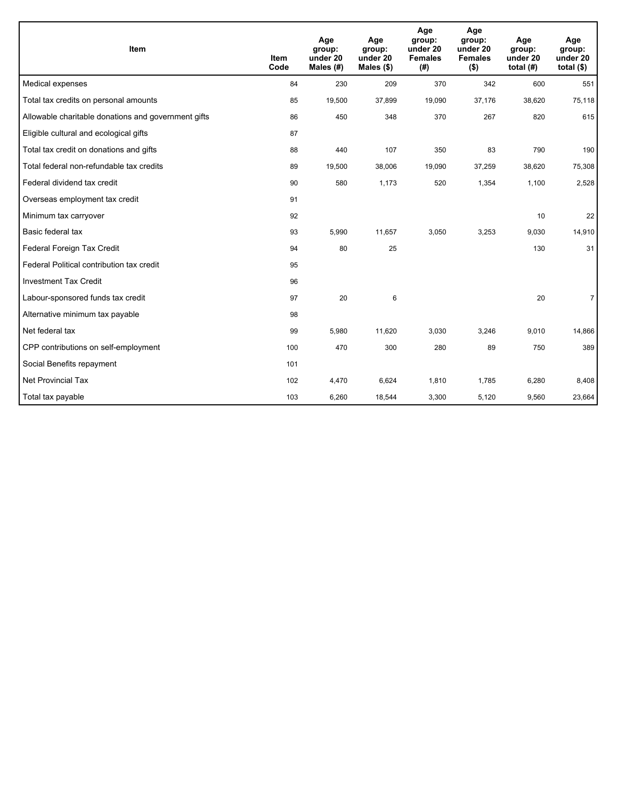| Item                                                | <b>Item</b><br>Code | Age<br>group:<br>under 20<br>Males (#) | Age<br>group:<br>under 20<br>Males $(\$)$ | Age<br>group:<br>under 20<br><b>Females</b><br>(# ) | Age<br>group:<br>under 20<br><b>Females</b><br>$($ \$) | Age<br>group:<br>under 20<br>total $(H)$ | Age<br>group:<br>under 20<br>total $(§)$ |
|-----------------------------------------------------|---------------------|----------------------------------------|-------------------------------------------|-----------------------------------------------------|--------------------------------------------------------|------------------------------------------|------------------------------------------|
| Medical expenses                                    | 84                  | 230                                    | 209                                       | 370                                                 | 342                                                    | 600                                      | 551                                      |
| Total tax credits on personal amounts               | 85                  | 19,500                                 | 37,899                                    | 19,090                                              | 37,176                                                 | 38,620                                   | 75,118                                   |
| Allowable charitable donations and government gifts | 86                  | 450                                    | 348                                       | 370                                                 | 267                                                    | 820                                      | 615                                      |
| Eligible cultural and ecological gifts              | 87                  |                                        |                                           |                                                     |                                                        |                                          |                                          |
| Total tax credit on donations and gifts             | 88                  | 440                                    | 107                                       | 350                                                 | 83                                                     | 790                                      | 190                                      |
| Total federal non-refundable tax credits            | 89                  | 19,500                                 | 38,006                                    | 19,090                                              | 37,259                                                 | 38,620                                   | 75,308                                   |
| Federal dividend tax credit                         | 90                  | 580                                    | 1,173                                     | 520                                                 | 1,354                                                  | 1,100                                    | 2,528                                    |
| Overseas employment tax credit                      | 91                  |                                        |                                           |                                                     |                                                        |                                          |                                          |
| Minimum tax carryover                               | 92                  |                                        |                                           |                                                     |                                                        | 10                                       | 22                                       |
| Basic federal tax                                   | 93                  | 5,990                                  | 11,657                                    | 3,050                                               | 3,253                                                  | 9,030                                    | 14,910                                   |
| Federal Foreign Tax Credit                          | 94                  | 80                                     | 25                                        |                                                     |                                                        | 130                                      | 31                                       |
| Federal Political contribution tax credit           | 95                  |                                        |                                           |                                                     |                                                        |                                          |                                          |
| <b>Investment Tax Credit</b>                        | 96                  |                                        |                                           |                                                     |                                                        |                                          |                                          |
| Labour-sponsored funds tax credit                   | 97                  | 20                                     | 6                                         |                                                     |                                                        | 20                                       | $\overline{7}$                           |
| Alternative minimum tax payable                     | 98                  |                                        |                                           |                                                     |                                                        |                                          |                                          |
| Net federal tax                                     | 99                  | 5,980                                  | 11,620                                    | 3,030                                               | 3,246                                                  | 9,010                                    | 14,866                                   |
| CPP contributions on self-employment                | 100                 | 470                                    | 300                                       | 280                                                 | 89                                                     | 750                                      | 389                                      |
| Social Benefits repayment                           | 101                 |                                        |                                           |                                                     |                                                        |                                          |                                          |
| Net Provincial Tax                                  | 102                 | 4,470                                  | 6,624                                     | 1,810                                               | 1,785                                                  | 6,280                                    | 8,408                                    |
| Total tax payable                                   | 103                 | 6,260                                  | 18,544                                    | 3,300                                               | 5,120                                                  | 9,560                                    | 23,664                                   |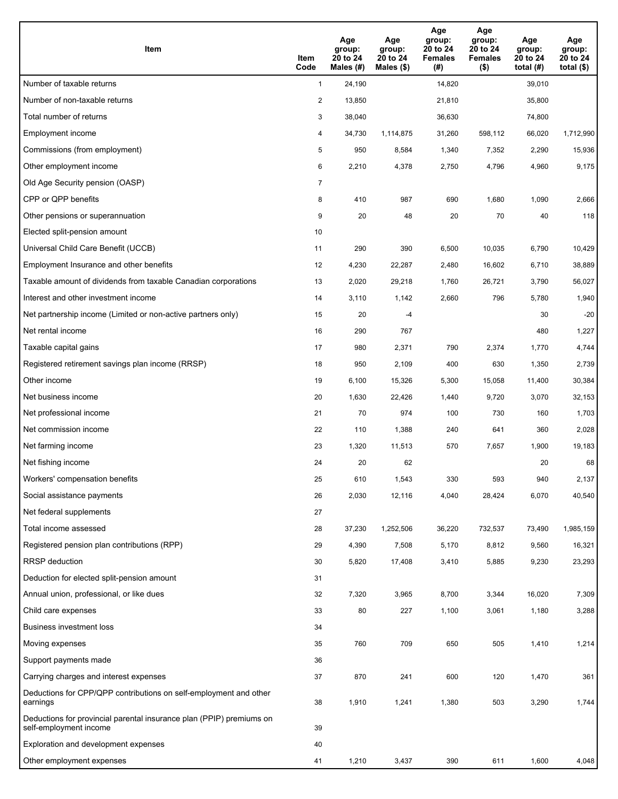| Item                                                                                           | Item<br>Code   | Age<br>group:<br>20 to 24<br>Males (#) | Age<br>group:<br>20 to 24<br>Males $(\$)$ | Age<br>group:<br>20 to 24<br><b>Females</b><br>(#) | Age<br>group:<br>20 to 24<br><b>Females</b><br>$($ \$) | Age<br>group:<br>20 to 24<br>total $(H)$ | Age<br>group:<br>20 to 24<br>total $($ |
|------------------------------------------------------------------------------------------------|----------------|----------------------------------------|-------------------------------------------|----------------------------------------------------|--------------------------------------------------------|------------------------------------------|----------------------------------------|
| Number of taxable returns                                                                      | $\mathbf{1}$   | 24,190                                 |                                           | 14,820                                             |                                                        | 39,010                                   |                                        |
| Number of non-taxable returns                                                                  | $\overline{a}$ | 13,850                                 |                                           | 21,810                                             |                                                        | 35,800                                   |                                        |
| Total number of returns                                                                        | 3              | 38,040                                 |                                           | 36,630                                             |                                                        | 74,800                                   |                                        |
| Employment income                                                                              | 4              | 34,730                                 | 1.114.875                                 | 31,260                                             | 598,112                                                | 66,020                                   | 1,712,990                              |
| Commissions (from employment)                                                                  | 5              | 950                                    | 8,584                                     | 1,340                                              | 7,352                                                  | 2,290                                    | 15,936                                 |
| Other employment income                                                                        | 6              | 2,210                                  | 4,378                                     | 2,750                                              | 4,796                                                  | 4,960                                    | 9,175                                  |
| Old Age Security pension (OASP)                                                                | 7              |                                        |                                           |                                                    |                                                        |                                          |                                        |
| CPP or QPP benefits                                                                            | 8              | 410                                    | 987                                       | 690                                                | 1,680                                                  | 1,090                                    | 2,666                                  |
| Other pensions or superannuation                                                               | 9              | 20                                     | 48                                        | 20                                                 | 70                                                     | 40                                       | 118                                    |
| Elected split-pension amount                                                                   | 10             |                                        |                                           |                                                    |                                                        |                                          |                                        |
| Universal Child Care Benefit (UCCB)                                                            | 11             | 290                                    | 390                                       | 6,500                                              | 10,035                                                 | 6,790                                    | 10,429                                 |
| Employment Insurance and other benefits                                                        | 12             | 4,230                                  | 22,287                                    | 2,480                                              | 16,602                                                 | 6,710                                    | 38,889                                 |
| Taxable amount of dividends from taxable Canadian corporations                                 | 13             | 2,020                                  | 29,218                                    | 1,760                                              | 26,721                                                 | 3,790                                    | 56,027                                 |
| Interest and other investment income                                                           | 14             | 3,110                                  | 1,142                                     | 2,660                                              | 796                                                    | 5,780                                    | 1,940                                  |
| Net partnership income (Limited or non-active partners only)                                   | 15             | 20                                     | $-4$                                      |                                                    |                                                        | 30                                       | $-20$                                  |
| Net rental income                                                                              | 16             | 290                                    | 767                                       |                                                    |                                                        | 480                                      | 1,227                                  |
| Taxable capital gains                                                                          | 17             | 980                                    | 2,371                                     | 790                                                | 2,374                                                  | 1,770                                    | 4,744                                  |
| Registered retirement savings plan income (RRSP)                                               | 18             | 950                                    | 2,109                                     | 400                                                | 630                                                    | 1,350                                    | 2,739                                  |
| Other income                                                                                   | 19             | 6,100                                  | 15,326                                    | 5,300                                              | 15,058                                                 | 11,400                                   | 30,384                                 |
| Net business income                                                                            | 20             | 1,630                                  | 22,426                                    | 1,440                                              | 9,720                                                  | 3,070                                    | 32,153                                 |
| Net professional income                                                                        | 21             | 70                                     | 974                                       | 100                                                | 730                                                    | 160                                      | 1,703                                  |
| Net commission income                                                                          | 22             | 110                                    | 1,388                                     | 240                                                | 641                                                    | 360                                      | 2,028                                  |
| Net farming income                                                                             | 23             | 1,320                                  | 11,513                                    | 570                                                | 7,657                                                  | 1,900                                    | 19,183                                 |
| Net fishing income                                                                             | 24             | 20                                     | 62                                        |                                                    |                                                        | 20                                       | 68                                     |
| Workers' compensation benefits                                                                 | 25             | 610                                    | 1,543                                     | 330                                                | 593                                                    | 940                                      | 2,137                                  |
| Social assistance payments                                                                     | 26             | 2,030                                  | 12,116                                    | 4,040                                              | 28,424                                                 | 6,070                                    | 40,540                                 |
| Net federal supplements                                                                        | 27             |                                        |                                           |                                                    |                                                        |                                          |                                        |
| Total income assessed                                                                          | 28             | 37,230                                 | 1,252,506                                 | 36,220                                             | 732,537                                                | 73,490                                   | 1,985,159                              |
| Registered pension plan contributions (RPP)                                                    | 29             | 4,390                                  | 7,508                                     | 5,170                                              | 8,812                                                  | 9,560                                    | 16,321                                 |
| <b>RRSP</b> deduction                                                                          | 30             | 5,820                                  | 17,408                                    | 3,410                                              | 5,885                                                  | 9,230                                    | 23,293                                 |
| Deduction for elected split-pension amount                                                     | 31             |                                        |                                           |                                                    |                                                        |                                          |                                        |
| Annual union, professional, or like dues                                                       | 32             | 7,320                                  | 3,965                                     | 8,700                                              | 3,344                                                  | 16,020                                   | 7,309                                  |
| Child care expenses                                                                            | 33             | 80                                     | 227                                       | 1,100                                              | 3,061                                                  | 1,180                                    | 3,288                                  |
| Business investment loss                                                                       | 34             |                                        |                                           |                                                    |                                                        |                                          |                                        |
| Moving expenses                                                                                | 35             | 760                                    | 709                                       | 650                                                | 505                                                    | 1,410                                    | 1,214                                  |
| Support payments made                                                                          | 36             |                                        |                                           |                                                    |                                                        |                                          |                                        |
| Carrying charges and interest expenses                                                         | 37             | 870                                    | 241                                       | 600                                                | 120                                                    | 1,470                                    | 361                                    |
| Deductions for CPP/QPP contributions on self-employment and other<br>earnings                  | 38             | 1,910                                  | 1,241                                     | 1,380                                              | 503                                                    | 3,290                                    | 1,744                                  |
| Deductions for provincial parental insurance plan (PPIP) premiums on<br>self-employment income | 39             |                                        |                                           |                                                    |                                                        |                                          |                                        |
| Exploration and development expenses                                                           | 40             |                                        |                                           |                                                    |                                                        |                                          |                                        |
| Other employment expenses                                                                      | 41             | 1,210                                  | 3,437                                     | 390                                                | 611                                                    | 1,600                                    | 4,048                                  |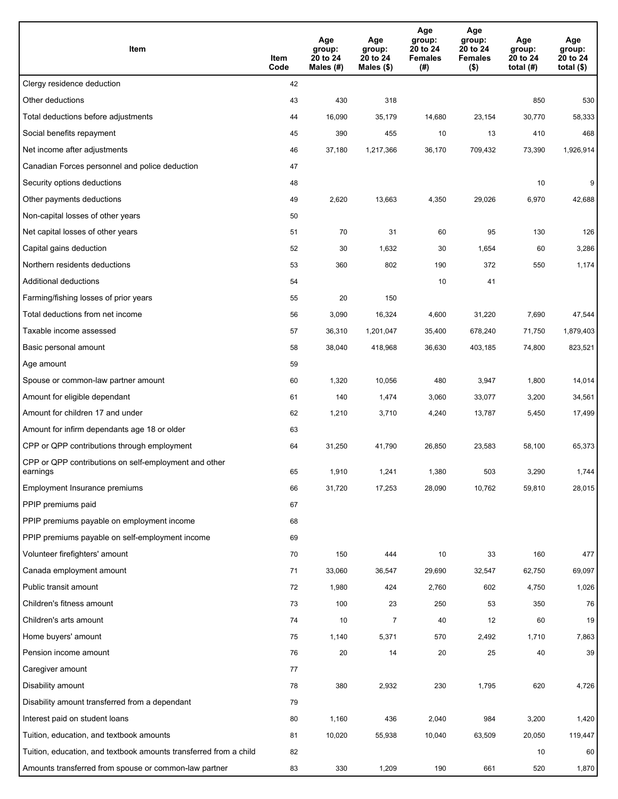| Item                                                              | Item<br>Code | Age<br>group:<br>20 to 24<br>Males (#) | Age<br>group:<br>20 to 24<br>Males (\$) | Age<br>group:<br>20 to 24<br><b>Females</b><br>(#) | Age<br>group:<br>20 to 24<br><b>Females</b><br>$($ \$) | Age<br>group:<br>20 to 24<br>total $(H)$ | Age<br>group:<br>20 to 24<br>total $($)$ |
|-------------------------------------------------------------------|--------------|----------------------------------------|-----------------------------------------|----------------------------------------------------|--------------------------------------------------------|------------------------------------------|------------------------------------------|
| Clergy residence deduction                                        | 42           |                                        |                                         |                                                    |                                                        |                                          |                                          |
| Other deductions                                                  | 43           | 430                                    | 318                                     |                                                    |                                                        | 850                                      | 530                                      |
| Total deductions before adjustments                               | 44           | 16,090                                 | 35,179                                  | 14,680                                             | 23,154                                                 | 30,770                                   | 58,333                                   |
| Social benefits repayment                                         | 45           | 390                                    | 455                                     | 10                                                 | 13                                                     | 410                                      | 468                                      |
| Net income after adjustments                                      | 46           | 37,180                                 | 1,217,366                               | 36,170                                             | 709,432                                                | 73,390                                   | 1,926,914                                |
| Canadian Forces personnel and police deduction                    | 47           |                                        |                                         |                                                    |                                                        |                                          |                                          |
| Security options deductions                                       | 48           |                                        |                                         |                                                    |                                                        | 10                                       | 9                                        |
| Other payments deductions                                         | 49           | 2,620                                  | 13,663                                  | 4,350                                              | 29,026                                                 | 6,970                                    | 42,688                                   |
| Non-capital losses of other years                                 | 50           |                                        |                                         |                                                    |                                                        |                                          |                                          |
| Net capital losses of other years                                 | 51           | 70                                     | 31                                      | 60                                                 | 95                                                     | 130                                      | 126                                      |
| Capital gains deduction                                           | 52           | 30                                     | 1,632                                   | 30                                                 | 1,654                                                  | 60                                       | 3,286                                    |
| Northern residents deductions                                     | 53           | 360                                    | 802                                     | 190                                                | 372                                                    | 550                                      | 1,174                                    |
| Additional deductions                                             | 54           |                                        |                                         | 10                                                 | 41                                                     |                                          |                                          |
| Farming/fishing losses of prior years                             | 55           | 20                                     | 150                                     |                                                    |                                                        |                                          |                                          |
| Total deductions from net income                                  | 56           | 3,090                                  | 16,324                                  | 4,600                                              | 31,220                                                 | 7,690                                    | 47,544                                   |
| Taxable income assessed                                           | 57           | 36,310                                 | 1,201,047                               | 35,400                                             | 678,240                                                | 71,750                                   | 1,879,403                                |
| Basic personal amount                                             | 58           | 38,040                                 | 418,968                                 | 36,630                                             | 403,185                                                | 74,800                                   | 823,521                                  |
| Age amount                                                        | 59           |                                        |                                         |                                                    |                                                        |                                          |                                          |
| Spouse or common-law partner amount                               | 60           | 1,320                                  | 10,056                                  | 480                                                | 3,947                                                  | 1,800                                    | 14,014                                   |
| Amount for eligible dependant                                     | 61           | 140                                    | 1,474                                   | 3,060                                              | 33,077                                                 | 3,200                                    | 34,561                                   |
| Amount for children 17 and under                                  | 62           | 1,210                                  | 3,710                                   | 4,240                                              | 13,787                                                 | 5,450                                    | 17,499                                   |
| Amount for infirm dependants age 18 or older                      | 63           |                                        |                                         |                                                    |                                                        |                                          |                                          |
| CPP or QPP contributions through employment                       | 64           | 31,250                                 | 41,790                                  | 26,850                                             | 23,583                                                 | 58,100                                   | 65,373                                   |
| CPP or QPP contributions on self-employment and other<br>earnings | 65           | 1,910                                  | 1,241                                   | 1,380                                              | 503                                                    | 3,290                                    | 1,744                                    |
| Employment Insurance premiums                                     | 66           | 31,720                                 | 17,253                                  | 28,090                                             | 10,762                                                 | 59,810                                   | 28,015                                   |
| PPIP premiums paid                                                | 67           |                                        |                                         |                                                    |                                                        |                                          |                                          |
| PPIP premiums payable on employment income                        | 68           |                                        |                                         |                                                    |                                                        |                                          |                                          |
| PPIP premiums payable on self-employment income                   | 69           |                                        |                                         |                                                    |                                                        |                                          |                                          |
| Volunteer firefighters' amount                                    | 70           | 150                                    | 444                                     | 10                                                 | 33                                                     | 160                                      | 477                                      |
| Canada employment amount                                          | 71           | 33,060                                 | 36,547                                  | 29,690                                             | 32,547                                                 | 62,750                                   | 69,097                                   |
| Public transit amount                                             | 72           | 1,980                                  | 424                                     | 2,760                                              | 602                                                    | 4,750                                    | 1,026                                    |
| Children's fitness amount                                         | 73           | 100                                    | 23                                      | 250                                                | 53                                                     | 350                                      | 76                                       |
| Children's arts amount                                            | 74           | 10                                     | 7                                       | 40                                                 | 12                                                     | 60                                       | 19                                       |
| Home buyers' amount                                               | 75           | 1,140                                  | 5,371                                   | 570                                                | 2,492                                                  | 1,710                                    | 7,863                                    |
| Pension income amount                                             | 76           | 20                                     | 14                                      | 20                                                 | 25                                                     | 40                                       | 39                                       |
| Caregiver amount                                                  | 77           |                                        |                                         |                                                    |                                                        |                                          |                                          |
| Disability amount                                                 | 78           | 380                                    | 2,932                                   | 230                                                | 1,795                                                  | 620                                      | 4,726                                    |
| Disability amount transferred from a dependant                    | 79           |                                        |                                         |                                                    |                                                        |                                          |                                          |
| Interest paid on student loans                                    | 80           | 1,160                                  | 436                                     | 2,040                                              | 984                                                    | 3,200                                    | 1,420                                    |
| Tuition, education, and textbook amounts                          | 81           | 10,020                                 | 55,938                                  | 10,040                                             | 63,509                                                 | 20,050                                   | 119,447                                  |
| Tuition, education, and textbook amounts transferred from a child | 82           |                                        |                                         |                                                    |                                                        | 10                                       | 60                                       |
| Amounts transferred from spouse or common-law partner             | 83           | 330                                    | 1,209                                   | 190                                                | 661                                                    | 520                                      | 1,870                                    |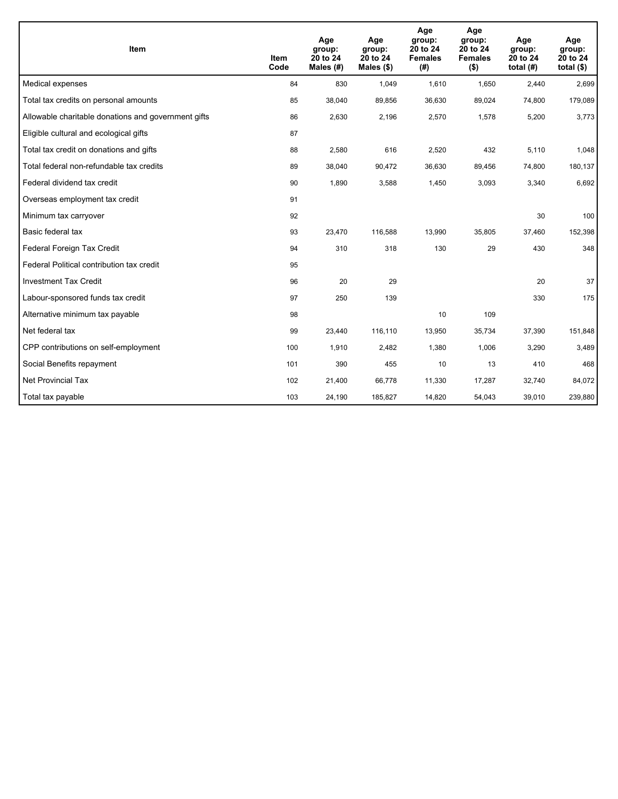| <b>Item</b>                                         | Item<br>Code | Age<br>group:<br>20 to 24<br>Males $(H)$ | Age<br>group:<br>20 to 24<br>Males $(\$)$ | Age<br>group:<br>20 to 24<br><b>Females</b><br>(#) | Age<br>group:<br>20 to 24<br><b>Females</b><br>$($ \$) | Age<br>group:<br>20 to 24<br>total $(H)$ | Age<br>group:<br>20 to 24<br>total $($)$ |
|-----------------------------------------------------|--------------|------------------------------------------|-------------------------------------------|----------------------------------------------------|--------------------------------------------------------|------------------------------------------|------------------------------------------|
| Medical expenses                                    | 84           | 830                                      | 1,049                                     | 1,610                                              | 1,650                                                  | 2,440                                    | 2,699                                    |
| Total tax credits on personal amounts               | 85           | 38,040                                   | 89,856                                    | 36,630                                             | 89,024                                                 | 74,800                                   | 179,089                                  |
| Allowable charitable donations and government gifts | 86           | 2,630                                    | 2,196                                     | 2,570                                              | 1,578                                                  | 5,200                                    | 3,773                                    |
| Eligible cultural and ecological gifts              | 87           |                                          |                                           |                                                    |                                                        |                                          |                                          |
| Total tax credit on donations and gifts             | 88           | 2,580                                    | 616                                       | 2,520                                              | 432                                                    | 5,110                                    | 1,048                                    |
| Total federal non-refundable tax credits            | 89           | 38,040                                   | 90,472                                    | 36,630                                             | 89,456                                                 | 74,800                                   | 180,137                                  |
| Federal dividend tax credit                         | 90           | 1,890                                    | 3,588                                     | 1,450                                              | 3,093                                                  | 3,340                                    | 6,692                                    |
| Overseas employment tax credit                      | 91           |                                          |                                           |                                                    |                                                        |                                          |                                          |
| Minimum tax carryover                               | 92           |                                          |                                           |                                                    |                                                        | 30                                       | 100                                      |
| Basic federal tax                                   | 93           | 23,470                                   | 116,588                                   | 13.990                                             | 35.805                                                 | 37,460                                   | 152,398                                  |
| Federal Foreign Tax Credit                          | 94           | 310                                      | 318                                       | 130                                                | 29                                                     | 430                                      | 348                                      |
| Federal Political contribution tax credit           | 95           |                                          |                                           |                                                    |                                                        |                                          |                                          |
| <b>Investment Tax Credit</b>                        | 96           | 20                                       | 29                                        |                                                    |                                                        | 20                                       | 37                                       |
| Labour-sponsored funds tax credit                   | 97           | 250                                      | 139                                       |                                                    |                                                        | 330                                      | 175                                      |
| Alternative minimum tax payable                     | 98           |                                          |                                           | 10                                                 | 109                                                    |                                          |                                          |
| Net federal tax                                     | 99           | 23,440                                   | 116,110                                   | 13,950                                             | 35,734                                                 | 37,390                                   | 151,848                                  |
| CPP contributions on self-employment                | 100          | 1,910                                    | 2,482                                     | 1,380                                              | 1,006                                                  | 3,290                                    | 3,489                                    |
| Social Benefits repayment                           | 101          | 390                                      | 455                                       | 10                                                 | 13                                                     | 410                                      | 468                                      |
| <b>Net Provincial Tax</b>                           | 102          | 21,400                                   | 66,778                                    | 11,330                                             | 17,287                                                 | 32,740                                   | 84,072                                   |
| Total tax payable                                   | 103          | 24,190                                   | 185,827                                   | 14,820                                             | 54,043                                                 | 39,010                                   | 239,880                                  |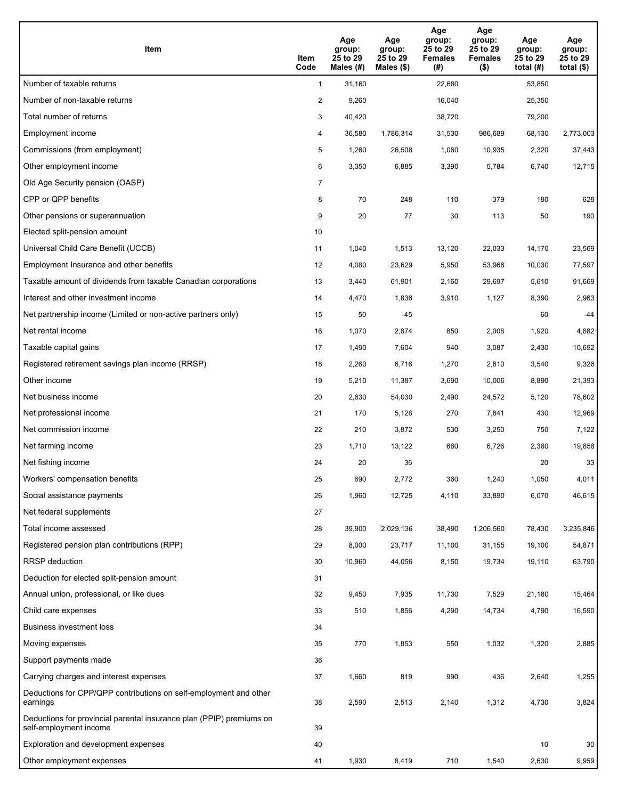| Item                                                                                           | Item<br>Code   | Age<br>group:<br>25 to 29<br>Males (#) | Age<br>group:<br>25 to 29<br>Males $(\$)$ | Age<br>group:<br>25 to 29<br><b>Females</b><br>(#) | Age<br>group:<br>25 to 29<br><b>Females</b><br>$($ \$) | Age<br>group:<br>25 to 29<br>total (#) | Age<br>group:<br>25 to 29<br>total $($ |
|------------------------------------------------------------------------------------------------|----------------|----------------------------------------|-------------------------------------------|----------------------------------------------------|--------------------------------------------------------|----------------------------------------|----------------------------------------|
| Number of taxable returns                                                                      | $\mathbf{1}$   | 31,160                                 |                                           | 22,680                                             |                                                        | 53,850                                 |                                        |
| Number of non-taxable returns                                                                  | $\overline{c}$ | 9,260                                  |                                           | 16,040                                             |                                                        | 25,350                                 |                                        |
| Total number of returns                                                                        | 3              | 40,420                                 |                                           | 38,720                                             |                                                        | 79,200                                 |                                        |
| Employment income                                                                              | 4              | 36,580                                 | 1,786,314                                 | 31,530                                             | 986,689                                                | 68,130                                 | 2,773,003                              |
| Commissions (from employment)                                                                  | 5              | 1,260                                  | 26,508                                    | 1,060                                              | 10,935                                                 | 2,320                                  | 37,443                                 |
| Other employment income                                                                        | 6              | 3,350                                  | 6,885                                     | 3,390                                              | 5,784                                                  | 6,740                                  | 12,715                                 |
| Old Age Security pension (OASP)                                                                | 7              |                                        |                                           |                                                    |                                                        |                                        |                                        |
| CPP or QPP benefits                                                                            | 8              | 70                                     | 248                                       | 110                                                | 379                                                    | 180                                    | 628                                    |
| Other pensions or superannuation                                                               | 9              | 20                                     | 77                                        | 30                                                 | 113                                                    | 50                                     | 190                                    |
| Elected split-pension amount                                                                   | 10             |                                        |                                           |                                                    |                                                        |                                        |                                        |
| Universal Child Care Benefit (UCCB)                                                            | 11             | 1,040                                  | 1,513                                     | 13,120                                             | 22,033                                                 | 14,170                                 | 23,569                                 |
| Employment Insurance and other benefits                                                        | 12             | 4,080                                  | 23,629                                    | 5,950                                              | 53,968                                                 | 10,030                                 | 77,597                                 |
| Taxable amount of dividends from taxable Canadian corporations                                 | 13             | 3,440                                  | 61,901                                    | 2,160                                              | 29,697                                                 | 5,610                                  | 91,669                                 |
| Interest and other investment income                                                           | 14             | 4,470                                  | 1,836                                     | 3,910                                              | 1,127                                                  | 8,390                                  | 2,963                                  |
| Net partnership income (Limited or non-active partners only)                                   | 15             | 50                                     | $-45$                                     |                                                    |                                                        | 60                                     | $-44$                                  |
| Net rental income                                                                              | 16             | 1,070                                  | 2,874                                     | 850                                                | 2,008                                                  | 1,920                                  | 4,882                                  |
| Taxable capital gains                                                                          | 17             | 1,490                                  | 7,604                                     | 940                                                | 3,087                                                  | 2,430                                  | 10,692                                 |
| Registered retirement savings plan income (RRSP)                                               | 18             | 2,260                                  | 6,716                                     | 1,270                                              | 2,610                                                  | 3,540                                  | 9,326                                  |
| Other income                                                                                   | 19             | 5,210                                  | 11,387                                    | 3,690                                              | 10,006                                                 | 8,890                                  | 21,393                                 |
| Net business income                                                                            | 20             | 2,630                                  | 54,030                                    | 2,490                                              | 24,572                                                 | 5,120                                  | 78,602                                 |
| Net professional income                                                                        | 21             | 170                                    | 5,128                                     | 270                                                | 7,841                                                  | 430                                    | 12,969                                 |
| Net commission income                                                                          | 22             | 210                                    | 3,872                                     | 530                                                | 3,250                                                  | 750                                    | 7,122                                  |
| Net farming income                                                                             | 23             | 1,710                                  | 13,122                                    | 680                                                | 6,726                                                  | 2,380                                  | 19,858                                 |
| Net fishing income                                                                             | 24             | 20                                     | 36                                        |                                                    |                                                        | 20                                     | 33                                     |
| Workers' compensation benefits                                                                 | 25             | 690                                    | 2,772                                     | 360                                                | 1,240                                                  | 1,050                                  | 4,011                                  |
| Social assistance payments                                                                     | 26             | 1,960                                  | 12,725                                    | 4,110                                              | 33,890                                                 | 6,070                                  | 46,615                                 |
| Net federal supplements                                                                        | 27             |                                        |                                           |                                                    |                                                        |                                        |                                        |
| Total income assessed                                                                          | 28             | 39,900                                 | 2,029,136                                 | 38,490                                             | 1,206,560                                              | 78,430                                 | 3,235,846                              |
| Registered pension plan contributions (RPP)                                                    | 29             | 8,000                                  | 23,717                                    | 11,100                                             | 31,155                                                 | 19,100                                 | 54,871                                 |
| <b>RRSP</b> deduction                                                                          | 30             | 10,960                                 | 44,056                                    | 8,150                                              | 19,734                                                 | 19,110                                 | 63,790                                 |
| Deduction for elected split-pension amount                                                     | 31             |                                        |                                           |                                                    |                                                        |                                        |                                        |
| Annual union, professional, or like dues                                                       | 32             | 9,450                                  | 7,935                                     | 11,730                                             | 7,529                                                  | 21,180                                 | 15,464                                 |
| Child care expenses                                                                            | 33             | 510                                    | 1,856                                     | 4,290                                              | 14,734                                                 | 4,790                                  | 16,590                                 |
| Business investment loss                                                                       | 34             |                                        |                                           |                                                    |                                                        |                                        |                                        |
| Moving expenses                                                                                | 35             | 770                                    | 1,853                                     | 550                                                | 1,032                                                  | 1,320                                  | 2,885                                  |
| Support payments made                                                                          | 36             |                                        |                                           |                                                    |                                                        |                                        |                                        |
| Carrying charges and interest expenses                                                         | 37             | 1,660                                  | 819                                       | 990                                                | 436                                                    | 2,640                                  | 1,255                                  |
| Deductions for CPP/QPP contributions on self-employment and other<br>earnings                  | 38             | 2,590                                  | 2,513                                     | 2,140                                              | 1,312                                                  | 4,730                                  | 3,824                                  |
| Deductions for provincial parental insurance plan (PPIP) premiums on<br>self-employment income | 39             |                                        |                                           |                                                    |                                                        |                                        |                                        |
| Exploration and development expenses                                                           | 40             |                                        |                                           |                                                    |                                                        | 10                                     | 30                                     |
| Other employment expenses                                                                      | 41             | 1,930                                  | 8,419                                     | 710                                                | 1,540                                                  | 2,630                                  | 9,959                                  |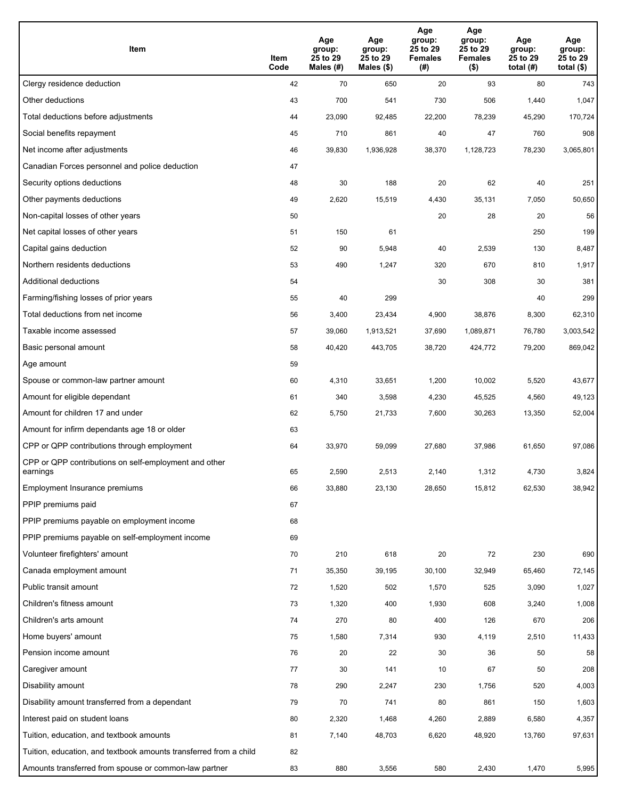| Item                                                              | Item<br>Code | Age<br>group:<br>25 to 29<br>Males (#) | Age<br>group:<br>25 to 29<br>Males (\$) | Age<br>group:<br>25 to 29<br><b>Females</b><br>(# ) | Age<br>group:<br>25 to 29<br>Females<br>$($ \$) | Age<br>group:<br>25 to 29<br>total $(H)$ | Age<br>group:<br>25 to 29<br>total $($)$ |
|-------------------------------------------------------------------|--------------|----------------------------------------|-----------------------------------------|-----------------------------------------------------|-------------------------------------------------|------------------------------------------|------------------------------------------|
| Clergy residence deduction                                        | 42           | 70                                     | 650                                     | 20                                                  | 93                                              | 80                                       | 743                                      |
| Other deductions                                                  | 43           | 700                                    | 541                                     | 730                                                 | 506                                             | 1,440                                    | 1,047                                    |
| Total deductions before adjustments                               | 44           | 23,090                                 | 92,485                                  | 22,200                                              | 78,239                                          | 45,290                                   | 170,724                                  |
| Social benefits repayment                                         | 45           | 710                                    | 861                                     | 40                                                  | 47                                              | 760                                      | 908                                      |
| Net income after adjustments                                      | 46           | 39,830                                 | 1,936,928                               | 38,370                                              | 1,128,723                                       | 78,230                                   | 3,065,801                                |
| Canadian Forces personnel and police deduction                    | 47           |                                        |                                         |                                                     |                                                 |                                          |                                          |
| Security options deductions                                       | 48           | 30                                     | 188                                     | 20                                                  | 62                                              | 40                                       | 251                                      |
| Other payments deductions                                         | 49           | 2,620                                  | 15,519                                  | 4,430                                               | 35,131                                          | 7,050                                    | 50,650                                   |
| Non-capital losses of other years                                 | 50           |                                        |                                         | 20                                                  | 28                                              | 20                                       | 56                                       |
| Net capital losses of other years                                 | 51           | 150                                    | 61                                      |                                                     |                                                 | 250                                      | 199                                      |
| Capital gains deduction                                           | 52           | 90                                     | 5,948                                   | 40                                                  | 2,539                                           | 130                                      | 8,487                                    |
| Northern residents deductions                                     | 53           | 490                                    | 1,247                                   | 320                                                 | 670                                             | 810                                      | 1,917                                    |
| Additional deductions                                             | 54           |                                        |                                         | 30                                                  | 308                                             | 30                                       | 381                                      |
| Farming/fishing losses of prior years                             | 55           | 40                                     | 299                                     |                                                     |                                                 | 40                                       | 299                                      |
| Total deductions from net income                                  | 56           | 3,400                                  | 23,434                                  | 4,900                                               | 38,876                                          | 8,300                                    | 62,310                                   |
| Taxable income assessed                                           | 57           | 39,060                                 | 1,913,521                               | 37,690                                              | 1,089,871                                       | 76,780                                   | 3,003,542                                |
| Basic personal amount                                             | 58           | 40,420                                 | 443,705                                 | 38,720                                              | 424,772                                         | 79,200                                   | 869,042                                  |
| Age amount                                                        | 59           |                                        |                                         |                                                     |                                                 |                                          |                                          |
| Spouse or common-law partner amount                               | 60           | 4,310                                  | 33,651                                  | 1,200                                               | 10,002                                          | 5,520                                    | 43,677                                   |
| Amount for eligible dependant                                     | 61           | 340                                    | 3,598                                   | 4,230                                               | 45,525                                          | 4,560                                    | 49,123                                   |
| Amount for children 17 and under                                  | 62           | 5,750                                  | 21,733                                  | 7,600                                               | 30,263                                          | 13,350                                   | 52,004                                   |
| Amount for infirm dependants age 18 or older                      | 63           |                                        |                                         |                                                     |                                                 |                                          |                                          |
| CPP or QPP contributions through employment                       | 64           | 33,970                                 | 59,099                                  | 27,680                                              | 37,986                                          | 61,650                                   | 97,086                                   |
| CPP or QPP contributions on self-employment and other<br>earnings | 65           | 2,590                                  | 2,513                                   | 2.140                                               | 1.312                                           | 4,730                                    | 3,824                                    |
| Employment Insurance premiums                                     | 66           | 33,880                                 | 23,130                                  | 28,650                                              | 15,812                                          | 62,530                                   | 38,942                                   |
| PPIP premiums paid                                                | 67           |                                        |                                         |                                                     |                                                 |                                          |                                          |
| PPIP premiums payable on employment income                        | 68           |                                        |                                         |                                                     |                                                 |                                          |                                          |
| PPIP premiums payable on self-employment income                   | 69           |                                        |                                         |                                                     |                                                 |                                          |                                          |
| Volunteer firefighters' amount                                    | 70           | 210                                    | 618                                     | 20                                                  | 72                                              | 230                                      | 690                                      |
| Canada employment amount                                          | 71           | 35,350                                 | 39,195                                  | 30,100                                              | 32,949                                          | 65,460                                   | 72,145                                   |
| Public transit amount                                             | 72           | 1,520                                  | 502                                     | 1,570                                               | 525                                             | 3,090                                    | 1,027                                    |
| Children's fitness amount                                         | 73           | 1,320                                  | 400                                     | 1,930                                               | 608                                             | 3,240                                    | 1,008                                    |
| Children's arts amount                                            | 74           | 270                                    | 80                                      | 400                                                 | 126                                             | 670                                      | 206                                      |
| Home buyers' amount                                               | 75           | 1,580                                  | 7,314                                   | 930                                                 | 4,119                                           | 2,510                                    | 11,433                                   |
| Pension income amount                                             | 76           | 20                                     | 22                                      | 30                                                  | 36                                              | 50                                       | 58                                       |
| Caregiver amount                                                  | 77           | 30                                     | 141                                     | 10                                                  | 67                                              | 50                                       | 208                                      |
| Disability amount                                                 | 78           | 290                                    | 2,247                                   | 230                                                 | 1,756                                           | 520                                      | 4,003                                    |
| Disability amount transferred from a dependant                    | 79           | 70                                     | 741                                     | 80                                                  | 861                                             | 150                                      | 1,603                                    |
| Interest paid on student loans                                    | 80           | 2,320                                  | 1,468                                   | 4,260                                               | 2,889                                           | 6,580                                    | 4,357                                    |
| Tuition, education, and textbook amounts                          | 81           | 7,140                                  | 48,703                                  | 6,620                                               | 48,920                                          | 13,760                                   | 97,631                                   |
| Tuition, education, and textbook amounts transferred from a child | 82           |                                        |                                         |                                                     |                                                 |                                          |                                          |
| Amounts transferred from spouse or common-law partner             | 83           | 880                                    | 3,556                                   | 580                                                 | 2,430                                           | 1,470                                    | 5,995                                    |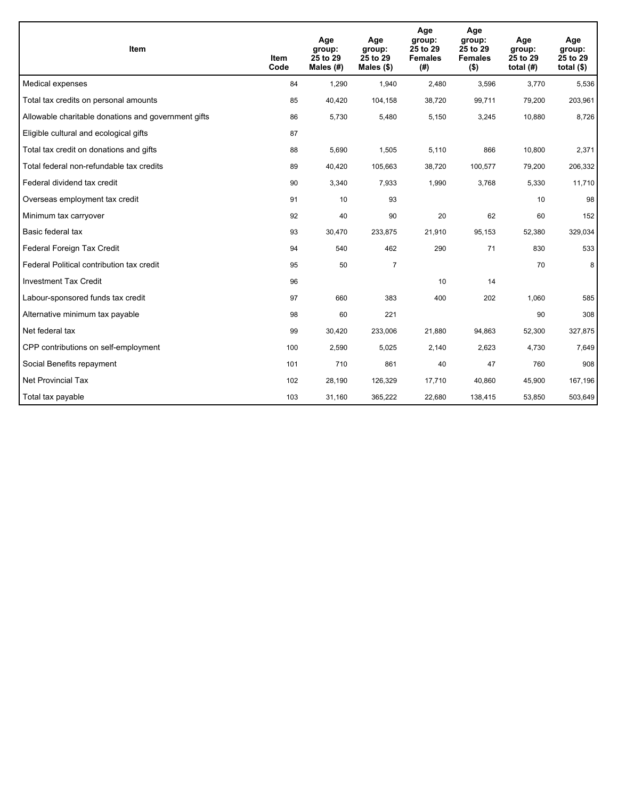| <b>Item</b>                                         | Item<br>Code | Age<br>group:<br>25 to 29<br>Males $(H)$ | Age<br>group:<br>25 to 29<br>Males $(\$)$ | Age<br>group:<br>25 to 29<br><b>Females</b><br>(# ) | Age<br>group:<br>25 to 29<br><b>Females</b><br>$($ \$) | Age<br>group:<br>25 to 29<br>total $(H)$ | Age<br>group:<br>25 to 29<br>total $($)$ |
|-----------------------------------------------------|--------------|------------------------------------------|-------------------------------------------|-----------------------------------------------------|--------------------------------------------------------|------------------------------------------|------------------------------------------|
| Medical expenses                                    | 84           | 1,290                                    | 1,940                                     | 2,480                                               | 3,596                                                  | 3,770                                    | 5,536                                    |
| Total tax credits on personal amounts               | 85           | 40,420                                   | 104,158                                   | 38,720                                              | 99,711                                                 | 79,200                                   | 203,961                                  |
| Allowable charitable donations and government gifts | 86           | 5,730                                    | 5,480                                     | 5,150                                               | 3,245                                                  | 10,880                                   | 8,726                                    |
| Eligible cultural and ecological gifts              | 87           |                                          |                                           |                                                     |                                                        |                                          |                                          |
| Total tax credit on donations and gifts             | 88           | 5,690                                    | 1,505                                     | 5,110                                               | 866                                                    | 10,800                                   | 2,371                                    |
| Total federal non-refundable tax credits            | 89           | 40,420                                   | 105,663                                   | 38,720                                              | 100,577                                                | 79,200                                   | 206,332                                  |
| Federal dividend tax credit                         | 90           | 3,340                                    | 7,933                                     | 1,990                                               | 3,768                                                  | 5,330                                    | 11,710                                   |
| Overseas employment tax credit                      | 91           | 10                                       | 93                                        |                                                     |                                                        | 10                                       | 98                                       |
| Minimum tax carryover                               | 92           | 40                                       | 90                                        | 20                                                  | 62                                                     | 60                                       | 152                                      |
| Basic federal tax                                   | 93           | 30,470                                   | 233,875                                   | 21.910                                              | 95.153                                                 | 52,380                                   | 329,034                                  |
| Federal Foreign Tax Credit                          | 94           | 540                                      | 462                                       | 290                                                 | 71                                                     | 830                                      | 533                                      |
| Federal Political contribution tax credit           | 95           | 50                                       | $\overline{7}$                            |                                                     |                                                        | 70                                       | 8                                        |
| <b>Investment Tax Credit</b>                        | 96           |                                          |                                           | 10                                                  | 14                                                     |                                          |                                          |
| Labour-sponsored funds tax credit                   | 97           | 660                                      | 383                                       | 400                                                 | 202                                                    | 1,060                                    | 585                                      |
| Alternative minimum tax payable                     | 98           | 60                                       | 221                                       |                                                     |                                                        | 90                                       | 308                                      |
| Net federal tax                                     | 99           | 30,420                                   | 233,006                                   | 21,880                                              | 94,863                                                 | 52,300                                   | 327,875                                  |
| CPP contributions on self-employment                | 100          | 2,590                                    | 5,025                                     | 2,140                                               | 2,623                                                  | 4,730                                    | 7,649                                    |
| Social Benefits repayment                           | 101          | 710                                      | 861                                       | 40                                                  | 47                                                     | 760                                      | 908                                      |
| <b>Net Provincial Tax</b>                           | 102          | 28,190                                   | 126,329                                   | 17,710                                              | 40,860                                                 | 45,900                                   | 167,196                                  |
| Total tax payable                                   | 103          | 31,160                                   | 365,222                                   | 22,680                                              | 138,415                                                | 53,850                                   | 503,649                                  |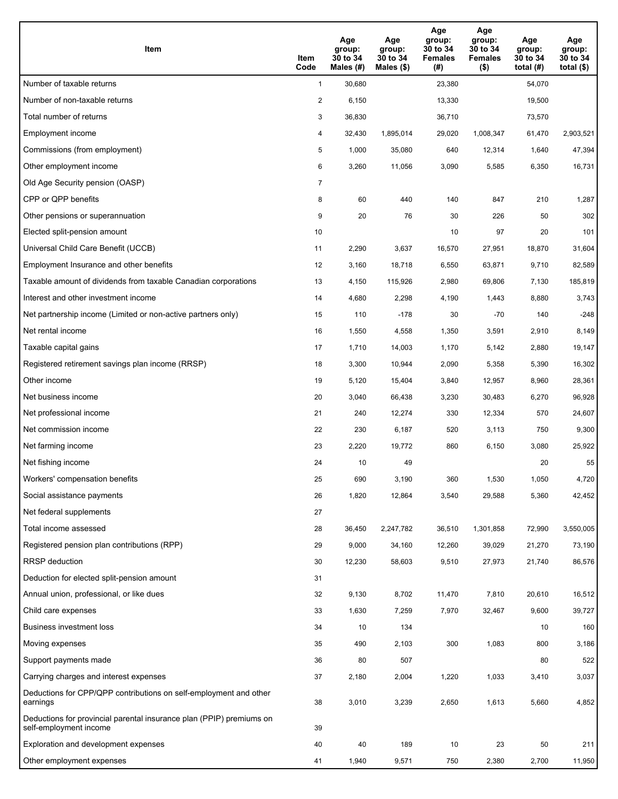| Item                                                                                           | Item<br>Code   | Age<br>group:<br>30 to 34<br>Males (#) | Age<br>group:<br>30 to 34<br>Males $(\$)$ | Age<br>group:<br>30 to 34<br><b>Females</b><br>(#) | Age<br>group:<br>30 to 34<br><b>Females</b><br>$($ \$) | Age<br>group:<br>30 to 34<br>total $(H)$ | Age<br>group:<br>30 to 34<br>total $($ |
|------------------------------------------------------------------------------------------------|----------------|----------------------------------------|-------------------------------------------|----------------------------------------------------|--------------------------------------------------------|------------------------------------------|----------------------------------------|
| Number of taxable returns                                                                      | $\mathbf{1}$   | 30,680                                 |                                           | 23,380                                             |                                                        | 54,070                                   |                                        |
| Number of non-taxable returns                                                                  | $\overline{a}$ | 6,150                                  |                                           | 13,330                                             |                                                        | 19,500                                   |                                        |
| Total number of returns                                                                        | 3              | 36,830                                 |                                           | 36,710                                             |                                                        | 73,570                                   |                                        |
| Employment income                                                                              | 4              | 32,430                                 | 1,895,014                                 | 29,020                                             | 1,008,347                                              | 61,470                                   | 2,903,521                              |
| Commissions (from employment)                                                                  | 5              | 1,000                                  | 35,080                                    | 640                                                | 12,314                                                 | 1,640                                    | 47,394                                 |
| Other employment income                                                                        | 6              | 3,260                                  | 11,056                                    | 3,090                                              | 5,585                                                  | 6,350                                    | 16,731                                 |
| Old Age Security pension (OASP)                                                                | 7              |                                        |                                           |                                                    |                                                        |                                          |                                        |
| CPP or QPP benefits                                                                            | 8              | 60                                     | 440                                       | 140                                                | 847                                                    | 210                                      | 1,287                                  |
| Other pensions or superannuation                                                               | 9              | 20                                     | 76                                        | 30                                                 | 226                                                    | 50                                       | 302                                    |
| Elected split-pension amount                                                                   | 10             |                                        |                                           | 10                                                 | 97                                                     | 20                                       | 101                                    |
| Universal Child Care Benefit (UCCB)                                                            | 11             | 2,290                                  | 3,637                                     | 16,570                                             | 27,951                                                 | 18,870                                   | 31,604                                 |
| Employment Insurance and other benefits                                                        | 12             | 3,160                                  | 18,718                                    | 6,550                                              | 63,871                                                 | 9,710                                    | 82,589                                 |
| Taxable amount of dividends from taxable Canadian corporations                                 | 13             | 4,150                                  | 115,926                                   | 2,980                                              | 69,806                                                 | 7,130                                    | 185,819                                |
| Interest and other investment income                                                           | 14             | 4,680                                  | 2,298                                     | 4,190                                              | 1,443                                                  | 8,880                                    | 3,743                                  |
| Net partnership income (Limited or non-active partners only)                                   | 15             | 110                                    | $-178$                                    | 30                                                 | $-70$                                                  | 140                                      | $-248$                                 |
| Net rental income                                                                              | 16             | 1,550                                  | 4,558                                     | 1,350                                              | 3,591                                                  | 2,910                                    | 8,149                                  |
| Taxable capital gains                                                                          | 17             | 1,710                                  | 14,003                                    | 1,170                                              | 5,142                                                  | 2,880                                    | 19,147                                 |
| Registered retirement savings plan income (RRSP)                                               | 18             | 3,300                                  | 10,944                                    | 2,090                                              | 5,358                                                  | 5,390                                    | 16,302                                 |
| Other income                                                                                   | 19             | 5,120                                  | 15,404                                    | 3,840                                              | 12,957                                                 | 8,960                                    | 28,361                                 |
| Net business income                                                                            | 20             | 3,040                                  | 66,438                                    | 3,230                                              | 30,483                                                 | 6,270                                    | 96,928                                 |
| Net professional income                                                                        | 21             | 240                                    | 12,274                                    | 330                                                | 12,334                                                 | 570                                      | 24,607                                 |
| Net commission income                                                                          | 22             | 230                                    | 6,187                                     | 520                                                | 3,113                                                  | 750                                      | 9,300                                  |
| Net farming income                                                                             | 23             | 2,220                                  | 19,772                                    | 860                                                | 6,150                                                  | 3,080                                    | 25,922                                 |
| Net fishing income                                                                             | 24             | 10                                     | 49                                        |                                                    |                                                        | 20                                       | 55                                     |
| Workers' compensation benefits                                                                 | 25             | 690                                    | 3,190                                     | 360                                                | 1,530                                                  | 1,050                                    | 4,720                                  |
| Social assistance payments                                                                     | 26             | 1,820                                  | 12,864                                    | 3,540                                              | 29,588                                                 | 5,360                                    | 42,452                                 |
| Net federal supplements                                                                        | 27             |                                        |                                           |                                                    |                                                        |                                          |                                        |
| Total income assessed                                                                          | 28             | 36,450                                 | 2,247,782                                 | 36,510                                             | 1,301,858                                              | 72,990                                   | 3,550,005                              |
| Registered pension plan contributions (RPP)                                                    | 29             | 9,000                                  | 34,160                                    | 12,260                                             | 39,029                                                 | 21,270                                   | 73,190                                 |
| <b>RRSP</b> deduction                                                                          | 30             | 12,230                                 | 58,603                                    | 9,510                                              | 27,973                                                 | 21,740                                   | 86,576                                 |
| Deduction for elected split-pension amount                                                     | 31             |                                        |                                           |                                                    |                                                        |                                          |                                        |
| Annual union, professional, or like dues                                                       | 32             | 9,130                                  | 8,702                                     | 11,470                                             | 7,810                                                  | 20,610                                   | 16,512                                 |
| Child care expenses                                                                            | 33             | 1,630                                  | 7,259                                     | 7,970                                              | 32,467                                                 | 9,600                                    | 39,727                                 |
| Business investment loss                                                                       | 34             | 10                                     | 134                                       |                                                    |                                                        | 10                                       | 160                                    |
| Moving expenses                                                                                | 35             | 490                                    | 2,103                                     | 300                                                | 1,083                                                  | 800                                      | 3,186                                  |
| Support payments made                                                                          | 36             | 80                                     | 507                                       |                                                    |                                                        | 80                                       | 522                                    |
| Carrying charges and interest expenses                                                         | 37             | 2,180                                  | 2,004                                     | 1,220                                              | 1,033                                                  | 3,410                                    | 3,037                                  |
| Deductions for CPP/QPP contributions on self-employment and other<br>earnings                  | 38             | 3,010                                  | 3,239                                     | 2,650                                              | 1,613                                                  | 5,660                                    | 4,852                                  |
| Deductions for provincial parental insurance plan (PPIP) premiums on<br>self-employment income | 39             |                                        |                                           |                                                    |                                                        |                                          |                                        |
| Exploration and development expenses                                                           | 40             | 40                                     | 189                                       | 10                                                 | 23                                                     | 50                                       | 211                                    |
| Other employment expenses                                                                      | 41             | 1,940                                  | 9,571                                     | 750                                                | 2,380                                                  | 2,700                                    | 11,950                                 |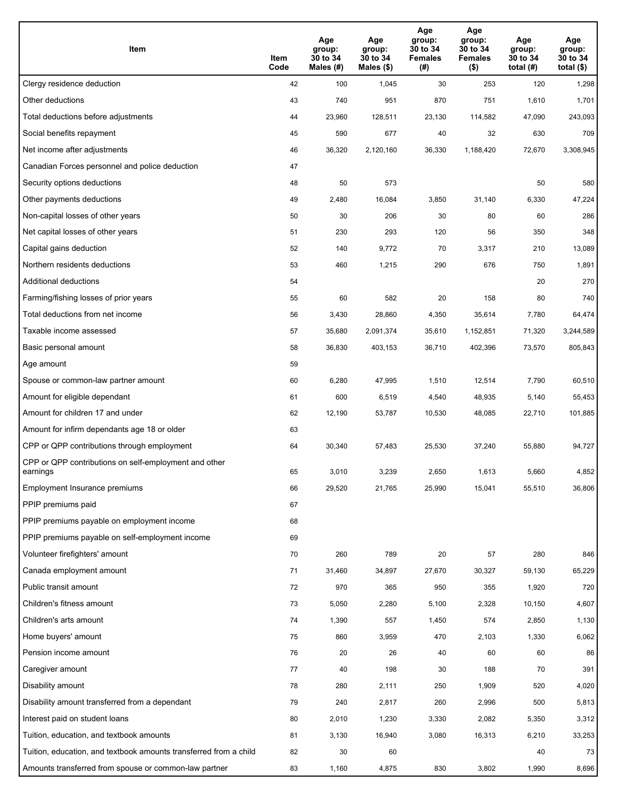| Item                                                              | Item<br>Code | Age<br>group:<br>30 to 34<br>Males (#) | Age<br>group:<br>30 to 34<br>Males (\$) | Age<br>group:<br>30 to 34<br><b>Females</b><br>(# ) | Age<br>group:<br>30 to 34<br>Females<br>$($ \$) | Age<br>group:<br>30 to 34<br>total (#) | Age<br>group:<br>30 to 34<br>total $($)$ |
|-------------------------------------------------------------------|--------------|----------------------------------------|-----------------------------------------|-----------------------------------------------------|-------------------------------------------------|----------------------------------------|------------------------------------------|
| Clergy residence deduction                                        | 42           | 100                                    | 1,045                                   | 30                                                  | 253                                             | 120                                    | 1,298                                    |
| Other deductions                                                  | 43           | 740                                    | 951                                     | 870                                                 | 751                                             | 1,610                                  | 1,701                                    |
| Total deductions before adjustments                               | 44           | 23,960                                 | 128,511                                 | 23,130                                              | 114,582                                         | 47,090                                 | 243,093                                  |
| Social benefits repayment                                         | 45           | 590                                    | 677                                     | 40                                                  | 32                                              | 630                                    | 709                                      |
| Net income after adjustments                                      | 46           | 36,320                                 | 2,120,160                               | 36,330                                              | 1,188,420                                       | 72,670                                 | 3,308,945                                |
| Canadian Forces personnel and police deduction                    | 47           |                                        |                                         |                                                     |                                                 |                                        |                                          |
| Security options deductions                                       | 48           | 50                                     | 573                                     |                                                     |                                                 | 50                                     | 580                                      |
| Other payments deductions                                         | 49           | 2,480                                  | 16,084                                  | 3,850                                               | 31,140                                          | 6,330                                  | 47,224                                   |
| Non-capital losses of other years                                 | 50           | 30                                     | 206                                     | 30                                                  | 80                                              | 60                                     | 286                                      |
| Net capital losses of other years                                 | 51           | 230                                    | 293                                     | 120                                                 | 56                                              | 350                                    | 348                                      |
| Capital gains deduction                                           | 52           | 140                                    | 9,772                                   | 70                                                  | 3,317                                           | 210                                    | 13,089                                   |
| Northern residents deductions                                     | 53           | 460                                    | 1,215                                   | 290                                                 | 676                                             | 750                                    | 1,891                                    |
| Additional deductions                                             | 54           |                                        |                                         |                                                     |                                                 | 20                                     | 270                                      |
| Farming/fishing losses of prior years                             | 55           | 60                                     | 582                                     | 20                                                  | 158                                             | 80                                     | 740                                      |
| Total deductions from net income                                  | 56           | 3,430                                  | 28,860                                  | 4,350                                               | 35,614                                          | 7,780                                  | 64,474                                   |
| Taxable income assessed                                           | 57           | 35,680                                 | 2,091,374                               | 35,610                                              | 1,152,851                                       | 71,320                                 | 3,244,589                                |
| Basic personal amount                                             | 58           | 36,830                                 | 403,153                                 | 36,710                                              | 402,396                                         | 73,570                                 | 805,843                                  |
| Age amount                                                        | 59           |                                        |                                         |                                                     |                                                 |                                        |                                          |
| Spouse or common-law partner amount                               | 60           | 6,280                                  | 47,995                                  | 1,510                                               | 12,514                                          | 7,790                                  | 60,510                                   |
| Amount for eligible dependant                                     | 61           | 600                                    | 6,519                                   | 4,540                                               | 48,935                                          | 5,140                                  | 55,453                                   |
| Amount for children 17 and under                                  | 62           | 12,190                                 | 53,787                                  | 10,530                                              | 48,085                                          | 22,710                                 | 101,885                                  |
| Amount for infirm dependants age 18 or older                      | 63           |                                        |                                         |                                                     |                                                 |                                        |                                          |
| CPP or QPP contributions through employment                       | 64           | 30,340                                 | 57,483                                  | 25,530                                              | 37,240                                          | 55,880                                 | 94,727                                   |
| CPP or QPP contributions on self-employment and other<br>earnings | 65           | 3,010                                  | 3,239                                   | 2,650                                               | 1.613                                           | 5,660                                  | 4,852                                    |
| Employment Insurance premiums                                     | 66           | 29,520                                 | 21,765                                  | 25,990                                              | 15,041                                          | 55,510                                 | 36,806                                   |
| PPIP premiums paid                                                | 67           |                                        |                                         |                                                     |                                                 |                                        |                                          |
| PPIP premiums payable on employment income                        | 68           |                                        |                                         |                                                     |                                                 |                                        |                                          |
| PPIP premiums payable on self-employment income                   | 69           |                                        |                                         |                                                     |                                                 |                                        |                                          |
| Volunteer firefighters' amount                                    | 70           | 260                                    | 789                                     | 20                                                  | 57                                              | 280                                    | 846                                      |
| Canada employment amount                                          | 71           | 31,460                                 | 34,897                                  | 27,670                                              | 30,327                                          | 59,130                                 | 65,229                                   |
| Public transit amount                                             | 72           | 970                                    | 365                                     | 950                                                 | 355                                             | 1,920                                  | 720                                      |
| Children's fitness amount                                         | 73           | 5,050                                  | 2,280                                   | 5,100                                               | 2,328                                           | 10,150                                 | 4,607                                    |
| Children's arts amount                                            | 74           | 1,390                                  | 557                                     | 1,450                                               | 574                                             | 2,850                                  | 1,130                                    |
| Home buyers' amount                                               | 75           | 860                                    | 3,959                                   | 470                                                 | 2,103                                           | 1,330                                  | 6,062                                    |
| Pension income amount                                             | 76           | 20                                     | 26                                      | 40                                                  | 60                                              | 60                                     | 86                                       |
| Caregiver amount                                                  | 77           | 40                                     | 198                                     | 30                                                  | 188                                             | 70                                     | 391                                      |
| Disability amount                                                 | 78           | 280                                    | 2,111                                   | 250                                                 | 1,909                                           | 520                                    | 4,020                                    |
| Disability amount transferred from a dependant                    | 79           | 240                                    | 2,817                                   | 260                                                 | 2,996                                           | 500                                    | 5,813                                    |
| Interest paid on student loans                                    | 80           | 2,010                                  | 1,230                                   | 3,330                                               | 2,082                                           | 5,350                                  | 3,312                                    |
| Tuition, education, and textbook amounts                          | 81           | 3,130                                  | 16,940                                  | 3,080                                               | 16,313                                          | 6,210                                  | 33,253                                   |
| Tuition, education, and textbook amounts transferred from a child | 82           | 30                                     | 60                                      |                                                     |                                                 | 40                                     | 73                                       |
| Amounts transferred from spouse or common-law partner             | 83           | 1,160                                  | 4,875                                   | 830                                                 | 3,802                                           | 1,990                                  | 8,696                                    |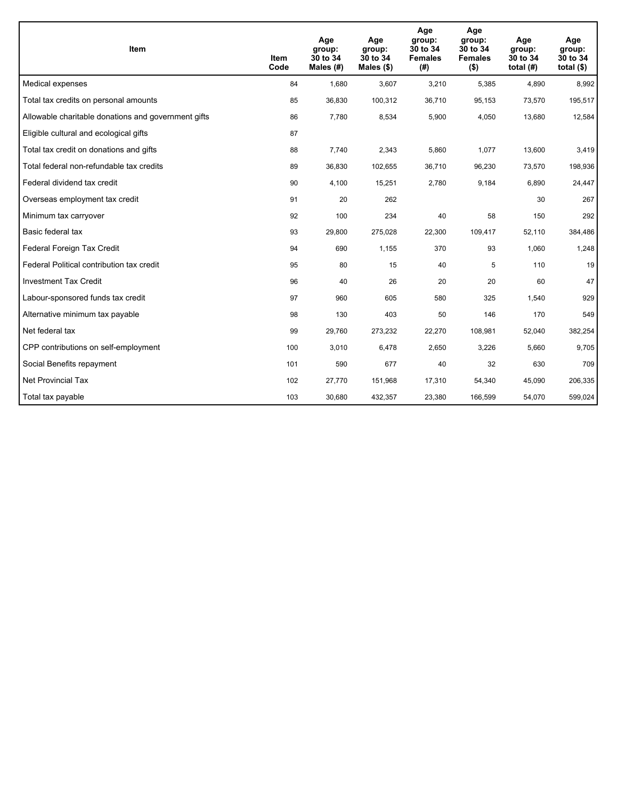| <b>Item</b>                                         | Item<br>Code | Age<br>group:<br>30 to 34<br>Males (#) | Age<br>group:<br>30 to 34<br>Males $(\$)$ | Age<br>group:<br>30 to 34<br><b>Females</b><br>(#) | Age<br>group:<br>30 to 34<br><b>Females</b><br>$($ \$) | Age<br>group:<br>30 to 34<br>total $(H)$ | Age<br>group:<br>30 to 34<br>total $($)$ |
|-----------------------------------------------------|--------------|----------------------------------------|-------------------------------------------|----------------------------------------------------|--------------------------------------------------------|------------------------------------------|------------------------------------------|
| Medical expenses                                    | 84           | 1,680                                  | 3,607                                     | 3,210                                              | 5,385                                                  | 4,890                                    | 8,992                                    |
| Total tax credits on personal amounts               | 85           | 36,830                                 | 100,312                                   | 36,710                                             | 95,153                                                 | 73,570                                   | 195,517                                  |
| Allowable charitable donations and government gifts | 86           | 7,780                                  | 8,534                                     | 5,900                                              | 4,050                                                  | 13,680                                   | 12,584                                   |
| Eligible cultural and ecological gifts              | 87           |                                        |                                           |                                                    |                                                        |                                          |                                          |
| Total tax credit on donations and gifts             | 88           | 7,740                                  | 2,343                                     | 5,860                                              | 1,077                                                  | 13,600                                   | 3,419                                    |
| Total federal non-refundable tax credits            | 89           | 36,830                                 | 102,655                                   | 36,710                                             | 96,230                                                 | 73,570                                   | 198,936                                  |
| Federal dividend tax credit                         | 90           | 4,100                                  | 15,251                                    | 2,780                                              | 9,184                                                  | 6,890                                    | 24,447                                   |
| Overseas employment tax credit                      | 91           | 20                                     | 262                                       |                                                    |                                                        | 30                                       | 267                                      |
| Minimum tax carryover                               | 92           | 100                                    | 234                                       | 40                                                 | 58                                                     | 150                                      | 292                                      |
| Basic federal tax                                   | 93           | 29,800                                 | 275,028                                   | 22,300                                             | 109,417                                                | 52,110                                   | 384,486                                  |
| Federal Foreign Tax Credit                          | 94           | 690                                    | 1,155                                     | 370                                                | 93                                                     | 1,060                                    | 1,248                                    |
| Federal Political contribution tax credit           | 95           | 80                                     | 15                                        | 40                                                 | 5                                                      | 110                                      | 19                                       |
| <b>Investment Tax Credit</b>                        | 96           | 40                                     | 26                                        | 20                                                 | 20                                                     | 60                                       | 47                                       |
| Labour-sponsored funds tax credit                   | 97           | 960                                    | 605                                       | 580                                                | 325                                                    | 1,540                                    | 929                                      |
| Alternative minimum tax payable                     | 98           | 130                                    | 403                                       | 50                                                 | 146                                                    | 170                                      | 549                                      |
| Net federal tax                                     | 99           | 29,760                                 | 273,232                                   | 22,270                                             | 108,981                                                | 52,040                                   | 382,254                                  |
| CPP contributions on self-employment                | 100          | 3,010                                  | 6,478                                     | 2,650                                              | 3,226                                                  | 5,660                                    | 9,705                                    |
| Social Benefits repayment                           | 101          | 590                                    | 677                                       | 40                                                 | 32                                                     | 630                                      | 709                                      |
| <b>Net Provincial Tax</b>                           | 102          | 27,770                                 | 151,968                                   | 17,310                                             | 54,340                                                 | 45,090                                   | 206,335                                  |
| Total tax payable                                   | 103          | 30,680                                 | 432,357                                   | 23,380                                             | 166,599                                                | 54,070                                   | 599,024                                  |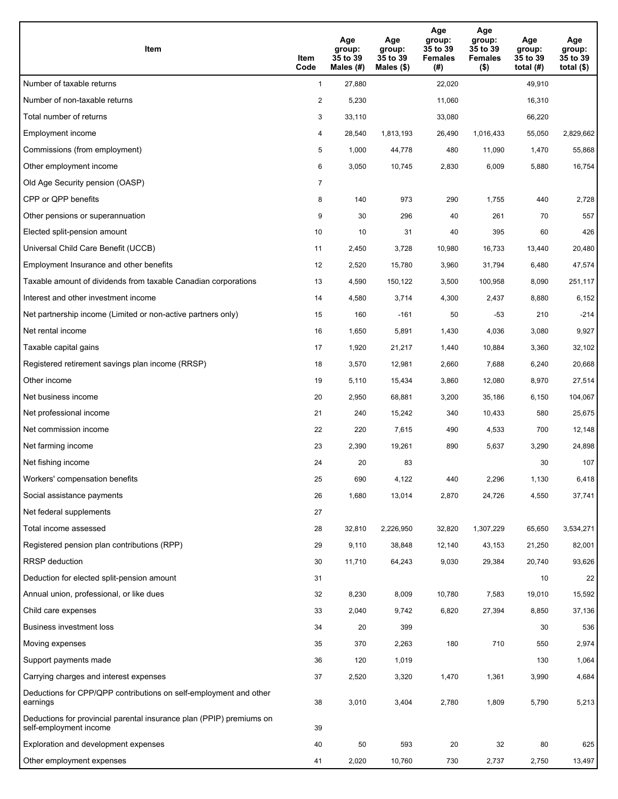| Item                                                                                           | Item<br>Code   | Age<br>group:<br>35 to 39<br>Males (#) | Age<br>group:<br>35 to 39<br>Males $(\$)$ | Age<br>group:<br>35 to 39<br><b>Females</b><br>(#) | Age<br>group:<br>35 to 39<br><b>Females</b><br>$($ \$) | Age<br>group:<br>35 to 39<br>total $(H)$ | Age<br>group:<br>35 to 39<br>total $($ |
|------------------------------------------------------------------------------------------------|----------------|----------------------------------------|-------------------------------------------|----------------------------------------------------|--------------------------------------------------------|------------------------------------------|----------------------------------------|
| Number of taxable returns                                                                      | $\mathbf{1}$   | 27,880                                 |                                           | 22,020                                             |                                                        | 49,910                                   |                                        |
| Number of non-taxable returns                                                                  | $\overline{a}$ | 5,230                                  |                                           | 11,060                                             |                                                        | 16,310                                   |                                        |
| Total number of returns                                                                        | 3              | 33,110                                 |                                           | 33,080                                             |                                                        | 66,220                                   |                                        |
| Employment income                                                                              | 4              | 28.540                                 | 1,813,193                                 | 26,490                                             | 1.016.433                                              | 55,050                                   | 2,829,662                              |
| Commissions (from employment)                                                                  | 5              | 1,000                                  | 44,778                                    | 480                                                | 11,090                                                 | 1,470                                    | 55,868                                 |
| Other employment income                                                                        | 6              | 3,050                                  | 10,745                                    | 2,830                                              | 6,009                                                  | 5,880                                    | 16,754                                 |
| Old Age Security pension (OASP)                                                                | 7              |                                        |                                           |                                                    |                                                        |                                          |                                        |
| CPP or QPP benefits                                                                            | 8              | 140                                    | 973                                       | 290                                                | 1,755                                                  | 440                                      | 2,728                                  |
| Other pensions or superannuation                                                               | 9              | 30                                     | 296                                       | 40                                                 | 261                                                    | 70                                       | 557                                    |
| Elected split-pension amount                                                                   | 10             | 10                                     | 31                                        | 40                                                 | 395                                                    | 60                                       | 426                                    |
| Universal Child Care Benefit (UCCB)                                                            | 11             | 2,450                                  | 3,728                                     | 10,980                                             | 16,733                                                 | 13,440                                   | 20,480                                 |
| Employment Insurance and other benefits                                                        | 12             | 2,520                                  | 15,780                                    | 3,960                                              | 31,794                                                 | 6,480                                    | 47,574                                 |
| Taxable amount of dividends from taxable Canadian corporations                                 | 13             | 4,590                                  | 150,122                                   | 3,500                                              | 100,958                                                | 8,090                                    | 251,117                                |
| Interest and other investment income                                                           | 14             | 4,580                                  | 3,714                                     | 4,300                                              | 2,437                                                  | 8,880                                    | 6,152                                  |
| Net partnership income (Limited or non-active partners only)                                   | 15             | 160                                    | $-161$                                    | 50                                                 | $-53$                                                  | 210                                      | $-214$                                 |
| Net rental income                                                                              | 16             | 1,650                                  | 5,891                                     | 1,430                                              | 4,036                                                  | 3,080                                    | 9,927                                  |
| Taxable capital gains                                                                          | 17             | 1,920                                  | 21,217                                    | 1,440                                              | 10,884                                                 | 3,360                                    | 32,102                                 |
| Registered retirement savings plan income (RRSP)                                               | 18             | 3,570                                  | 12,981                                    | 2,660                                              | 7,688                                                  | 6,240                                    | 20,668                                 |
| Other income                                                                                   | 19             | 5,110                                  | 15,434                                    | 3,860                                              | 12,080                                                 | 8,970                                    | 27,514                                 |
| Net business income                                                                            | 20             | 2,950                                  | 68,881                                    | 3,200                                              | 35,186                                                 | 6,150                                    | 104,067                                |
| Net professional income                                                                        | 21             | 240                                    | 15,242                                    | 340                                                | 10,433                                                 | 580                                      | 25,675                                 |
| Net commission income                                                                          | 22             | 220                                    | 7,615                                     | 490                                                | 4,533                                                  | 700                                      | 12,148                                 |
| Net farming income                                                                             | 23             | 2,390                                  | 19,261                                    | 890                                                | 5,637                                                  | 3,290                                    | 24,898                                 |
| Net fishing income                                                                             | 24             | 20                                     | 83                                        |                                                    |                                                        | 30                                       | 107                                    |
| Workers' compensation benefits                                                                 | 25             | 690                                    | 4,122                                     | 440                                                | 2,296                                                  | 1,130                                    | 6,418                                  |
| Social assistance payments                                                                     | 26             | 1,680                                  | 13,014                                    | 2,870                                              | 24,726                                                 | 4,550                                    | 37,741                                 |
| Net federal supplements                                                                        | 27             |                                        |                                           |                                                    |                                                        |                                          |                                        |
| Total income assessed                                                                          | 28             | 32,810                                 | 2,226,950                                 | 32,820                                             | 1,307,229                                              | 65,650                                   | 3,534,271                              |
| Registered pension plan contributions (RPP)                                                    | 29             | 9,110                                  | 38,848                                    | 12,140                                             | 43,153                                                 | 21,250                                   | 82,001                                 |
| <b>RRSP</b> deduction                                                                          | 30             | 11,710                                 | 64,243                                    | 9,030                                              | 29,384                                                 | 20,740                                   | 93,626                                 |
| Deduction for elected split-pension amount                                                     | 31             |                                        |                                           |                                                    |                                                        | 10                                       | 22                                     |
| Annual union, professional, or like dues                                                       | 32             | 8,230                                  | 8,009                                     | 10,780                                             | 7,583                                                  | 19,010                                   | 15,592                                 |
| Child care expenses                                                                            | 33             | 2,040                                  | 9,742                                     | 6,820                                              | 27,394                                                 | 8,850                                    | 37,136                                 |
| Business investment loss                                                                       | 34             | 20                                     | 399                                       |                                                    |                                                        | 30                                       | 536                                    |
| Moving expenses                                                                                | 35             | 370                                    | 2,263                                     | 180                                                | 710                                                    | 550                                      | 2,974                                  |
| Support payments made                                                                          | 36             | 120                                    | 1,019                                     |                                                    |                                                        | 130                                      | 1,064                                  |
| Carrying charges and interest expenses                                                         | 37             | 2,520                                  | 3,320                                     | 1,470                                              | 1,361                                                  | 3,990                                    | 4,684                                  |
| Deductions for CPP/QPP contributions on self-employment and other<br>earnings                  | 38             | 3,010                                  | 3,404                                     | 2,780                                              | 1,809                                                  | 5,790                                    | 5,213                                  |
| Deductions for provincial parental insurance plan (PPIP) premiums on<br>self-employment income | 39             |                                        |                                           |                                                    |                                                        |                                          |                                        |
| Exploration and development expenses                                                           | 40             | 50                                     | 593                                       | 20                                                 | 32                                                     | 80                                       | 625                                    |
| Other employment expenses                                                                      | 41             | 2,020                                  | 10,760                                    | 730                                                | 2,737                                                  | 2,750                                    | 13,497                                 |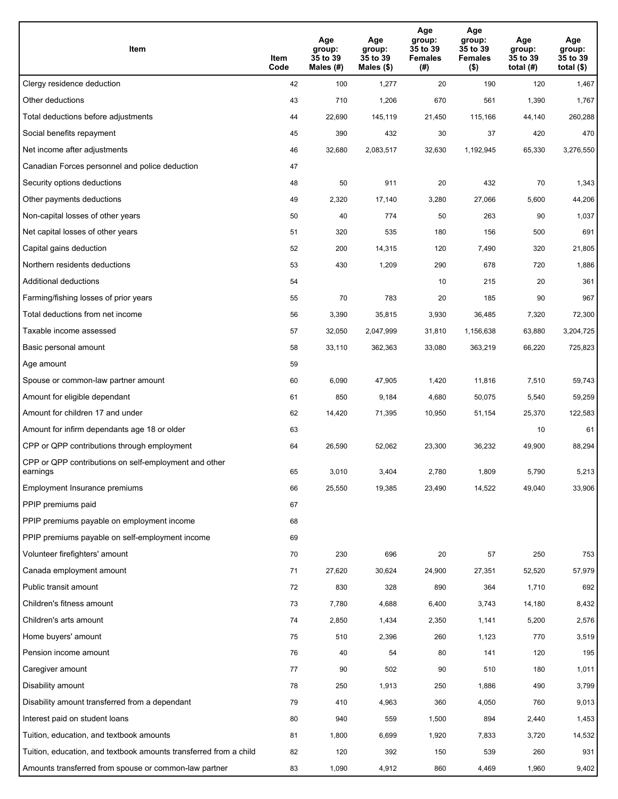| Item                                                              | Item<br>Code | Age<br>group:<br>35 to 39<br>Males (#) | Age<br>group:<br>35 to 39<br>Males (\$) | Age<br>group:<br>35 to 39<br><b>Females</b><br>(# ) | Age<br>group:<br>35 to 39<br><b>Females</b><br>$($ \$) | Age<br>group:<br>35 to 39<br>total $(H)$ | Age<br>group:<br>35 to 39<br>total $($)$ |
|-------------------------------------------------------------------|--------------|----------------------------------------|-----------------------------------------|-----------------------------------------------------|--------------------------------------------------------|------------------------------------------|------------------------------------------|
| Clergy residence deduction                                        | 42           | 100                                    | 1,277                                   | 20                                                  | 190                                                    | 120                                      | 1,467                                    |
| Other deductions                                                  | 43           | 710                                    | 1,206                                   | 670                                                 | 561                                                    | 1,390                                    | 1,767                                    |
| Total deductions before adjustments                               | 44           | 22,690                                 | 145,119                                 | 21,450                                              | 115,166                                                | 44,140                                   | 260,288                                  |
| Social benefits repayment                                         | 45           | 390                                    | 432                                     | 30                                                  | 37                                                     | 420                                      | 470                                      |
| Net income after adjustments                                      | 46           | 32,680                                 | 2,083,517                               | 32,630                                              | 1,192,945                                              | 65,330                                   | 3,276,550                                |
| Canadian Forces personnel and police deduction                    | 47           |                                        |                                         |                                                     |                                                        |                                          |                                          |
| Security options deductions                                       | 48           | 50                                     | 911                                     | 20                                                  | 432                                                    | 70                                       | 1,343                                    |
| Other payments deductions                                         | 49           | 2,320                                  | 17,140                                  | 3,280                                               | 27,066                                                 | 5,600                                    | 44,206                                   |
| Non-capital losses of other years                                 | 50           | 40                                     | 774                                     | 50                                                  | 263                                                    | 90                                       | 1,037                                    |
| Net capital losses of other years                                 | 51           | 320                                    | 535                                     | 180                                                 | 156                                                    | 500                                      | 691                                      |
| Capital gains deduction                                           | 52           | 200                                    | 14,315                                  | 120                                                 | 7,490                                                  | 320                                      | 21,805                                   |
| Northern residents deductions                                     | 53           | 430                                    | 1,209                                   | 290                                                 | 678                                                    | 720                                      | 1,886                                    |
| Additional deductions                                             | 54           |                                        |                                         | 10                                                  | 215                                                    | 20                                       | 361                                      |
| Farming/fishing losses of prior years                             | 55           | 70                                     | 783                                     | 20                                                  | 185                                                    | 90                                       | 967                                      |
| Total deductions from net income                                  | 56           | 3,390                                  | 35,815                                  | 3,930                                               | 36,485                                                 | 7,320                                    | 72,300                                   |
| Taxable income assessed                                           | 57           | 32,050                                 | 2,047,999                               | 31,810                                              | 1,156,638                                              | 63,880                                   | 3,204,725                                |
| Basic personal amount                                             | 58           | 33,110                                 | 362,363                                 | 33,080                                              | 363,219                                                | 66,220                                   | 725,823                                  |
| Age amount                                                        | 59           |                                        |                                         |                                                     |                                                        |                                          |                                          |
| Spouse or common-law partner amount                               | 60           | 6,090                                  | 47,905                                  | 1,420                                               | 11,816                                                 | 7,510                                    | 59,743                                   |
| Amount for eligible dependant                                     | 61           | 850                                    | 9,184                                   | 4,680                                               | 50,075                                                 | 5,540                                    | 59,259                                   |
| Amount for children 17 and under                                  | 62           | 14,420                                 | 71,395                                  | 10,950                                              | 51,154                                                 | 25,370                                   | 122,583                                  |
| Amount for infirm dependants age 18 or older                      | 63           |                                        |                                         |                                                     |                                                        | 10                                       | 61                                       |
| CPP or QPP contributions through employment                       | 64           | 26,590                                 | 52,062                                  | 23,300                                              | 36,232                                                 | 49,900                                   | 88,294                                   |
| CPP or QPP contributions on self-employment and other<br>earnings | 65           | 3,010                                  | 3,404                                   | 2.780                                               | 1,809                                                  | 5,790                                    | 5,213                                    |
| Employment Insurance premiums                                     | 66           | 25,550                                 | 19,385                                  | 23,490                                              | 14,522                                                 | 49,040                                   | 33,906                                   |
| PPIP premiums paid                                                | 67           |                                        |                                         |                                                     |                                                        |                                          |                                          |
| PPIP premiums payable on employment income                        | 68           |                                        |                                         |                                                     |                                                        |                                          |                                          |
| PPIP premiums payable on self-employment income                   | 69           |                                        |                                         |                                                     |                                                        |                                          |                                          |
| Volunteer firefighters' amount                                    | 70           | 230                                    | 696                                     | 20                                                  | 57                                                     | 250                                      | 753                                      |
| Canada employment amount                                          | 71           | 27,620                                 | 30,624                                  | 24,900                                              | 27,351                                                 | 52,520                                   | 57,979                                   |
| Public transit amount                                             | 72           | 830                                    | 328                                     | 890                                                 | 364                                                    | 1,710                                    | 692                                      |
| Children's fitness amount                                         | 73           | 7,780                                  | 4,688                                   | 6,400                                               | 3,743                                                  | 14,180                                   | 8,432                                    |
| Children's arts amount                                            | 74           | 2,850                                  | 1,434                                   | 2,350                                               | 1,141                                                  | 5,200                                    | 2,576                                    |
| Home buyers' amount                                               | 75           | 510                                    | 2,396                                   | 260                                                 | 1,123                                                  | 770                                      | 3,519                                    |
| Pension income amount                                             | 76           | 40                                     | 54                                      | 80                                                  | 141                                                    | 120                                      | 195                                      |
| Caregiver amount                                                  | 77           | 90                                     | 502                                     | 90                                                  | 510                                                    | 180                                      | 1,011                                    |
| Disability amount                                                 | 78           | 250                                    | 1,913                                   | 250                                                 | 1,886                                                  | 490                                      | 3,799                                    |
| Disability amount transferred from a dependant                    | 79           | 410                                    | 4,963                                   | 360                                                 | 4,050                                                  | 760                                      | 9,013                                    |
| Interest paid on student loans                                    | 80           | 940                                    | 559                                     | 1,500                                               | 894                                                    | 2,440                                    | 1,453                                    |
| Tuition, education, and textbook amounts                          | 81           | 1,800                                  | 6,699                                   | 1,920                                               | 7,833                                                  | 3,720                                    | 14,532                                   |
| Tuition, education, and textbook amounts transferred from a child | 82           | 120                                    | 392                                     | 150                                                 | 539                                                    | 260                                      | 931                                      |
| Amounts transferred from spouse or common-law partner             | 83           | 1,090                                  | 4,912                                   | 860                                                 | 4,469                                                  | 1,960                                    | 9,402                                    |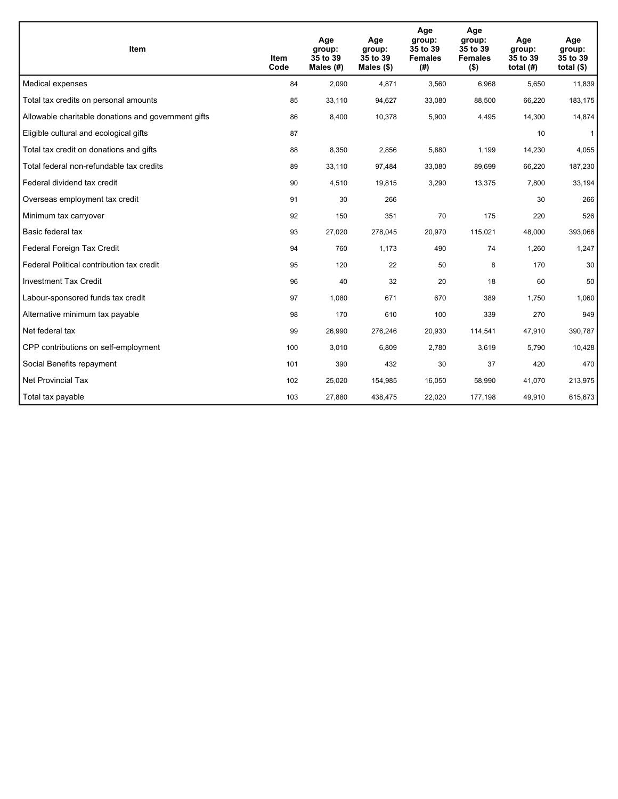| <b>Item</b>                                         | Item<br>Code | Age<br>group:<br>35 to 39<br>Males $(H)$ | Age<br>group:<br>35 to 39<br>Males $(\$)$ | Age<br>group:<br>35 to 39<br><b>Females</b><br>(# ) | Age<br>group:<br>35 to 39<br><b>Females</b><br>$($ \$) | Age<br>group:<br>35 to 39<br>total $(H)$ | Age<br>group:<br>35 to 39<br>total $($)$ |
|-----------------------------------------------------|--------------|------------------------------------------|-------------------------------------------|-----------------------------------------------------|--------------------------------------------------------|------------------------------------------|------------------------------------------|
| Medical expenses                                    | 84           | 2,090                                    | 4,871                                     | 3,560                                               | 6,968                                                  | 5,650                                    | 11,839                                   |
| Total tax credits on personal amounts               | 85           | 33,110                                   | 94,627                                    | 33,080                                              | 88,500                                                 | 66,220                                   | 183,175                                  |
| Allowable charitable donations and government gifts | 86           | 8,400                                    | 10,378                                    | 5,900                                               | 4,495                                                  | 14,300                                   | 14,874                                   |
| Eligible cultural and ecological gifts              | 87           |                                          |                                           |                                                     |                                                        | 10                                       | $\mathbf{1}$                             |
| Total tax credit on donations and gifts             | 88           | 8,350                                    | 2,856                                     | 5,880                                               | 1,199                                                  | 14,230                                   | 4,055                                    |
| Total federal non-refundable tax credits            | 89           | 33,110                                   | 97,484                                    | 33,080                                              | 89,699                                                 | 66,220                                   | 187,230                                  |
| Federal dividend tax credit                         | 90           | 4,510                                    | 19,815                                    | 3,290                                               | 13,375                                                 | 7,800                                    | 33,194                                   |
| Overseas employment tax credit                      | 91           | 30                                       | 266                                       |                                                     |                                                        | 30                                       | 266                                      |
| Minimum tax carryover                               | 92           | 150                                      | 351                                       | 70                                                  | 175                                                    | 220                                      | 526                                      |
| Basic federal tax                                   | 93           | 27,020                                   | 278,045                                   | 20,970                                              | 115,021                                                | 48,000                                   | 393,066                                  |
| Federal Foreign Tax Credit                          | 94           | 760                                      | 1,173                                     | 490                                                 | 74                                                     | 1,260                                    | 1,247                                    |
| Federal Political contribution tax credit           | 95           | 120                                      | 22                                        | 50                                                  | 8                                                      | 170                                      | 30                                       |
| <b>Investment Tax Credit</b>                        | 96           | 40                                       | 32                                        | 20                                                  | 18                                                     | 60                                       | 50                                       |
| Labour-sponsored funds tax credit                   | 97           | 1,080                                    | 671                                       | 670                                                 | 389                                                    | 1,750                                    | 1,060                                    |
| Alternative minimum tax payable                     | 98           | 170                                      | 610                                       | 100                                                 | 339                                                    | 270                                      | 949                                      |
| Net federal tax                                     | 99           | 26,990                                   | 276,246                                   | 20,930                                              | 114,541                                                | 47,910                                   | 390,787                                  |
| CPP contributions on self-employment                | 100          | 3,010                                    | 6,809                                     | 2,780                                               | 3,619                                                  | 5,790                                    | 10,428                                   |
| Social Benefits repayment                           | 101          | 390                                      | 432                                       | 30                                                  | 37                                                     | 420                                      | 470                                      |
| <b>Net Provincial Tax</b>                           | 102          | 25,020                                   | 154,985                                   | 16,050                                              | 58,990                                                 | 41,070                                   | 213,975                                  |
| Total tax payable                                   | 103          | 27,880                                   | 438,475                                   | 22,020                                              | 177,198                                                | 49,910                                   | 615,673                                  |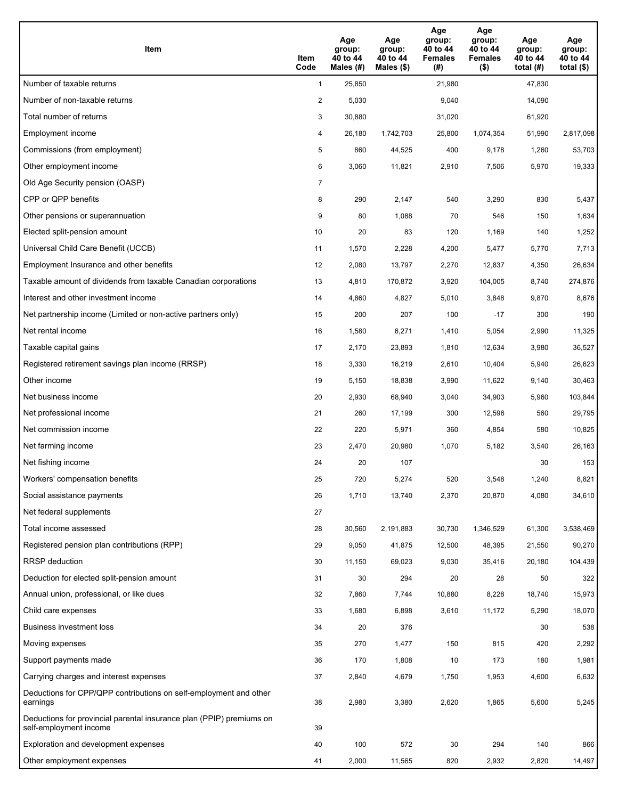| Item                                                                                           | Item<br>Code   | Age<br>group:<br>40 to 44<br>Males (#) | Age<br>group:<br>40 to 44<br>Males $(\$)$ | Age<br>group:<br>40 to 44<br><b>Females</b><br>(#) | Age<br>group:<br>40 to 44<br><b>Females</b><br>$($ \$) | Age<br>group:<br>40 to 44<br>total $(H)$ | Age<br>group:<br>40 to 44<br>total $($ |
|------------------------------------------------------------------------------------------------|----------------|----------------------------------------|-------------------------------------------|----------------------------------------------------|--------------------------------------------------------|------------------------------------------|----------------------------------------|
| Number of taxable returns                                                                      | $\mathbf{1}$   | 25,850                                 |                                           | 21,980                                             |                                                        | 47,830                                   |                                        |
| Number of non-taxable returns                                                                  | $\overline{a}$ | 5,030                                  |                                           | 9,040                                              |                                                        | 14,090                                   |                                        |
| Total number of returns                                                                        | 3              | 30,880                                 |                                           | 31,020                                             |                                                        | 61,920                                   |                                        |
| Employment income                                                                              | 4              | 26.180                                 | 1,742,703                                 | 25,800                                             | 1,074,354                                              | 51,990                                   | 2,817,098                              |
| Commissions (from employment)                                                                  | 5              | 860                                    | 44,525                                    | 400                                                | 9,178                                                  | 1,260                                    | 53,703                                 |
| Other employment income                                                                        | 6              | 3,060                                  | 11,821                                    | 2,910                                              | 7,506                                                  | 5,970                                    | 19,333                                 |
| Old Age Security pension (OASP)                                                                | 7              |                                        |                                           |                                                    |                                                        |                                          |                                        |
| CPP or QPP benefits                                                                            | 8              | 290                                    | 2,147                                     | 540                                                | 3,290                                                  | 830                                      | 5,437                                  |
| Other pensions or superannuation                                                               | 9              | 80                                     | 1,088                                     | 70                                                 | 546                                                    | 150                                      | 1,634                                  |
| Elected split-pension amount                                                                   | 10             | 20                                     | 83                                        | 120                                                | 1,169                                                  | 140                                      | 1,252                                  |
| Universal Child Care Benefit (UCCB)                                                            | 11             | 1,570                                  | 2,228                                     | 4,200                                              | 5,477                                                  | 5,770                                    | 7,713                                  |
| Employment Insurance and other benefits                                                        | 12             | 2,080                                  | 13,797                                    | 2,270                                              | 12,837                                                 | 4,350                                    | 26,634                                 |
| Taxable amount of dividends from taxable Canadian corporations                                 | 13             | 4,810                                  | 170,872                                   | 3,920                                              | 104,005                                                | 8,740                                    | 274,876                                |
| Interest and other investment income                                                           | 14             | 4,860                                  | 4,827                                     | 5,010                                              | 3,848                                                  | 9,870                                    | 8,676                                  |
| Net partnership income (Limited or non-active partners only)                                   | 15             | 200                                    | 207                                       | 100                                                | $-17$                                                  | 300                                      | 190                                    |
| Net rental income                                                                              | 16             | 1,580                                  | 6,271                                     | 1,410                                              | 5,054                                                  | 2,990                                    | 11,325                                 |
| Taxable capital gains                                                                          | 17             | 2,170                                  | 23,893                                    | 1,810                                              | 12,634                                                 | 3,980                                    | 36,527                                 |
| Registered retirement savings plan income (RRSP)                                               | 18             | 3,330                                  | 16,219                                    | 2,610                                              | 10,404                                                 | 5,940                                    | 26,623                                 |
| Other income                                                                                   | 19             | 5,150                                  | 18,838                                    | 3,990                                              | 11,622                                                 | 9,140                                    | 30,463                                 |
| Net business income                                                                            | 20             | 2,930                                  | 68,940                                    | 3,040                                              | 34,903                                                 | 5,960                                    | 103,844                                |
| Net professional income                                                                        | 21             | 260                                    | 17,199                                    | 300                                                | 12,596                                                 | 560                                      | 29,795                                 |
| Net commission income                                                                          | 22             | 220                                    | 5,971                                     | 360                                                | 4,854                                                  | 580                                      | 10,825                                 |
| Net farming income                                                                             | 23             | 2,470                                  | 20,980                                    | 1,070                                              | 5,182                                                  | 3,540                                    | 26,163                                 |
| Net fishing income                                                                             | 24             | 20                                     | 107                                       |                                                    |                                                        | 30                                       | 153                                    |
| Workers' compensation benefits                                                                 | 25             | 720                                    | 5,274                                     | 520                                                | 3,548                                                  | 1,240                                    | 8,821                                  |
| Social assistance payments                                                                     | 26             | 1,710                                  | 13,740                                    | 2,370                                              | 20,870                                                 | 4,080                                    | 34,610                                 |
| Net federal supplements                                                                        | 27             |                                        |                                           |                                                    |                                                        |                                          |                                        |
| Total income assessed                                                                          | 28             | 30,560                                 | 2,191,883                                 | 30,730                                             | 1,346,529                                              | 61,300                                   | 3,538,469                              |
| Registered pension plan contributions (RPP)                                                    | 29             | 9,050                                  | 41,875                                    | 12,500                                             | 48,395                                                 | 21,550                                   | 90,270                                 |
| <b>RRSP</b> deduction                                                                          | 30             | 11,150                                 | 69,023                                    | 9,030                                              | 35,416                                                 | 20,180                                   | 104,439                                |
| Deduction for elected split-pension amount                                                     | 31             | 30                                     | 294                                       | 20                                                 | 28                                                     | 50                                       | 322                                    |
| Annual union, professional, or like dues                                                       | 32             | 7,860                                  | 7,744                                     | 10,880                                             | 8,228                                                  | 18,740                                   | 15,973                                 |
| Child care expenses                                                                            | 33             | 1,680                                  | 6,898                                     | 3,610                                              | 11,172                                                 | 5,290                                    | 18,070                                 |
| Business investment loss                                                                       | 34             | 20                                     | 376                                       |                                                    |                                                        | 30                                       | 538                                    |
| Moving expenses                                                                                | 35             | 270                                    | 1,477                                     | 150                                                | 815                                                    | 420                                      | 2,292                                  |
| Support payments made                                                                          | 36             | 170                                    | 1,808                                     | 10                                                 | 173                                                    | 180                                      | 1,981                                  |
| Carrying charges and interest expenses                                                         | 37             | 2,840                                  | 4,679                                     | 1,750                                              | 1,953                                                  | 4,600                                    | 6,632                                  |
| Deductions for CPP/QPP contributions on self-employment and other<br>earnings                  | 38             | 2,980                                  | 3,380                                     | 2,620                                              | 1,865                                                  | 5,600                                    | 5,245                                  |
| Deductions for provincial parental insurance plan (PPIP) premiums on<br>self-employment income | 39             |                                        |                                           |                                                    |                                                        |                                          |                                        |
| Exploration and development expenses                                                           | 40             | 100                                    | 572                                       | 30                                                 | 294                                                    | 140                                      | 866                                    |
| Other employment expenses                                                                      | 41             | 2,000                                  | 11,565                                    | 820                                                | 2,932                                                  | 2,820                                    | 14,497                                 |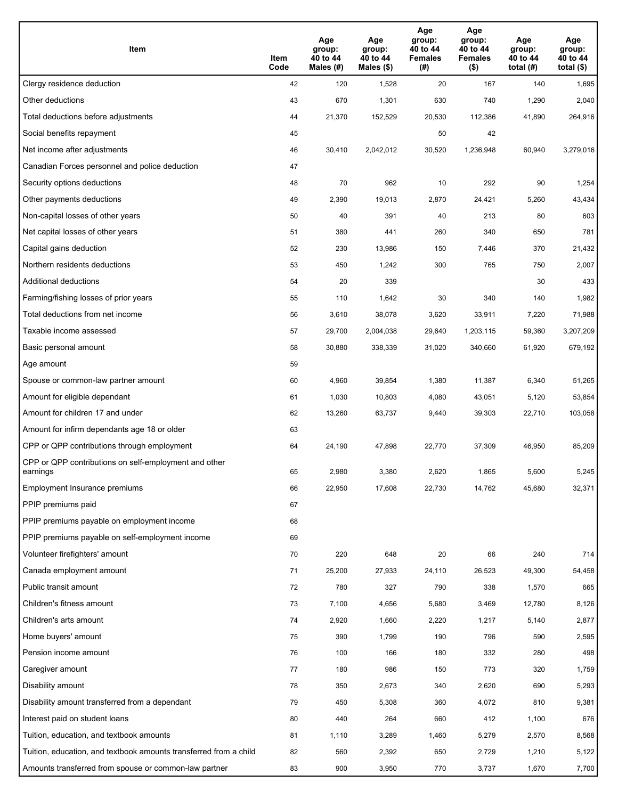| Item                                                              | Item<br>Code | Age<br>group:<br>40 to 44<br>Males (#) | Age<br>group:<br>40 to 44<br>Males (\$) | Age<br>group:<br>40 to 44<br><b>Females</b><br>(# ) | Age<br>group:<br>40 to 44<br><b>Females</b><br>$($ \$) | Age<br>group:<br>40 to 44<br>total $(H)$ | Age<br>group:<br>40 to 44<br>total $($)$ |
|-------------------------------------------------------------------|--------------|----------------------------------------|-----------------------------------------|-----------------------------------------------------|--------------------------------------------------------|------------------------------------------|------------------------------------------|
| Clergy residence deduction                                        | 42           | 120                                    | 1,528                                   | 20                                                  | 167                                                    | 140                                      | 1,695                                    |
| Other deductions                                                  | 43           | 670                                    | 1,301                                   | 630                                                 | 740                                                    | 1,290                                    | 2,040                                    |
| Total deductions before adjustments                               | 44           | 21,370                                 | 152,529                                 | 20,530                                              | 112,386                                                | 41,890                                   | 264,916                                  |
| Social benefits repayment                                         | 45           |                                        |                                         | 50                                                  | 42                                                     |                                          |                                          |
| Net income after adjustments                                      | 46           | 30,410                                 | 2,042,012                               | 30,520                                              | 1,236,948                                              | 60,940                                   | 3,279,016                                |
| Canadian Forces personnel and police deduction                    | 47           |                                        |                                         |                                                     |                                                        |                                          |                                          |
| Security options deductions                                       | 48           | 70                                     | 962                                     | 10                                                  | 292                                                    | 90                                       | 1,254                                    |
| Other payments deductions                                         | 49           | 2,390                                  | 19,013                                  | 2,870                                               | 24,421                                                 | 5,260                                    | 43,434                                   |
| Non-capital losses of other years                                 | 50           | 40                                     | 391                                     | 40                                                  | 213                                                    | 80                                       | 603                                      |
| Net capital losses of other years                                 | 51           | 380                                    | 441                                     | 260                                                 | 340                                                    | 650                                      | 781                                      |
| Capital gains deduction                                           | 52           | 230                                    | 13,986                                  | 150                                                 | 7,446                                                  | 370                                      | 21,432                                   |
| Northern residents deductions                                     | 53           | 450                                    | 1,242                                   | 300                                                 | 765                                                    | 750                                      | 2,007                                    |
| Additional deductions                                             | 54           | 20                                     | 339                                     |                                                     |                                                        | 30                                       | 433                                      |
| Farming/fishing losses of prior years                             | 55           | 110                                    | 1,642                                   | 30                                                  | 340                                                    | 140                                      | 1,982                                    |
| Total deductions from net income                                  | 56           | 3,610                                  | 38,078                                  | 3,620                                               | 33,911                                                 | 7,220                                    | 71,988                                   |
| Taxable income assessed                                           | 57           | 29,700                                 | 2,004,038                               | 29,640                                              | 1,203,115                                              | 59,360                                   | 3,207,209                                |
| Basic personal amount                                             | 58           | 30,880                                 | 338,339                                 | 31,020                                              | 340,660                                                | 61,920                                   | 679,192                                  |
| Age amount                                                        | 59           |                                        |                                         |                                                     |                                                        |                                          |                                          |
| Spouse or common-law partner amount                               | 60           | 4,960                                  | 39,854                                  | 1,380                                               | 11,387                                                 | 6,340                                    | 51,265                                   |
| Amount for eligible dependant                                     | 61           | 1,030                                  | 10,803                                  | 4,080                                               | 43,051                                                 | 5,120                                    | 53,854                                   |
| Amount for children 17 and under                                  | 62           | 13,260                                 | 63,737                                  | 9,440                                               | 39,303                                                 | 22,710                                   | 103,058                                  |
| Amount for infirm dependants age 18 or older                      | 63           |                                        |                                         |                                                     |                                                        |                                          |                                          |
| CPP or QPP contributions through employment                       | 64           | 24,190                                 | 47,898                                  | 22,770                                              | 37,309                                                 | 46,950                                   | 85,209                                   |
| CPP or QPP contributions on self-employment and other<br>earnings | 65           | 2,980                                  | 3,380                                   | 2,620                                               | 1.865                                                  | 5,600                                    | 5,245                                    |
| Employment Insurance premiums                                     | 66           | 22,950                                 | 17,608                                  | 22,730                                              | 14,762                                                 | 45,680                                   | 32,371                                   |
| PPIP premiums paid                                                | 67           |                                        |                                         |                                                     |                                                        |                                          |                                          |
| PPIP premiums payable on employment income                        | 68           |                                        |                                         |                                                     |                                                        |                                          |                                          |
| PPIP premiums payable on self-employment income                   | 69           |                                        |                                         |                                                     |                                                        |                                          |                                          |
| Volunteer firefighters' amount                                    | 70           | 220                                    | 648                                     | 20                                                  | 66                                                     | 240                                      | 714                                      |
| Canada employment amount                                          | 71           | 25,200                                 | 27,933                                  | 24,110                                              | 26,523                                                 | 49,300                                   | 54,458                                   |
| Public transit amount                                             | 72           | 780                                    | 327                                     | 790                                                 | 338                                                    | 1,570                                    | 665                                      |
| Children's fitness amount                                         | 73           | 7,100                                  | 4,656                                   | 5,680                                               | 3,469                                                  | 12,780                                   | 8,126                                    |
| Children's arts amount                                            | 74           | 2,920                                  | 1,660                                   | 2,220                                               | 1,217                                                  | 5,140                                    | 2,877                                    |
| Home buyers' amount                                               | 75           | 390                                    | 1,799                                   | 190                                                 | 796                                                    | 590                                      | 2,595                                    |
| Pension income amount                                             | 76           | 100                                    | 166                                     | 180                                                 | 332                                                    | 280                                      | 498                                      |
| Caregiver amount                                                  | 77           | 180                                    | 986                                     | 150                                                 | 773                                                    | 320                                      | 1,759                                    |
| Disability amount                                                 | 78           | 350                                    | 2,673                                   | 340                                                 | 2,620                                                  | 690                                      | 5,293                                    |
| Disability amount transferred from a dependant                    | 79           | 450                                    | 5,308                                   | 360                                                 | 4,072                                                  | 810                                      | 9,381                                    |
| Interest paid on student loans                                    | 80           | 440                                    | 264                                     | 660                                                 | 412                                                    | 1,100                                    | 676                                      |
| Tuition, education, and textbook amounts                          | 81           | 1,110                                  | 3,289                                   | 1,460                                               | 5,279                                                  | 2,570                                    | 8,568                                    |
| Tuition, education, and textbook amounts transferred from a child | 82           | 560                                    | 2,392                                   | 650                                                 | 2,729                                                  | 1,210                                    | 5,122                                    |
| Amounts transferred from spouse or common-law partner             | 83           | 900                                    | 3,950                                   | 770                                                 | 3,737                                                  | 1,670                                    | 7,700                                    |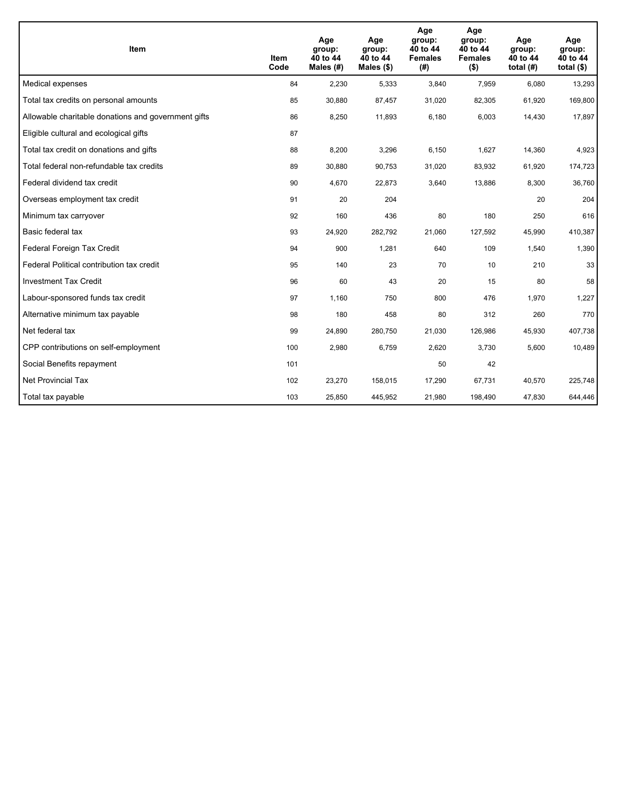| <b>Item</b>                                         | Item<br>Code | Age<br>group:<br>40 to 44<br>Males $(H)$ | Age<br>group:<br>40 to 44<br>Males $(\$)$ | Age<br>group:<br>40 to 44<br><b>Females</b><br>(# ) | Age<br>group:<br>40 to 44<br><b>Females</b><br>$($ \$) | Age<br>group:<br>40 to 44<br>total $(#)$ | Age<br>group:<br>40 to 44<br>total $($)$ |
|-----------------------------------------------------|--------------|------------------------------------------|-------------------------------------------|-----------------------------------------------------|--------------------------------------------------------|------------------------------------------|------------------------------------------|
| Medical expenses                                    | 84           | 2,230                                    | 5,333                                     | 3,840                                               | 7,959                                                  | 6,080                                    | 13,293                                   |
| Total tax credits on personal amounts               | 85           | 30,880                                   | 87,457                                    | 31,020                                              | 82,305                                                 | 61,920                                   | 169,800                                  |
| Allowable charitable donations and government gifts | 86           | 8,250                                    | 11,893                                    | 6,180                                               | 6,003                                                  | 14,430                                   | 17,897                                   |
| Eligible cultural and ecological gifts              | 87           |                                          |                                           |                                                     |                                                        |                                          |                                          |
| Total tax credit on donations and gifts             | 88           | 8,200                                    | 3,296                                     | 6,150                                               | 1,627                                                  | 14,360                                   | 4,923                                    |
| Total federal non-refundable tax credits            | 89           | 30,880                                   | 90,753                                    | 31,020                                              | 83,932                                                 | 61,920                                   | 174,723                                  |
| Federal dividend tax credit                         | 90           | 4,670                                    | 22,873                                    | 3,640                                               | 13,886                                                 | 8,300                                    | 36,760                                   |
| Overseas employment tax credit                      | 91           | 20                                       | 204                                       |                                                     |                                                        | 20                                       | 204                                      |
| Minimum tax carryover                               | 92           | 160                                      | 436                                       | 80                                                  | 180                                                    | 250                                      | 616                                      |
| Basic federal tax                                   | 93           | 24,920                                   | 282,792                                   | 21,060                                              | 127,592                                                | 45,990                                   | 410,387                                  |
| Federal Foreign Tax Credit                          | 94           | 900                                      | 1,281                                     | 640                                                 | 109                                                    | 1,540                                    | 1,390                                    |
| Federal Political contribution tax credit           | 95           | 140                                      | 23                                        | 70                                                  | 10 <sup>1</sup>                                        | 210                                      | 33                                       |
| <b>Investment Tax Credit</b>                        | 96           | 60                                       | 43                                        | 20                                                  | 15                                                     | 80                                       | 58                                       |
| Labour-sponsored funds tax credit                   | 97           | 1,160                                    | 750                                       | 800                                                 | 476                                                    | 1,970                                    | 1,227                                    |
| Alternative minimum tax payable                     | 98           | 180                                      | 458                                       | 80                                                  | 312                                                    | 260                                      | 770                                      |
| Net federal tax                                     | 99           | 24,890                                   | 280,750                                   | 21,030                                              | 126,986                                                | 45,930                                   | 407,738                                  |
| CPP contributions on self-employment                | 100          | 2,980                                    | 6,759                                     | 2,620                                               | 3,730                                                  | 5,600                                    | 10,489                                   |
| Social Benefits repayment                           | 101          |                                          |                                           | 50                                                  | 42                                                     |                                          |                                          |
| <b>Net Provincial Tax</b>                           | 102          | 23,270                                   | 158,015                                   | 17,290                                              | 67,731                                                 | 40,570                                   | 225,748                                  |
| Total tax payable                                   | 103          | 25,850                                   | 445,952                                   | 21,980                                              | 198,490                                                | 47,830                                   | 644,446                                  |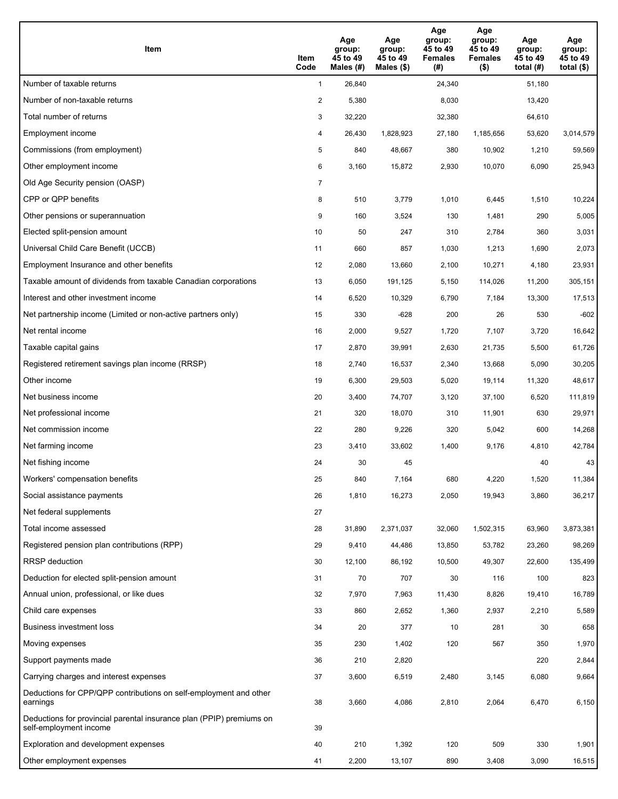| Item                                                                                           | Item<br>Code   | Age<br>group:<br>45 to 49<br>Males (#) | Age<br>group:<br>45 to 49<br>Males $(\$)$ | Age<br>group:<br>45 to 49<br><b>Females</b><br>(#) | Age<br>group:<br>45 to 49<br><b>Females</b><br>$($ \$) | Age<br>group:<br>45 to 49<br>total $(H)$ | Age<br>group:<br>45 to 49<br>total $($ |
|------------------------------------------------------------------------------------------------|----------------|----------------------------------------|-------------------------------------------|----------------------------------------------------|--------------------------------------------------------|------------------------------------------|----------------------------------------|
| Number of taxable returns                                                                      | $\mathbf{1}$   | 26,840                                 |                                           | 24,340                                             |                                                        | 51,180                                   |                                        |
| Number of non-taxable returns                                                                  | $\overline{a}$ | 5,380                                  |                                           | 8,030                                              |                                                        | 13,420                                   |                                        |
| Total number of returns                                                                        | 3              | 32,220                                 |                                           | 32,380                                             |                                                        | 64,610                                   |                                        |
| Employment income                                                                              | 4              | 26,430                                 | 1,828,923                                 | 27,180                                             | 1.185.656                                              | 53,620                                   | 3,014,579                              |
| Commissions (from employment)                                                                  | 5              | 840                                    | 48,667                                    | 380                                                | 10,902                                                 | 1,210                                    | 59,569                                 |
| Other employment income                                                                        | 6              | 3,160                                  | 15,872                                    | 2,930                                              | 10,070                                                 | 6,090                                    | 25,943                                 |
| Old Age Security pension (OASP)                                                                | 7              |                                        |                                           |                                                    |                                                        |                                          |                                        |
| CPP or QPP benefits                                                                            | 8              | 510                                    | 3,779                                     | 1,010                                              | 6,445                                                  | 1,510                                    | 10,224                                 |
| Other pensions or superannuation                                                               | 9              | 160                                    | 3,524                                     | 130                                                | 1,481                                                  | 290                                      | 5,005                                  |
| Elected split-pension amount                                                                   | 10             | 50                                     | 247                                       | 310                                                | 2,784                                                  | 360                                      | 3,031                                  |
| Universal Child Care Benefit (UCCB)                                                            | 11             | 660                                    | 857                                       | 1,030                                              | 1,213                                                  | 1,690                                    | 2,073                                  |
| Employment Insurance and other benefits                                                        | 12             | 2,080                                  | 13,660                                    | 2,100                                              | 10,271                                                 | 4,180                                    | 23,931                                 |
| Taxable amount of dividends from taxable Canadian corporations                                 | 13             | 6,050                                  | 191,125                                   | 5,150                                              | 114,026                                                | 11,200                                   | 305,151                                |
| Interest and other investment income                                                           | 14             | 6,520                                  | 10,329                                    | 6,790                                              | 7,184                                                  | 13,300                                   | 17,513                                 |
| Net partnership income (Limited or non-active partners only)                                   | 15             | 330                                    | $-628$                                    | 200                                                | 26                                                     | 530                                      | $-602$                                 |
| Net rental income                                                                              | 16             | 2,000                                  | 9,527                                     | 1,720                                              | 7,107                                                  | 3,720                                    | 16,642                                 |
| Taxable capital gains                                                                          | 17             | 2,870                                  | 39,991                                    | 2,630                                              | 21,735                                                 | 5,500                                    | 61,726                                 |
| Registered retirement savings plan income (RRSP)                                               | 18             | 2,740                                  | 16,537                                    | 2,340                                              | 13,668                                                 | 5,090                                    | 30,205                                 |
| Other income                                                                                   | 19             | 6,300                                  | 29,503                                    | 5,020                                              | 19,114                                                 | 11,320                                   | 48,617                                 |
| Net business income                                                                            | 20             | 3,400                                  | 74,707                                    | 3,120                                              | 37,100                                                 | 6,520                                    | 111,819                                |
| Net professional income                                                                        | 21             | 320                                    | 18,070                                    | 310                                                | 11,901                                                 | 630                                      | 29,971                                 |
| Net commission income                                                                          | 22             | 280                                    | 9,226                                     | 320                                                | 5,042                                                  | 600                                      | 14,268                                 |
| Net farming income                                                                             | 23             | 3,410                                  | 33,602                                    | 1,400                                              | 9,176                                                  | 4,810                                    | 42,784                                 |
| Net fishing income                                                                             | 24             | 30                                     | 45                                        |                                                    |                                                        | 40                                       | 43                                     |
| Workers' compensation benefits                                                                 | 25             | 840                                    | 7,164                                     | 680                                                | 4,220                                                  | 1,520                                    | 11,384                                 |
| Social assistance payments                                                                     | 26             | 1,810                                  | 16,273                                    | 2,050                                              | 19,943                                                 | 3,860                                    | 36,217                                 |
| Net federal supplements                                                                        | 27             |                                        |                                           |                                                    |                                                        |                                          |                                        |
| Total income assessed                                                                          | 28             | 31,890                                 | 2,371,037                                 | 32,060                                             | 1,502,315                                              | 63,960                                   | 3,873,381                              |
| Registered pension plan contributions (RPP)                                                    | 29             | 9,410                                  | 44,486                                    | 13,850                                             | 53,782                                                 | 23,260                                   | 98,269                                 |
| <b>RRSP</b> deduction                                                                          | 30             | 12,100                                 | 86,192                                    | 10,500                                             | 49,307                                                 | 22,600                                   | 135,499                                |
| Deduction for elected split-pension amount                                                     | 31             | 70                                     | 707                                       | 30                                                 | 116                                                    | 100                                      | 823                                    |
| Annual union, professional, or like dues                                                       | 32             | 7,970                                  | 7,963                                     | 11,430                                             | 8,826                                                  | 19,410                                   | 16,789                                 |
| Child care expenses                                                                            | 33             | 860                                    | 2,652                                     | 1,360                                              | 2,937                                                  | 2,210                                    | 5,589                                  |
| Business investment loss                                                                       | 34             | 20                                     | 377                                       | 10                                                 | 281                                                    | 30                                       | 658                                    |
| Moving expenses                                                                                | 35             | 230                                    | 1,402                                     | 120                                                | 567                                                    | 350                                      | 1,970                                  |
| Support payments made                                                                          | 36             | 210                                    | 2,820                                     |                                                    |                                                        | 220                                      | 2,844                                  |
| Carrying charges and interest expenses                                                         | 37             | 3,600                                  | 6,519                                     | 2,480                                              | 3,145                                                  | 6,080                                    | 9,664                                  |
| Deductions for CPP/QPP contributions on self-employment and other<br>earnings                  | 38             | 3,660                                  | 4,086                                     | 2,810                                              | 2,064                                                  | 6,470                                    | 6,150                                  |
| Deductions for provincial parental insurance plan (PPIP) premiums on<br>self-employment income | 39             |                                        |                                           |                                                    |                                                        |                                          |                                        |
| Exploration and development expenses                                                           | 40             | 210                                    | 1,392                                     | 120                                                | 509                                                    | 330                                      | 1,901                                  |
| Other employment expenses                                                                      | 41             | 2,200                                  | 13,107                                    | 890                                                | 3,408                                                  | 3,090                                    | 16,515                                 |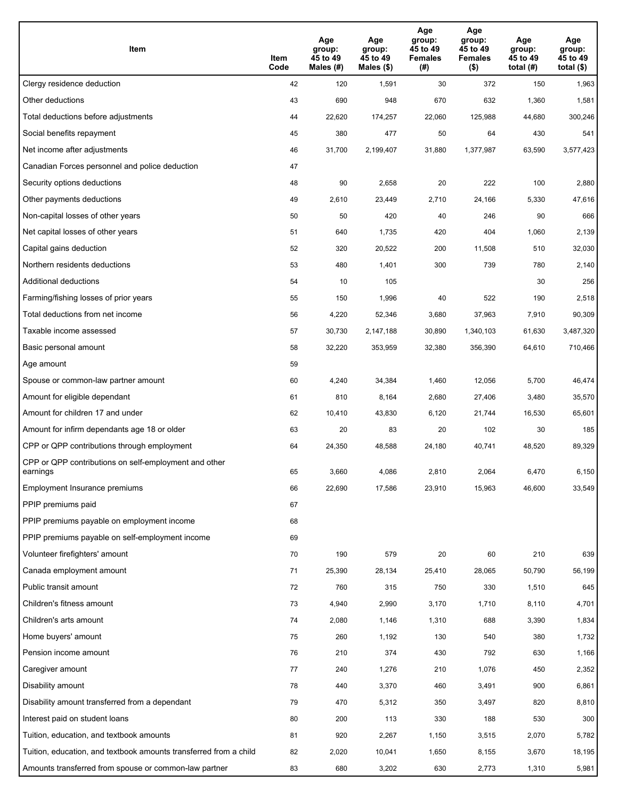| Item                                                              | Item<br>Code | Age<br>group:<br>45 to 49<br>Males (#) | Age<br>group:<br>45 to 49<br>Males (\$) | Age<br>group:<br>45 to 49<br><b>Females</b><br>(# ) | Age<br>group:<br>45 to 49<br>Females<br>$($ \$) | Age<br>group:<br>45 to 49<br>total $(H)$ | Age<br>group:<br>45 to 49<br>total $($)$ |
|-------------------------------------------------------------------|--------------|----------------------------------------|-----------------------------------------|-----------------------------------------------------|-------------------------------------------------|------------------------------------------|------------------------------------------|
| Clergy residence deduction                                        | 42           | 120                                    | 1,591                                   | 30                                                  | 372                                             | 150                                      | 1,963                                    |
| Other deductions                                                  | 43           | 690                                    | 948                                     | 670                                                 | 632                                             | 1,360                                    | 1,581                                    |
| Total deductions before adjustments                               | 44           | 22,620                                 | 174,257                                 | 22,060                                              | 125,988                                         | 44,680                                   | 300,246                                  |
| Social benefits repayment                                         | 45           | 380                                    | 477                                     | 50                                                  | 64                                              | 430                                      | 541                                      |
| Net income after adjustments                                      | 46           | 31,700                                 | 2,199,407                               | 31,880                                              | 1,377,987                                       | 63,590                                   | 3,577,423                                |
| Canadian Forces personnel and police deduction                    | 47           |                                        |                                         |                                                     |                                                 |                                          |                                          |
| Security options deductions                                       | 48           | 90                                     | 2,658                                   | 20                                                  | 222                                             | 100                                      | 2,880                                    |
| Other payments deductions                                         | 49           | 2,610                                  | 23,449                                  | 2,710                                               | 24,166                                          | 5,330                                    | 47,616                                   |
| Non-capital losses of other years                                 | 50           | 50                                     | 420                                     | 40                                                  | 246                                             | 90                                       | 666                                      |
| Net capital losses of other years                                 | 51           | 640                                    | 1,735                                   | 420                                                 | 404                                             | 1,060                                    | 2,139                                    |
| Capital gains deduction                                           | 52           | 320                                    | 20,522                                  | 200                                                 | 11,508                                          | 510                                      | 32,030                                   |
| Northern residents deductions                                     | 53           | 480                                    | 1,401                                   | 300                                                 | 739                                             | 780                                      | 2,140                                    |
| Additional deductions                                             | 54           | 10                                     | 105                                     |                                                     |                                                 | 30                                       | 256                                      |
| Farming/fishing losses of prior years                             | 55           | 150                                    | 1,996                                   | 40                                                  | 522                                             | 190                                      | 2,518                                    |
| Total deductions from net income                                  | 56           | 4,220                                  | 52,346                                  | 3,680                                               | 37,963                                          | 7,910                                    | 90,309                                   |
| Taxable income assessed                                           | 57           | 30,730                                 | 2,147,188                               | 30,890                                              | 1,340,103                                       | 61,630                                   | 3,487,320                                |
| Basic personal amount                                             | 58           | 32,220                                 | 353,959                                 | 32,380                                              | 356,390                                         | 64,610                                   | 710,466                                  |
| Age amount                                                        | 59           |                                        |                                         |                                                     |                                                 |                                          |                                          |
| Spouse or common-law partner amount                               | 60           | 4,240                                  | 34,384                                  | 1,460                                               | 12,056                                          | 5,700                                    | 46,474                                   |
| Amount for eligible dependant                                     | 61           | 810                                    | 8,164                                   | 2,680                                               | 27,406                                          | 3,480                                    | 35,570                                   |
| Amount for children 17 and under                                  | 62           | 10,410                                 | 43,830                                  | 6,120                                               | 21,744                                          | 16,530                                   | 65,601                                   |
| Amount for infirm dependants age 18 or older                      | 63           | 20                                     | 83                                      | 20                                                  | 102                                             | 30                                       | 185                                      |
| CPP or QPP contributions through employment                       | 64           | 24,350                                 | 48,588                                  | 24,180                                              | 40,741                                          | 48,520                                   | 89,329                                   |
| CPP or QPP contributions on self-employment and other<br>earnings | 65           | 3,660                                  | 4,086                                   | 2,810                                               | 2,064                                           | 6,470                                    | 6,150                                    |
| Employment Insurance premiums                                     | 66           | 22,690                                 | 17,586                                  | 23,910                                              | 15,963                                          | 46,600                                   | 33,549                                   |
| PPIP premiums paid                                                | 67           |                                        |                                         |                                                     |                                                 |                                          |                                          |
| PPIP premiums payable on employment income                        | 68           |                                        |                                         |                                                     |                                                 |                                          |                                          |
| PPIP premiums payable on self-employment income                   | 69           |                                        |                                         |                                                     |                                                 |                                          |                                          |
| Volunteer firefighters' amount                                    | 70           | 190                                    | 579                                     | 20                                                  | 60                                              | 210                                      | 639                                      |
| Canada employment amount                                          | 71           | 25,390                                 | 28,134                                  | 25,410                                              | 28,065                                          | 50,790                                   | 56,199                                   |
| Public transit amount                                             | 72           | 760                                    | 315                                     | 750                                                 | 330                                             | 1,510                                    | 645                                      |
| Children's fitness amount                                         | 73           | 4,940                                  | 2,990                                   | 3,170                                               | 1,710                                           | 8,110                                    | 4,701                                    |
| Children's arts amount                                            | 74           | 2,080                                  | 1,146                                   | 1,310                                               | 688                                             | 3,390                                    | 1,834                                    |
| Home buyers' amount                                               | 75           | 260                                    | 1,192                                   | 130                                                 | 540                                             | 380                                      | 1,732                                    |
| Pension income amount                                             | 76           | 210                                    | 374                                     | 430                                                 | 792                                             | 630                                      | 1,166                                    |
| Caregiver amount                                                  | 77           | 240                                    | 1,276                                   | 210                                                 | 1,076                                           | 450                                      | 2,352                                    |
| Disability amount                                                 | 78           | 440                                    | 3,370                                   | 460                                                 | 3,491                                           | 900                                      | 6,861                                    |
| Disability amount transferred from a dependant                    | 79           | 470                                    | 5,312                                   | 350                                                 | 3,497                                           | 820                                      | 8,810                                    |
| Interest paid on student loans                                    | 80           | 200                                    | 113                                     | 330                                                 | 188                                             | 530                                      | 300                                      |
| Tuition, education, and textbook amounts                          | 81           | 920                                    | 2,267                                   | 1,150                                               | 3,515                                           | 2,070                                    | 5,782                                    |
| Tuition, education, and textbook amounts transferred from a child | 82           | 2,020                                  | 10,041                                  | 1,650                                               | 8,155                                           | 3,670                                    | 18,195                                   |
| Amounts transferred from spouse or common-law partner             | 83           | 680                                    | 3,202                                   | 630                                                 | 2,773                                           | 1,310                                    | 5,981                                    |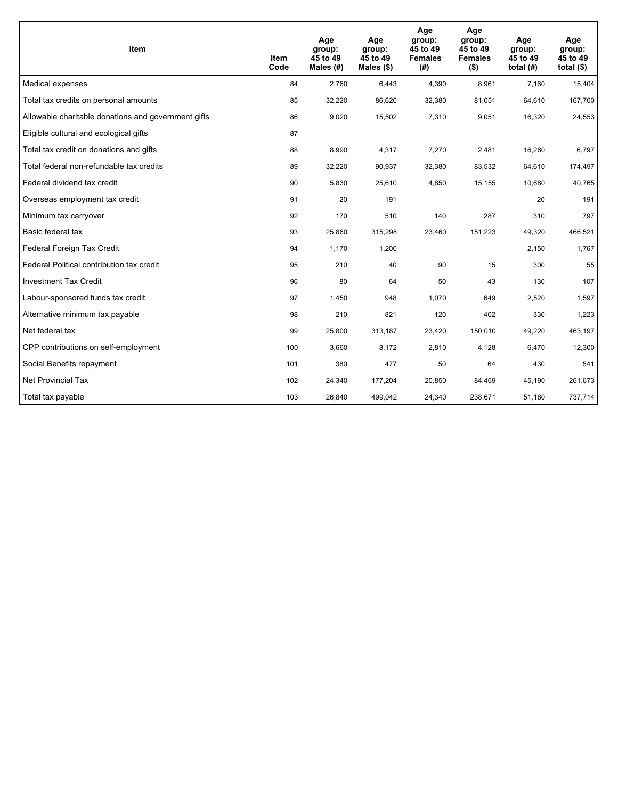| <b>Item</b>                                         | Item<br>Code | Age<br>group:<br>45 to 49<br>Males $(H)$ | Age<br>group:<br>45 to 49<br>Males $(\$)$ | Age<br>group:<br>45 to 49<br><b>Females</b><br>(# ) | Age<br>group:<br>45 to 49<br><b>Females</b><br>$($ \$) | Age<br>group:<br>45 to 49<br>total $(H)$ | Age<br>group:<br>45 to 49<br>total $($)$ |
|-----------------------------------------------------|--------------|------------------------------------------|-------------------------------------------|-----------------------------------------------------|--------------------------------------------------------|------------------------------------------|------------------------------------------|
| Medical expenses                                    | 84           | 2,760                                    | 6,443                                     | 4,390                                               | 8,961                                                  | 7,160                                    | 15,404                                   |
| Total tax credits on personal amounts               | 85           | 32,220                                   | 86,620                                    | 32,380                                              | 81,051                                                 | 64,610                                   | 167,700                                  |
| Allowable charitable donations and government gifts | 86           | 9,020                                    | 15,502                                    | 7,310                                               | 9,051                                                  | 16,320                                   | 24,553                                   |
| Eligible cultural and ecological gifts              | 87           |                                          |                                           |                                                     |                                                        |                                          |                                          |
| Total tax credit on donations and gifts             | 88           | 8,990                                    | 4,317                                     | 7,270                                               | 2,481                                                  | 16,260                                   | 6,797                                    |
| Total federal non-refundable tax credits            | 89           | 32,220                                   | 90,937                                    | 32,380                                              | 83,532                                                 | 64,610                                   | 174,497                                  |
| Federal dividend tax credit                         | 90           | 5,830                                    | 25,610                                    | 4,850                                               | 15,155                                                 | 10,680                                   | 40,765                                   |
| Overseas employment tax credit                      | 91           | 20                                       | 191                                       |                                                     |                                                        | 20                                       | 191                                      |
| Minimum tax carryover                               | 92           | 170                                      | 510                                       | 140                                                 | 287                                                    | 310                                      | 797                                      |
| Basic federal tax                                   | 93           | 25,860                                   | 315,298                                   | 23,460                                              | 151,223                                                | 49.320                                   | 466,521                                  |
| Federal Foreign Tax Credit                          | 94           | 1,170                                    | 1,200                                     |                                                     |                                                        | 2,150                                    | 1,767                                    |
| Federal Political contribution tax credit           | 95           | 210                                      | 40                                        | 90                                                  | 15                                                     | 300                                      | 55                                       |
| <b>Investment Tax Credit</b>                        | 96           | 80                                       | 64                                        | 50                                                  | 43                                                     | 130                                      | 107                                      |
| Labour-sponsored funds tax credit                   | 97           | 1,450                                    | 948                                       | 1,070                                               | 649                                                    | 2,520                                    | 1,597                                    |
| Alternative minimum tax payable                     | 98           | 210                                      | 821                                       | 120                                                 | 402                                                    | 330                                      | 1,223                                    |
| Net federal tax                                     | 99           | 25,800                                   | 313,187                                   | 23,420                                              | 150,010                                                | 49,220                                   | 463,197                                  |
| CPP contributions on self-employment                | 100          | 3,660                                    | 8,172                                     | 2,810                                               | 4,128                                                  | 6,470                                    | 12,300                                   |
| Social Benefits repayment                           | 101          | 380                                      | 477                                       | 50                                                  | 64                                                     | 430                                      | 541                                      |
| <b>Net Provincial Tax</b>                           | 102          | 24,340                                   | 177,204                                   | 20,850                                              | 84,469                                                 | 45,190                                   | 261,673                                  |
| Total tax payable                                   | 103          | 26,840                                   | 499,042                                   | 24,340                                              | 238,671                                                | 51,180                                   | 737,714                                  |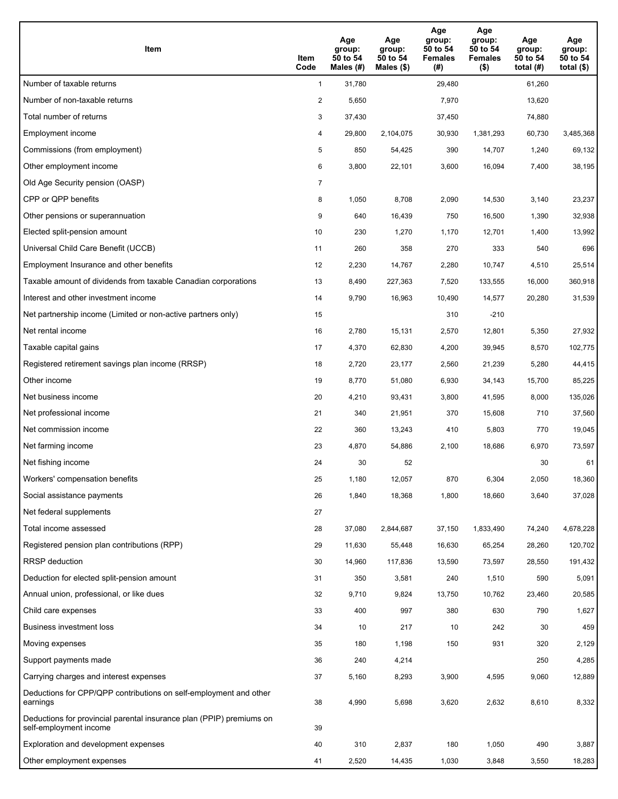| Item                                                                                           | Item<br>Code   | Age<br>group:<br>50 to 54<br>Males (#) | Age<br>group:<br>50 to 54<br>Males $(\$)$ | Age<br>group:<br>50 to 54<br><b>Females</b><br>(#) | Age<br>group:<br>50 to 54<br><b>Females</b><br>$($ \$) | Age<br>group:<br>50 to 54<br>total $(H)$ | Age<br>group:<br>50 to 54<br>total $($ |
|------------------------------------------------------------------------------------------------|----------------|----------------------------------------|-------------------------------------------|----------------------------------------------------|--------------------------------------------------------|------------------------------------------|----------------------------------------|
| Number of taxable returns                                                                      | $\mathbf{1}$   | 31,780                                 |                                           | 29,480                                             |                                                        | 61,260                                   |                                        |
| Number of non-taxable returns                                                                  | $\overline{a}$ | 5,650                                  |                                           | 7,970                                              |                                                        | 13,620                                   |                                        |
| Total number of returns                                                                        | 3              | 37,430                                 |                                           | 37,450                                             |                                                        | 74,880                                   |                                        |
| Employment income                                                                              | 4              | 29,800                                 | 2,104,075                                 | 30,930                                             | 1,381,293                                              | 60,730                                   | 3,485,368                              |
| Commissions (from employment)                                                                  | 5              | 850                                    | 54,425                                    | 390                                                | 14,707                                                 | 1,240                                    | 69,132                                 |
| Other employment income                                                                        | 6              | 3,800                                  | 22,101                                    | 3,600                                              | 16,094                                                 | 7,400                                    | 38,195                                 |
| Old Age Security pension (OASP)                                                                | 7              |                                        |                                           |                                                    |                                                        |                                          |                                        |
| CPP or QPP benefits                                                                            | 8              | 1,050                                  | 8,708                                     | 2,090                                              | 14,530                                                 | 3,140                                    | 23,237                                 |
| Other pensions or superannuation                                                               | 9              | 640                                    | 16,439                                    | 750                                                | 16,500                                                 | 1,390                                    | 32,938                                 |
| Elected split-pension amount                                                                   | 10             | 230                                    | 1,270                                     | 1,170                                              | 12,701                                                 | 1,400                                    | 13,992                                 |
| Universal Child Care Benefit (UCCB)                                                            | 11             | 260                                    | 358                                       | 270                                                | 333                                                    | 540                                      | 696                                    |
| Employment Insurance and other benefits                                                        | 12             | 2,230                                  | 14,767                                    | 2,280                                              | 10,747                                                 | 4,510                                    | 25,514                                 |
| Taxable amount of dividends from taxable Canadian corporations                                 | 13             | 8,490                                  | 227,363                                   | 7,520                                              | 133,555                                                | 16,000                                   | 360,918                                |
| Interest and other investment income                                                           | 14             | 9,790                                  | 16,963                                    | 10,490                                             | 14,577                                                 | 20,280                                   | 31,539                                 |
| Net partnership income (Limited or non-active partners only)                                   | 15             |                                        |                                           | 310                                                | $-210$                                                 |                                          |                                        |
| Net rental income                                                                              | 16             | 2,780                                  | 15,131                                    | 2,570                                              | 12,801                                                 | 5,350                                    | 27,932                                 |
| Taxable capital gains                                                                          | 17             | 4,370                                  | 62,830                                    | 4,200                                              | 39,945                                                 | 8,570                                    | 102,775                                |
| Registered retirement savings plan income (RRSP)                                               | 18             | 2,720                                  | 23,177                                    | 2,560                                              | 21,239                                                 | 5,280                                    | 44,415                                 |
| Other income                                                                                   | 19             | 8,770                                  | 51,080                                    | 6,930                                              | 34,143                                                 | 15,700                                   | 85,225                                 |
| Net business income                                                                            | 20             | 4,210                                  | 93,431                                    | 3,800                                              | 41,595                                                 | 8,000                                    | 135,026                                |
| Net professional income                                                                        | 21             | 340                                    | 21,951                                    | 370                                                | 15,608                                                 | 710                                      | 37,560                                 |
| Net commission income                                                                          | 22             | 360                                    | 13,243                                    | 410                                                | 5,803                                                  | 770                                      | 19,045                                 |
| Net farming income                                                                             | 23             | 4,870                                  | 54,886                                    | 2,100                                              | 18,686                                                 | 6,970                                    | 73,597                                 |
| Net fishing income                                                                             | 24             | 30                                     | 52                                        |                                                    |                                                        | 30                                       | 61                                     |
| Workers' compensation benefits                                                                 | 25             | 1,180                                  | 12,057                                    | 870                                                | 6,304                                                  | 2,050                                    | 18,360                                 |
| Social assistance payments                                                                     | 26             | 1,840                                  | 18,368                                    | 1,800                                              | 18,660                                                 | 3,640                                    | 37,028                                 |
| Net federal supplements                                                                        | 27             |                                        |                                           |                                                    |                                                        |                                          |                                        |
| Total income assessed                                                                          | 28             | 37,080                                 | 2,844,687                                 | 37,150                                             | 1,833,490                                              | 74,240                                   | 4,678,228                              |
| Registered pension plan contributions (RPP)                                                    | 29             | 11,630                                 | 55,448                                    | 16,630                                             | 65,254                                                 | 28,260                                   | 120,702                                |
| RRSP deduction                                                                                 | 30             | 14,960                                 | 117,836                                   | 13,590                                             | 73,597                                                 | 28,550                                   | 191,432                                |
| Deduction for elected split-pension amount                                                     | 31             | 350                                    | 3,581                                     | 240                                                | 1,510                                                  | 590                                      | 5,091                                  |
| Annual union, professional, or like dues                                                       | 32             | 9,710                                  | 9,824                                     | 13,750                                             | 10,762                                                 | 23,460                                   | 20,585                                 |
| Child care expenses                                                                            | 33             | 400                                    | 997                                       | 380                                                | 630                                                    | 790                                      | 1,627                                  |
| Business investment loss                                                                       | 34             | 10                                     | 217                                       | 10                                                 | 242                                                    | 30                                       | 459                                    |
| Moving expenses                                                                                | 35             | 180                                    | 1,198                                     | 150                                                | 931                                                    | 320                                      | 2,129                                  |
| Support payments made                                                                          | 36             | 240                                    | 4,214                                     |                                                    |                                                        | 250                                      | 4,285                                  |
| Carrying charges and interest expenses                                                         | 37             | 5,160                                  | 8,293                                     | 3,900                                              | 4,595                                                  | 9,060                                    | 12,889                                 |
| Deductions for CPP/QPP contributions on self-employment and other<br>earnings                  | 38             | 4,990                                  | 5,698                                     | 3,620                                              | 2,632                                                  | 8,610                                    | 8,332                                  |
| Deductions for provincial parental insurance plan (PPIP) premiums on<br>self-employment income | 39             |                                        |                                           |                                                    |                                                        |                                          |                                        |
| Exploration and development expenses                                                           | 40             | 310                                    | 2,837                                     | 180                                                | 1,050                                                  | 490                                      | 3,887                                  |
| Other employment expenses                                                                      | 41             | 2,520                                  | 14,435                                    | 1,030                                              | 3,848                                                  | 3,550                                    | 18,283                                 |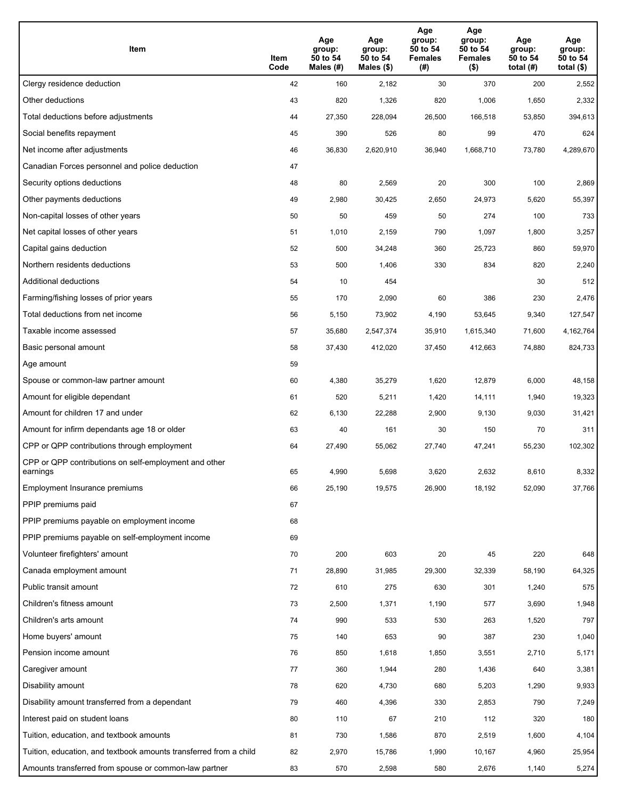| Item                                                              | Item<br>Code | Age<br>group:<br>50 to 54<br>Males (#) | Age<br>group:<br>50 to 54<br>Males (\$) | Age<br>group:<br>50 to 54<br><b>Females</b><br>(# ) | Age<br>group:<br>50 to 54<br>Females<br>$($ \$) | Age<br>group:<br>50 to 54<br>total (#) | Age<br>group:<br>50 to 54<br>total $($)$ |
|-------------------------------------------------------------------|--------------|----------------------------------------|-----------------------------------------|-----------------------------------------------------|-------------------------------------------------|----------------------------------------|------------------------------------------|
| Clergy residence deduction                                        | 42           | 160                                    | 2,182                                   | 30                                                  | 370                                             | 200                                    | 2,552                                    |
| Other deductions                                                  | 43           | 820                                    | 1,326                                   | 820                                                 | 1,006                                           | 1,650                                  | 2,332                                    |
| Total deductions before adjustments                               | 44           | 27,350                                 | 228,094                                 | 26,500                                              | 166,518                                         | 53,850                                 | 394,613                                  |
| Social benefits repayment                                         | 45           | 390                                    | 526                                     | 80                                                  | 99                                              | 470                                    | 624                                      |
| Net income after adjustments                                      | 46           | 36,830                                 | 2,620,910                               | 36,940                                              | 1,668,710                                       | 73,780                                 | 4,289,670                                |
| Canadian Forces personnel and police deduction                    | 47           |                                        |                                         |                                                     |                                                 |                                        |                                          |
| Security options deductions                                       | 48           | 80                                     | 2,569                                   | 20                                                  | 300                                             | 100                                    | 2,869                                    |
| Other payments deductions                                         | 49           | 2,980                                  | 30,425                                  | 2,650                                               | 24,973                                          | 5,620                                  | 55,397                                   |
| Non-capital losses of other years                                 | 50           | 50                                     | 459                                     | 50                                                  | 274                                             | 100                                    | 733                                      |
| Net capital losses of other years                                 | 51           | 1,010                                  | 2,159                                   | 790                                                 | 1,097                                           | 1,800                                  | 3,257                                    |
| Capital gains deduction                                           | 52           | 500                                    | 34,248                                  | 360                                                 | 25,723                                          | 860                                    | 59,970                                   |
| Northern residents deductions                                     | 53           | 500                                    | 1,406                                   | 330                                                 | 834                                             | 820                                    | 2,240                                    |
| Additional deductions                                             | 54           | 10                                     | 454                                     |                                                     |                                                 | 30                                     | 512                                      |
| Farming/fishing losses of prior years                             | 55           | 170                                    | 2,090                                   | 60                                                  | 386                                             | 230                                    | 2,476                                    |
| Total deductions from net income                                  | 56           | 5,150                                  | 73,902                                  | 4,190                                               | 53,645                                          | 9,340                                  | 127,547                                  |
| Taxable income assessed                                           | 57           | 35,680                                 | 2,547,374                               | 35,910                                              | 1,615,340                                       | 71,600                                 | 4,162,764                                |
| Basic personal amount                                             | 58           | 37,430                                 | 412,020                                 | 37,450                                              | 412,663                                         | 74,880                                 | 824,733                                  |
| Age amount                                                        | 59           |                                        |                                         |                                                     |                                                 |                                        |                                          |
| Spouse or common-law partner amount                               | 60           | 4,380                                  | 35,279                                  | 1,620                                               | 12,879                                          | 6,000                                  | 48,158                                   |
| Amount for eligible dependant                                     | 61           | 520                                    | 5,211                                   | 1,420                                               | 14,111                                          | 1,940                                  | 19,323                                   |
| Amount for children 17 and under                                  | 62           | 6,130                                  | 22,288                                  | 2,900                                               | 9,130                                           | 9,030                                  | 31,421                                   |
| Amount for infirm dependants age 18 or older                      | 63           | 40                                     | 161                                     | 30                                                  | 150                                             | 70                                     | 311                                      |
| CPP or QPP contributions through employment                       | 64           | 27,490                                 | 55,062                                  | 27,740                                              | 47,241                                          | 55,230                                 | 102,302                                  |
| CPP or QPP contributions on self-employment and other<br>earnings | 65           | 4,990                                  | 5,698                                   | 3,620                                               | 2.632                                           | 8,610                                  | 8,332                                    |
| Employment Insurance premiums                                     | 66           | 25,190                                 | 19,575                                  | 26,900                                              | 18,192                                          | 52,090                                 | 37,766                                   |
| PPIP premiums paid                                                | 67           |                                        |                                         |                                                     |                                                 |                                        |                                          |
| PPIP premiums payable on employment income                        | 68           |                                        |                                         |                                                     |                                                 |                                        |                                          |
| PPIP premiums payable on self-employment income                   | 69           |                                        |                                         |                                                     |                                                 |                                        |                                          |
| Volunteer firefighters' amount                                    | 70           | 200                                    | 603                                     | 20                                                  | 45                                              | 220                                    | 648                                      |
| Canada employment amount                                          | 71           | 28,890                                 | 31,985                                  | 29,300                                              | 32,339                                          | 58,190                                 | 64,325                                   |
| Public transit amount                                             | 72           | 610                                    | 275                                     | 630                                                 | 301                                             | 1,240                                  | 575                                      |
| Children's fitness amount                                         | 73           | 2,500                                  | 1,371                                   | 1,190                                               | 577                                             | 3,690                                  | 1,948                                    |
| Children's arts amount                                            | 74           | 990                                    | 533                                     | 530                                                 | 263                                             | 1,520                                  | 797                                      |
| Home buyers' amount                                               | 75           | 140                                    | 653                                     | 90                                                  | 387                                             | 230                                    | 1,040                                    |
| Pension income amount                                             | 76           | 850                                    | 1,618                                   | 1,850                                               | 3,551                                           | 2,710                                  | 5,171                                    |
| Caregiver amount                                                  | 77           | 360                                    | 1,944                                   | 280                                                 | 1,436                                           | 640                                    | 3,381                                    |
| Disability amount                                                 | 78           | 620                                    | 4,730                                   | 680                                                 | 5,203                                           | 1,290                                  | 9,933                                    |
| Disability amount transferred from a dependant                    | 79           | 460                                    | 4,396                                   | 330                                                 | 2,853                                           | 790                                    | 7,249                                    |
| Interest paid on student loans                                    | 80           | 110                                    | 67                                      | 210                                                 | 112                                             | 320                                    | 180                                      |
| Tuition, education, and textbook amounts                          | 81           | 730                                    | 1,586                                   | 870                                                 | 2,519                                           | 1,600                                  | 4,104                                    |
| Tuition, education, and textbook amounts transferred from a child | 82           | 2,970                                  | 15,786                                  | 1,990                                               | 10,167                                          | 4,960                                  | 25,954                                   |
| Amounts transferred from spouse or common-law partner             | 83           | 570                                    | 2,598                                   | 580                                                 | 2,676                                           | 1,140                                  | 5,274                                    |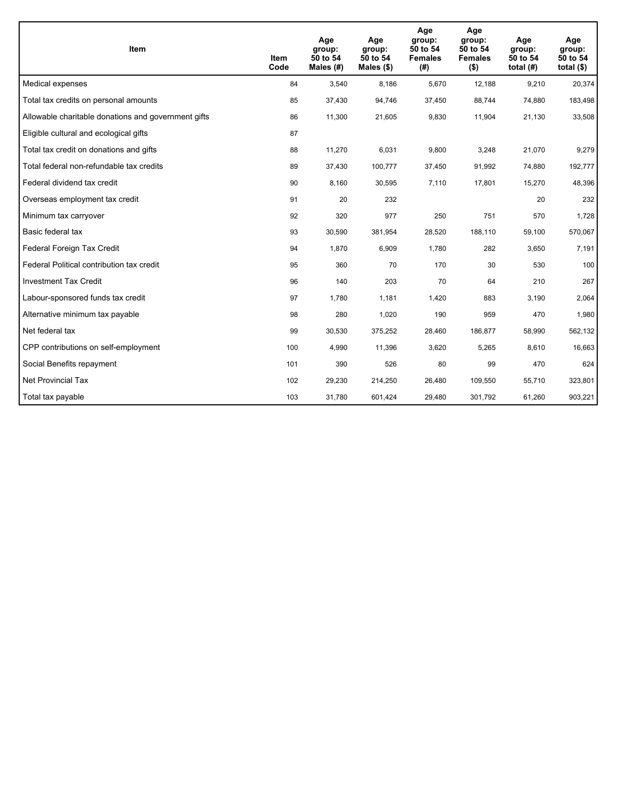| <b>Item</b>                                         | Item<br>Code | Age<br>group:<br>50 to 54<br>Males (#) | Age<br>group:<br>50 to 54<br>Males $(\$)$ | Age<br>group:<br>50 to 54<br><b>Females</b><br>(#) | Age<br>group:<br>50 to 54<br><b>Females</b><br>$($ \$) | Age<br>group:<br>50 to 54<br>total $(H)$ | Age<br>group:<br>50 to 54<br>total $($)$ |
|-----------------------------------------------------|--------------|----------------------------------------|-------------------------------------------|----------------------------------------------------|--------------------------------------------------------|------------------------------------------|------------------------------------------|
| Medical expenses                                    | 84           | 3,540                                  | 8.186                                     | 5,670                                              | 12,188                                                 | 9,210                                    | 20,374                                   |
| Total tax credits on personal amounts               | 85           | 37,430                                 | 94,746                                    | 37,450                                             | 88,744                                                 | 74,880                                   | 183,498                                  |
| Allowable charitable donations and government gifts | 86           | 11,300                                 | 21,605                                    | 9,830                                              | 11,904                                                 | 21,130                                   | 33,508                                   |
| Eligible cultural and ecological gifts              | 87           |                                        |                                           |                                                    |                                                        |                                          |                                          |
| Total tax credit on donations and gifts             | 88           | 11,270                                 | 6,031                                     | 9,800                                              | 3,248                                                  | 21,070                                   | 9,279                                    |
| Total federal non-refundable tax credits            | 89           | 37,430                                 | 100,777                                   | 37,450                                             | 91,992                                                 | 74,880                                   | 192,777                                  |
| Federal dividend tax credit                         | 90           | 8,160                                  | 30,595                                    | 7,110                                              | 17,801                                                 | 15,270                                   | 48,396                                   |
| Overseas employment tax credit                      | 91           | 20                                     | 232                                       |                                                    |                                                        | 20                                       | 232                                      |
| Minimum tax carryover                               | 92           | 320                                    | 977                                       | 250                                                | 751                                                    | 570                                      | 1,728                                    |
| Basic federal tax                                   | 93           | 30,590                                 | 381,954                                   | 28,520                                             | 188,110                                                | 59,100                                   | 570,067                                  |
| Federal Foreign Tax Credit                          | 94           | 1,870                                  | 6,909                                     | 1,780                                              | 282                                                    | 3,650                                    | 7,191                                    |
| Federal Political contribution tax credit           | 95           | 360                                    | 70                                        | 170                                                | 30                                                     | 530                                      | 100                                      |
| <b>Investment Tax Credit</b>                        | 96           | 140                                    | 203                                       | 70                                                 | 64                                                     | 210                                      | 267                                      |
| Labour-sponsored funds tax credit                   | 97           | 1,780                                  | 1,181                                     | 1,420                                              | 883                                                    | 3,190                                    | 2,064                                    |
| Alternative minimum tax payable                     | 98           | 280                                    | 1.020                                     | 190                                                | 959                                                    | 470                                      | 1,980                                    |
| Net federal tax                                     | 99           | 30,530                                 | 375,252                                   | 28,460                                             | 186,877                                                | 58,990                                   | 562,132                                  |
| CPP contributions on self-employment                | 100          | 4,990                                  | 11,396                                    | 3,620                                              | 5,265                                                  | 8,610                                    | 16,663                                   |
| Social Benefits repayment                           | 101          | 390                                    | 526                                       | 80                                                 | 99                                                     | 470                                      | 624                                      |
| <b>Net Provincial Tax</b>                           | 102          | 29,230                                 | 214,250                                   | 26,480                                             | 109,550                                                | 55,710                                   | 323,801                                  |
| Total tax payable                                   | 103          | 31,780                                 | 601,424                                   | 29,480                                             | 301,792                                                | 61,260                                   | 903,221                                  |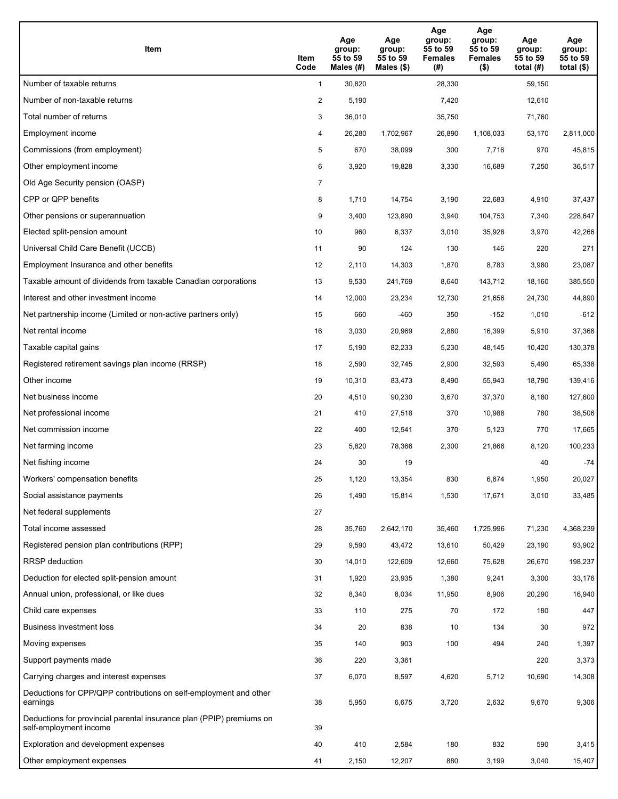| Item                                                                                           | Item<br>Code   | Age<br>group:<br>55 to 59<br>Males (#) | Age<br>group:<br>55 to 59<br>Males $(\$)$ | Age<br>group:<br>55 to 59<br><b>Females</b><br>(#) | Age<br>group:<br>55 to 59<br><b>Females</b><br>$($ \$) | Age<br>group:<br>55 to 59<br>total $(H)$ | Age<br>group:<br>55 to 59<br>total $($ |
|------------------------------------------------------------------------------------------------|----------------|----------------------------------------|-------------------------------------------|----------------------------------------------------|--------------------------------------------------------|------------------------------------------|----------------------------------------|
| Number of taxable returns                                                                      | $\mathbf{1}$   | 30,820                                 |                                           | 28,330                                             |                                                        | 59,150                                   |                                        |
| Number of non-taxable returns                                                                  | $\overline{a}$ | 5,190                                  |                                           | 7,420                                              |                                                        | 12,610                                   |                                        |
| Total number of returns                                                                        | 3              | 36,010                                 |                                           | 35,750                                             |                                                        | 71,760                                   |                                        |
| Employment income                                                                              | 4              | 26,280                                 | 1,702,967                                 | 26,890                                             | 1,108,033                                              | 53,170                                   | 2,811,000                              |
| Commissions (from employment)                                                                  | 5              | 670                                    | 38,099                                    | 300                                                | 7,716                                                  | 970                                      | 45,815                                 |
| Other employment income                                                                        | 6              | 3,920                                  | 19,828                                    | 3,330                                              | 16,689                                                 | 7,250                                    | 36,517                                 |
| Old Age Security pension (OASP)                                                                | 7              |                                        |                                           |                                                    |                                                        |                                          |                                        |
| CPP or QPP benefits                                                                            | 8              | 1,710                                  | 14,754                                    | 3,190                                              | 22,683                                                 | 4,910                                    | 37,437                                 |
| Other pensions or superannuation                                                               | 9              | 3,400                                  | 123,890                                   | 3,940                                              | 104,753                                                | 7,340                                    | 228,647                                |
| Elected split-pension amount                                                                   | 10             | 960                                    | 6,337                                     | 3,010                                              | 35,928                                                 | 3,970                                    | 42,266                                 |
| Universal Child Care Benefit (UCCB)                                                            | 11             | 90                                     | 124                                       | 130                                                | 146                                                    | 220                                      | 271                                    |
| Employment Insurance and other benefits                                                        | 12             | 2,110                                  | 14,303                                    | 1,870                                              | 8,783                                                  | 3,980                                    | 23,087                                 |
| Taxable amount of dividends from taxable Canadian corporations                                 | 13             | 9,530                                  | 241,769                                   | 8,640                                              | 143,712                                                | 18,160                                   | 385,550                                |
| Interest and other investment income                                                           | 14             | 12,000                                 | 23,234                                    | 12,730                                             | 21,656                                                 | 24,730                                   | 44,890                                 |
| Net partnership income (Limited or non-active partners only)                                   | 15             | 660                                    | -460                                      | 350                                                | $-152$                                                 | 1,010                                    | $-612$                                 |
| Net rental income                                                                              | 16             | 3,030                                  | 20,969                                    | 2,880                                              | 16,399                                                 | 5,910                                    | 37,368                                 |
| Taxable capital gains                                                                          | 17             | 5,190                                  | 82,233                                    | 5,230                                              | 48,145                                                 | 10,420                                   | 130,378                                |
| Registered retirement savings plan income (RRSP)                                               | 18             | 2,590                                  | 32,745                                    | 2,900                                              | 32,593                                                 | 5,490                                    | 65,338                                 |
| Other income                                                                                   | 19             | 10,310                                 | 83,473                                    | 8,490                                              | 55,943                                                 | 18,790                                   | 139,416                                |
| Net business income                                                                            | 20             | 4,510                                  | 90,230                                    | 3,670                                              | 37,370                                                 | 8,180                                    | 127,600                                |
| Net professional income                                                                        | 21             | 410                                    | 27,518                                    | 370                                                | 10,988                                                 | 780                                      | 38,506                                 |
| Net commission income                                                                          | 22             | 400                                    | 12,541                                    | 370                                                | 5,123                                                  | 770                                      | 17,665                                 |
| Net farming income                                                                             | 23             | 5,820                                  | 78,366                                    | 2,300                                              | 21,866                                                 | 8,120                                    | 100,233                                |
| Net fishing income                                                                             | 24             | 30                                     | 19                                        |                                                    |                                                        | 40                                       | $-74$                                  |
| Workers' compensation benefits                                                                 | 25             | 1,120                                  | 13,354                                    | 830                                                | 6,674                                                  | 1,950                                    | 20,027                                 |
| Social assistance payments                                                                     | 26             | 1,490                                  | 15,814                                    | 1,530                                              | 17,671                                                 | 3,010                                    | 33,485                                 |
| Net federal supplements                                                                        | 27             |                                        |                                           |                                                    |                                                        |                                          |                                        |
| Total income assessed                                                                          | 28             | 35,760                                 | 2,642,170                                 | 35,460                                             | 1,725,996                                              | 71,230                                   | 4,368,239                              |
| Registered pension plan contributions (RPP)                                                    | 29             | 9,590                                  | 43,472                                    | 13,610                                             | 50,429                                                 | 23,190                                   | 93,902                                 |
| RRSP deduction                                                                                 | 30             | 14,010                                 | 122,609                                   | 12,660                                             | 75,628                                                 | 26,670                                   | 198,237                                |
| Deduction for elected split-pension amount                                                     | 31             | 1,920                                  | 23,935                                    | 1,380                                              | 9,241                                                  | 3,300                                    | 33,176                                 |
| Annual union, professional, or like dues                                                       | 32             | 8,340                                  | 8,034                                     | 11,950                                             | 8,906                                                  | 20,290                                   | 16,940                                 |
| Child care expenses                                                                            | 33             | 110                                    | 275                                       | 70                                                 | 172                                                    | 180                                      | 447                                    |
| Business investment loss                                                                       | 34             | 20                                     | 838                                       | 10                                                 | 134                                                    | 30                                       | 972                                    |
| Moving expenses                                                                                | 35             | 140                                    | 903                                       | 100                                                | 494                                                    | 240                                      | 1,397                                  |
| Support payments made                                                                          | 36             | 220                                    | 3,361                                     |                                                    |                                                        | 220                                      | 3,373                                  |
| Carrying charges and interest expenses                                                         | 37             | 6,070                                  | 8,597                                     | 4,620                                              | 5,712                                                  | 10,690                                   | 14,308                                 |
| Deductions for CPP/QPP contributions on self-employment and other<br>earnings                  | 38             | 5,950                                  | 6,675                                     | 3,720                                              | 2,632                                                  | 9,670                                    | 9,306                                  |
| Deductions for provincial parental insurance plan (PPIP) premiums on<br>self-employment income | 39             |                                        |                                           |                                                    |                                                        |                                          |                                        |
| Exploration and development expenses                                                           | 40             | 410                                    | 2,584                                     | 180                                                | 832                                                    | 590                                      | 3,415                                  |
| Other employment expenses                                                                      | 41             | 2,150                                  | 12,207                                    | 880                                                | 3,199                                                  | 3,040                                    | 15,407                                 |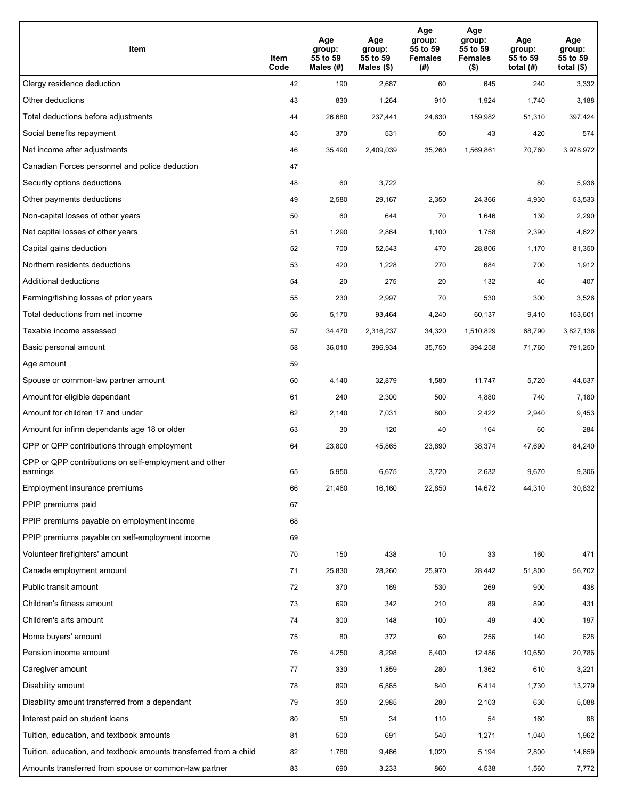| Item                                                              | Item<br>Code | Age<br>group:<br>55 to 59<br>Males (#) | Age<br>group:<br>55 to 59<br>Males (\$) | Age<br>group:<br>55 to 59<br><b>Females</b><br>(#) | Age<br>group:<br>55 to 59<br><b>Females</b><br>$($ \$) | Age<br>group:<br>55 to 59<br>total $(H)$ | Age<br>group:<br>55 to 59<br>total $($)$ |
|-------------------------------------------------------------------|--------------|----------------------------------------|-----------------------------------------|----------------------------------------------------|--------------------------------------------------------|------------------------------------------|------------------------------------------|
| Clergy residence deduction                                        | 42           | 190                                    | 2,687                                   | 60                                                 | 645                                                    | 240                                      | 3,332                                    |
| Other deductions                                                  | 43           | 830                                    | 1,264                                   | 910                                                | 1,924                                                  | 1,740                                    | 3,188                                    |
| Total deductions before adjustments                               | 44           | 26,680                                 | 237,441                                 | 24,630                                             | 159,982                                                | 51,310                                   | 397,424                                  |
| Social benefits repayment                                         | 45           | 370                                    | 531                                     | 50                                                 | 43                                                     | 420                                      | 574                                      |
| Net income after adjustments                                      | 46           | 35,490                                 | 2,409,039                               | 35,260                                             | 1,569,861                                              | 70,760                                   | 3,978,972                                |
| Canadian Forces personnel and police deduction                    | 47           |                                        |                                         |                                                    |                                                        |                                          |                                          |
| Security options deductions                                       | 48           | 60                                     | 3,722                                   |                                                    |                                                        | 80                                       | 5,936                                    |
| Other payments deductions                                         | 49           | 2,580                                  | 29,167                                  | 2,350                                              | 24,366                                                 | 4,930                                    | 53,533                                   |
| Non-capital losses of other years                                 | 50           | 60                                     | 644                                     | 70                                                 | 1,646                                                  | 130                                      | 2,290                                    |
| Net capital losses of other years                                 | 51           | 1,290                                  | 2,864                                   | 1,100                                              | 1,758                                                  | 2,390                                    | 4,622                                    |
| Capital gains deduction                                           | 52           | 700                                    | 52,543                                  | 470                                                | 28,806                                                 | 1,170                                    | 81,350                                   |
| Northern residents deductions                                     | 53           | 420                                    | 1,228                                   | 270                                                | 684                                                    | 700                                      | 1,912                                    |
| Additional deductions                                             | 54           | 20                                     | 275                                     | 20                                                 | 132                                                    | 40                                       | 407                                      |
| Farming/fishing losses of prior years                             | 55           | 230                                    | 2,997                                   | 70                                                 | 530                                                    | 300                                      | 3,526                                    |
| Total deductions from net income                                  | 56           | 5,170                                  | 93,464                                  | 4,240                                              | 60,137                                                 | 9,410                                    | 153,601                                  |
| Taxable income assessed                                           | 57           | 34,470                                 | 2,316,237                               | 34,320                                             | 1,510,829                                              | 68,790                                   | 3,827,138                                |
| Basic personal amount                                             | 58           | 36,010                                 | 396,934                                 | 35,750                                             | 394,258                                                | 71,760                                   | 791,250                                  |
| Age amount                                                        | 59           |                                        |                                         |                                                    |                                                        |                                          |                                          |
| Spouse or common-law partner amount                               | 60           | 4,140                                  | 32,879                                  | 1,580                                              | 11,747                                                 | 5,720                                    | 44,637                                   |
| Amount for eligible dependant                                     | 61           | 240                                    | 2,300                                   | 500                                                | 4,880                                                  | 740                                      | 7,180                                    |
| Amount for children 17 and under                                  | 62           | 2,140                                  | 7,031                                   | 800                                                | 2,422                                                  | 2,940                                    | 9,453                                    |
| Amount for infirm dependants age 18 or older                      | 63           | 30                                     | 120                                     | 40                                                 | 164                                                    | 60                                       | 284                                      |
| CPP or QPP contributions through employment                       | 64           | 23,800                                 | 45,865                                  | 23,890                                             | 38,374                                                 | 47,690                                   | 84,240                                   |
| CPP or QPP contributions on self-employment and other<br>earnings | 65           | 5,950                                  | 6,675                                   | 3,720                                              | 2,632                                                  | 9,670                                    | 9,306                                    |
| Employment Insurance premiums                                     | 66           | 21,460                                 | 16,160                                  | 22,850                                             | 14,672                                                 | 44,310                                   | 30,832                                   |
| PPIP premiums paid                                                | 67           |                                        |                                         |                                                    |                                                        |                                          |                                          |
| PPIP premiums payable on employment income                        | 68           |                                        |                                         |                                                    |                                                        |                                          |                                          |
| PPIP premiums payable on self-employment income                   | 69           |                                        |                                         |                                                    |                                                        |                                          |                                          |
| Volunteer firefighters' amount                                    | 70           | 150                                    | 438                                     | 10                                                 | 33                                                     | 160                                      | 471                                      |
| Canada employment amount                                          | 71           | 25,830                                 | 28,260                                  | 25,970                                             | 28,442                                                 | 51,800                                   | 56,702                                   |
| Public transit amount                                             | 72           | 370                                    | 169                                     | 530                                                | 269                                                    | 900                                      | 438                                      |
| Children's fitness amount                                         | 73           | 690                                    | 342                                     | 210                                                | 89                                                     | 890                                      | 431                                      |
| Children's arts amount                                            | 74           | 300                                    | 148                                     | 100                                                | 49                                                     | 400                                      | 197                                      |
| Home buyers' amount                                               | 75           | 80                                     | 372                                     | 60                                                 | 256                                                    | 140                                      | 628                                      |
| Pension income amount                                             | 76           | 4,250                                  | 8,298                                   | 6,400                                              | 12,486                                                 | 10,650                                   | 20,786                                   |
| Caregiver amount                                                  | 77           | 330                                    | 1,859                                   | 280                                                | 1,362                                                  | 610                                      | 3,221                                    |
| Disability amount                                                 | 78           | 890                                    | 6,865                                   | 840                                                | 6,414                                                  | 1,730                                    | 13,279                                   |
| Disability amount transferred from a dependant                    | 79           | 350                                    | 2,985                                   | 280                                                | 2,103                                                  | 630                                      | 5,088                                    |
| Interest paid on student loans                                    | 80           | 50                                     | 34                                      | 110                                                | 54                                                     | 160                                      | 88                                       |
| Tuition, education, and textbook amounts                          | 81           | 500                                    | 691                                     | 540                                                | 1,271                                                  | 1,040                                    | 1,962                                    |
| Tuition, education, and textbook amounts transferred from a child | 82           | 1,780                                  | 9,466                                   | 1,020                                              | 5,194                                                  | 2,800                                    | 14,659                                   |
| Amounts transferred from spouse or common-law partner             | 83           | 690                                    | 3,233                                   | 860                                                | 4,538                                                  | 1,560                                    | 7,772                                    |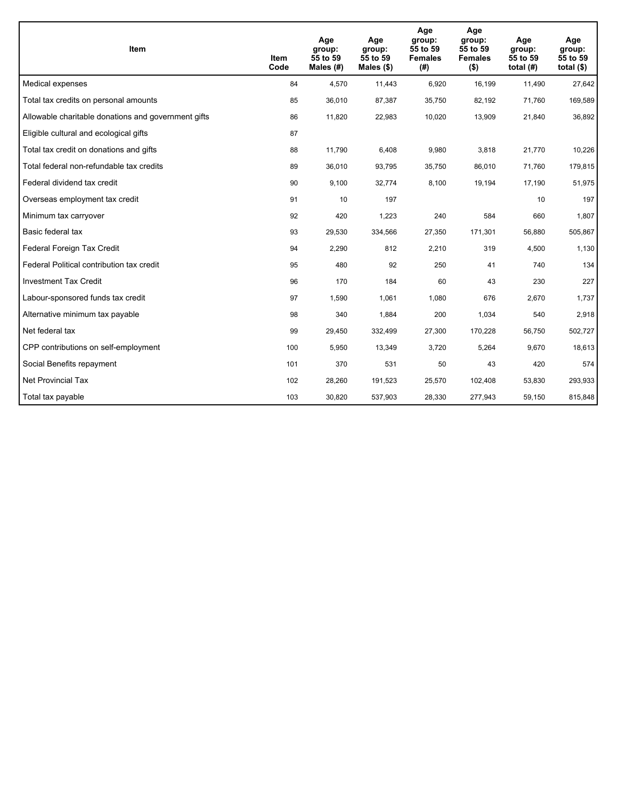| <b>Item</b>                                         | Item<br>Code | Age<br>group:<br>55 to 59<br>Males (#) | Age<br>group:<br>55 to 59<br>Males $(\$)$ | Age<br>group:<br>55 to 59<br><b>Females</b><br>(#) | Age<br>group:<br>55 to 59<br><b>Females</b><br>$($ \$) | Age<br>group:<br>55 to 59<br>total $(H)$ | Age<br>group:<br>55 to 59<br>total $($)$ |
|-----------------------------------------------------|--------------|----------------------------------------|-------------------------------------------|----------------------------------------------------|--------------------------------------------------------|------------------------------------------|------------------------------------------|
| Medical expenses                                    | 84           | 4,570                                  | 11,443                                    | 6,920                                              | 16,199                                                 | 11,490                                   | 27,642                                   |
| Total tax credits on personal amounts               | 85           | 36,010                                 | 87,387                                    | 35,750                                             | 82,192                                                 | 71,760                                   | 169,589                                  |
| Allowable charitable donations and government gifts | 86           | 11,820                                 | 22,983                                    | 10,020                                             | 13,909                                                 | 21,840                                   | 36,892                                   |
| Eligible cultural and ecological gifts              | 87           |                                        |                                           |                                                    |                                                        |                                          |                                          |
| Total tax credit on donations and gifts             | 88           | 11,790                                 | 6,408                                     | 9,980                                              | 3,818                                                  | 21,770                                   | 10,226                                   |
| Total federal non-refundable tax credits            | 89           | 36,010                                 | 93,795                                    | 35,750                                             | 86,010                                                 | 71,760                                   | 179,815                                  |
| Federal dividend tax credit                         | 90           | 9,100                                  | 32,774                                    | 8,100                                              | 19,194                                                 | 17,190                                   | 51,975                                   |
| Overseas employment tax credit                      | 91           | 10                                     | 197                                       |                                                    |                                                        | 10                                       | 197                                      |
| Minimum tax carryover                               | 92           | 420                                    | 1,223                                     | 240                                                | 584                                                    | 660                                      | 1,807                                    |
| Basic federal tax                                   | 93           | 29,530                                 | 334,566                                   | 27,350                                             | 171,301                                                | 56,880                                   | 505,867                                  |
| Federal Foreign Tax Credit                          | 94           | 2,290                                  | 812                                       | 2,210                                              | 319                                                    | 4,500                                    | 1,130                                    |
| Federal Political contribution tax credit           | 95           | 480                                    | 92                                        | 250                                                | 41                                                     | 740                                      | 134                                      |
| <b>Investment Tax Credit</b>                        | 96           | 170                                    | 184                                       | 60                                                 | 43                                                     | 230                                      | 227                                      |
| Labour-sponsored funds tax credit                   | 97           | 1,590                                  | 1,061                                     | 1,080                                              | 676                                                    | 2,670                                    | 1,737                                    |
| Alternative minimum tax payable                     | 98           | 340                                    | 1,884                                     | 200                                                | 1,034                                                  | 540                                      | 2,918                                    |
| Net federal tax                                     | 99           | 29,450                                 | 332,499                                   | 27,300                                             | 170,228                                                | 56,750                                   | 502,727                                  |
| CPP contributions on self-employment                | 100          | 5,950                                  | 13,349                                    | 3,720                                              | 5,264                                                  | 9,670                                    | 18,613                                   |
| Social Benefits repayment                           | 101          | 370                                    | 531                                       | 50                                                 | 43                                                     | 420                                      | 574                                      |
| <b>Net Provincial Tax</b>                           | 102          | 28,260                                 | 191,523                                   | 25,570                                             | 102,408                                                | 53,830                                   | 293,933                                  |
| Total tax payable                                   | 103          | 30,820                                 | 537,903                                   | 28,330                                             | 277,943                                                | 59,150                                   | 815,848                                  |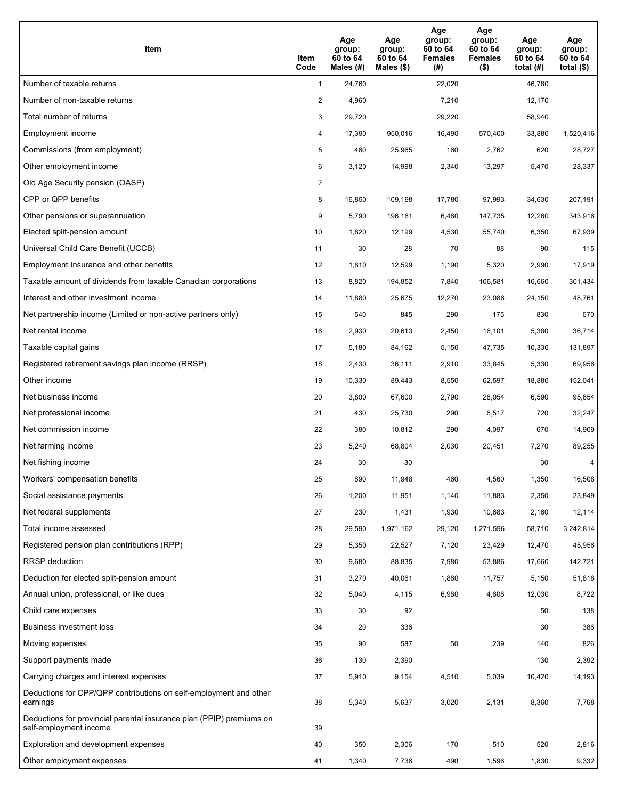| Item                                                                                           | Item<br>Code   | Age<br>group:<br>60 to 64<br>Males (#) | Age<br>group:<br>60 to 64<br>Males $(\$)$ | Age<br>group:<br>60 to 64<br><b>Females</b><br>(#) | Age<br>group:<br>60 to 64<br><b>Females</b><br>$($ \$) | Age<br>group:<br>60 to 64<br>total $(H)$ | Age<br>group:<br>60 to 64<br>total $($ |
|------------------------------------------------------------------------------------------------|----------------|----------------------------------------|-------------------------------------------|----------------------------------------------------|--------------------------------------------------------|------------------------------------------|----------------------------------------|
| Number of taxable returns                                                                      | $\mathbf{1}$   | 24,760                                 |                                           | 22,020                                             |                                                        | 46,780                                   |                                        |
| Number of non-taxable returns                                                                  | $\overline{2}$ | 4,960                                  |                                           | 7,210                                              |                                                        | 12,170                                   |                                        |
| Total number of returns                                                                        | 3              | 29,720                                 |                                           | 29,220                                             |                                                        | 58,940                                   |                                        |
| Employment income                                                                              | 4              | 17,390                                 | 950,016                                   | 16,490                                             | 570,400                                                | 33,880                                   | 1,520,416                              |
| Commissions (from employment)                                                                  | 5              | 460                                    | 25,965                                    | 160                                                | 2,762                                                  | 620                                      | 28,727                                 |
| Other employment income                                                                        | 6              | 3,120                                  | 14,998                                    | 2,340                                              | 13,297                                                 | 5,470                                    | 28,337                                 |
| Old Age Security pension (OASP)                                                                | 7              |                                        |                                           |                                                    |                                                        |                                          |                                        |
| CPP or QPP benefits                                                                            | 8              | 16,850                                 | 109,198                                   | 17,780                                             | 97,993                                                 | 34,630                                   | 207,191                                |
| Other pensions or superannuation                                                               | 9              | 5,790                                  | 196,181                                   | 6,480                                              | 147,735                                                | 12,260                                   | 343,916                                |
| Elected split-pension amount                                                                   | 10             | 1,820                                  | 12,199                                    | 4,530                                              | 55,740                                                 | 6,350                                    | 67,939                                 |
| Universal Child Care Benefit (UCCB)                                                            | 11             | 30                                     | 28                                        | 70                                                 | 88                                                     | 90                                       | 115                                    |
| Employment Insurance and other benefits                                                        | 12             | 1,810                                  | 12,599                                    | 1,190                                              | 5,320                                                  | 2,990                                    | 17,919                                 |
| Taxable amount of dividends from taxable Canadian corporations                                 | 13             | 8,820                                  | 194,852                                   | 7,840                                              | 106,581                                                | 16,660                                   | 301,434                                |
| Interest and other investment income                                                           | 14             | 11,880                                 | 25,675                                    | 12,270                                             | 23,086                                                 | 24,150                                   | 48,761                                 |
| Net partnership income (Limited or non-active partners only)                                   | 15             | 540                                    | 845                                       | 290                                                | $-175$                                                 | 830                                      | 670                                    |
| Net rental income                                                                              | 16             | 2,930                                  | 20,613                                    | 2,450                                              | 16,101                                                 | 5,380                                    | 36,714                                 |
| Taxable capital gains                                                                          | 17             | 5,180                                  | 84,162                                    | 5,150                                              | 47,735                                                 | 10,330                                   | 131,897                                |
| Registered retirement savings plan income (RRSP)                                               | 18             | 2,430                                  | 36,111                                    | 2,910                                              | 33,845                                                 | 5,330                                    | 69,956                                 |
| Other income                                                                                   | 19             | 10,330                                 | 89,443                                    | 8,550                                              | 62,597                                                 | 18,880                                   | 152,041                                |
| Net business income                                                                            | 20             | 3,800                                  | 67,600                                    | 2,790                                              | 28,054                                                 | 6,590                                    | 95,654                                 |
| Net professional income                                                                        | 21             | 430                                    | 25,730                                    | 290                                                | 6,517                                                  | 720                                      | 32,247                                 |
| Net commission income                                                                          | 22             | 380                                    | 10,812                                    | 290                                                | 4,097                                                  | 670                                      | 14,909                                 |
| Net farming income                                                                             | 23             | 5,240                                  | 68,804                                    | 2,030                                              | 20,451                                                 | 7,270                                    | 89,255                                 |
| Net fishing income                                                                             | 24             | 30                                     | $-30$                                     |                                                    |                                                        | 30                                       | 4                                      |
| Workers' compensation benefits                                                                 | 25             | 890                                    | 11,948                                    | 460                                                | 4,560                                                  | 1,350                                    | 16,508                                 |
| Social assistance payments                                                                     | 26             | 1,200                                  | 11,951                                    | 1,140                                              | 11,883                                                 | 2,350                                    | 23,849                                 |
| Net federal supplements                                                                        | 27             | 230                                    | 1,431                                     | 1,930                                              | 10,683                                                 | 2,160                                    | 12,114                                 |
| Total income assessed                                                                          | 28             | 29,590                                 | 1,971,162                                 | 29,120                                             | 1,271,596                                              | 58,710                                   | 3,242,814                              |
| Registered pension plan contributions (RPP)                                                    | 29             | 5,350                                  | 22,527                                    | 7,120                                              | 23,429                                                 | 12,470                                   | 45,956                                 |
| RRSP deduction                                                                                 | 30             | 9,680                                  | 88,835                                    | 7,980                                              | 53,886                                                 | 17,660                                   | 142,721                                |
| Deduction for elected split-pension amount                                                     | 31             | 3,270                                  | 40,061                                    | 1,880                                              | 11,757                                                 | 5,150                                    | 51,818                                 |
| Annual union, professional, or like dues                                                       | 32             | 5,040                                  | 4,115                                     | 6,980                                              | 4,608                                                  | 12,030                                   | 8,722                                  |
| Child care expenses                                                                            | 33             | 30                                     | 92                                        |                                                    |                                                        | 50                                       | 138                                    |
| Business investment loss                                                                       | 34             | 20                                     | 336                                       |                                                    |                                                        | 30                                       | 386                                    |
| Moving expenses                                                                                | 35             | 90                                     | 587                                       | 50                                                 | 239                                                    | 140                                      | 826                                    |
| Support payments made                                                                          | 36             | 130                                    | 2,390                                     |                                                    |                                                        | 130                                      | 2,392                                  |
| Carrying charges and interest expenses                                                         | 37             | 5,910                                  | 9,154                                     | 4,510                                              | 5,039                                                  | 10,420                                   | 14,193                                 |
| Deductions for CPP/QPP contributions on self-employment and other<br>earnings                  | 38             | 5,340                                  | 5,637                                     | 3,020                                              | 2,131                                                  | 8,360                                    | 7,768                                  |
| Deductions for provincial parental insurance plan (PPIP) premiums on<br>self-employment income | 39             |                                        |                                           |                                                    |                                                        |                                          |                                        |
| Exploration and development expenses                                                           | 40             | 350                                    | 2,306                                     | 170                                                | 510                                                    | 520                                      | 2,816                                  |
| Other employment expenses                                                                      | 41             | 1,340                                  | 7,736                                     | 490                                                | 1,596                                                  | 1,830                                    | 9,332                                  |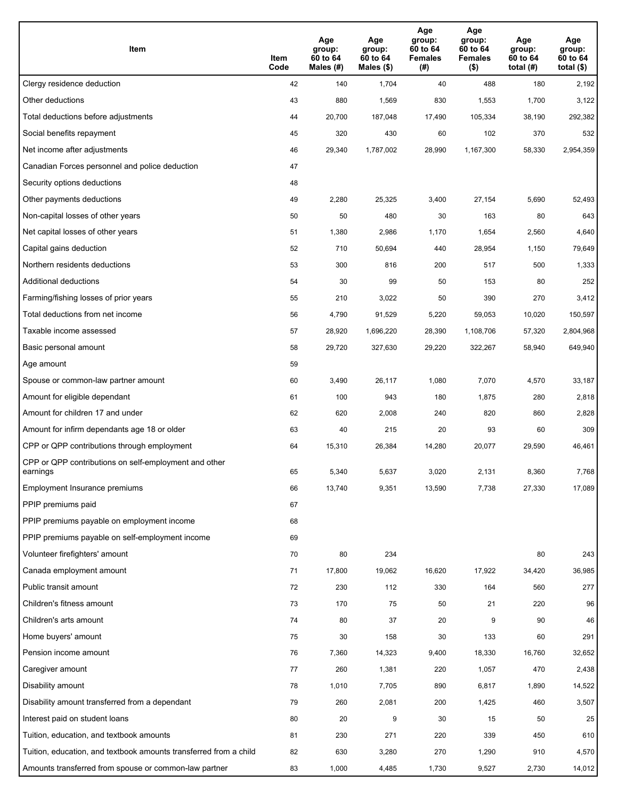| Item                                                              | Item<br>Code | Age<br>group:<br>60 to 64<br>Males (#) | Age<br>group:<br>60 to 64<br>Males (\$) | Age<br>group:<br>60 to 64<br><b>Females</b><br>(#) | Age<br>group:<br>60 to 64<br><b>Females</b><br>$($ \$) | Age<br>group:<br>60 to 64<br>total $(H)$ | Age<br>group:<br>60 to 64<br>total $($)$ |
|-------------------------------------------------------------------|--------------|----------------------------------------|-----------------------------------------|----------------------------------------------------|--------------------------------------------------------|------------------------------------------|------------------------------------------|
| Clergy residence deduction                                        | 42           | 140                                    | 1,704                                   | 40                                                 | 488                                                    | 180                                      | 2,192                                    |
| Other deductions                                                  | 43           | 880                                    | 1,569                                   | 830                                                | 1,553                                                  | 1,700                                    | 3,122                                    |
| Total deductions before adjustments                               | 44           | 20,700                                 | 187,048                                 | 17,490                                             | 105,334                                                | 38,190                                   | 292,382                                  |
| Social benefits repayment                                         | 45           | 320                                    | 430                                     | 60                                                 | 102                                                    | 370                                      | 532                                      |
| Net income after adjustments                                      | 46           | 29,340                                 | 1,787,002                               | 28,990                                             | 1,167,300                                              | 58,330                                   | 2,954,359                                |
| Canadian Forces personnel and police deduction                    | 47           |                                        |                                         |                                                    |                                                        |                                          |                                          |
| Security options deductions                                       | 48           |                                        |                                         |                                                    |                                                        |                                          |                                          |
| Other payments deductions                                         | 49           | 2,280                                  | 25,325                                  | 3,400                                              | 27,154                                                 | 5,690                                    | 52,493                                   |
| Non-capital losses of other years                                 | 50           | 50                                     | 480                                     | 30                                                 | 163                                                    | 80                                       | 643                                      |
| Net capital losses of other years                                 | 51           | 1,380                                  | 2,986                                   | 1,170                                              | 1,654                                                  | 2,560                                    | 4,640                                    |
| Capital gains deduction                                           | 52           | 710                                    | 50,694                                  | 440                                                | 28,954                                                 | 1,150                                    | 79,649                                   |
| Northern residents deductions                                     | 53           | 300                                    | 816                                     | 200                                                | 517                                                    | 500                                      | 1,333                                    |
| Additional deductions                                             | 54           | 30                                     | 99                                      | 50                                                 | 153                                                    | 80                                       | 252                                      |
| Farming/fishing losses of prior years                             | 55           | 210                                    | 3,022                                   | 50                                                 | 390                                                    | 270                                      | 3,412                                    |
| Total deductions from net income                                  | 56           | 4,790                                  | 91,529                                  | 5,220                                              | 59,053                                                 | 10,020                                   | 150,597                                  |
| Taxable income assessed                                           | 57           | 28,920                                 | 1,696,220                               | 28,390                                             | 1,108,706                                              | 57,320                                   | 2,804,968                                |
| Basic personal amount                                             | 58           | 29,720                                 | 327,630                                 | 29,220                                             | 322,267                                                | 58,940                                   | 649,940                                  |
| Age amount                                                        | 59           |                                        |                                         |                                                    |                                                        |                                          |                                          |
| Spouse or common-law partner amount                               | 60           | 3,490                                  | 26,117                                  | 1,080                                              | 7,070                                                  | 4,570                                    | 33,187                                   |
| Amount for eligible dependant                                     | 61           | 100                                    | 943                                     | 180                                                | 1,875                                                  | 280                                      | 2,818                                    |
| Amount for children 17 and under                                  | 62           | 620                                    | 2,008                                   | 240                                                | 820                                                    | 860                                      | 2,828                                    |
| Amount for infirm dependants age 18 or older                      | 63           | 40                                     | 215                                     | 20                                                 | 93                                                     | 60                                       | 309                                      |
| CPP or QPP contributions through employment                       | 64           | 15,310                                 | 26,384                                  | 14,280                                             | 20,077                                                 | 29,590                                   | 46,461                                   |
| CPP or QPP contributions on self-employment and other<br>earnings | 65           | 5,340                                  | 5,637                                   | 3,020                                              | 2,131                                                  | 8,360                                    | 7,768                                    |
| Employment Insurance premiums                                     | 66           | 13,740                                 | 9,351                                   | 13,590                                             | 7,738                                                  | 27,330                                   | 17,089                                   |
| PPIP premiums paid                                                | 67           |                                        |                                         |                                                    |                                                        |                                          |                                          |
| PPIP premiums payable on employment income                        | 68           |                                        |                                         |                                                    |                                                        |                                          |                                          |
| PPIP premiums payable on self-employment income                   | 69           |                                        |                                         |                                                    |                                                        |                                          |                                          |
| Volunteer firefighters' amount                                    | 70           | 80                                     | 234                                     |                                                    |                                                        | 80                                       | 243                                      |
| Canada employment amount                                          | 71           | 17,800                                 | 19,062                                  | 16,620                                             | 17,922                                                 | 34,420                                   | 36,985                                   |
| Public transit amount                                             | 72           | 230                                    | 112                                     | 330                                                | 164                                                    | 560                                      | 277                                      |
| Children's fitness amount                                         | 73           | 170                                    | 75                                      | 50                                                 | 21                                                     | 220                                      | 96                                       |
| Children's arts amount                                            | 74           | 80                                     | 37                                      | 20                                                 | 9                                                      | 90                                       | 46                                       |
| Home buyers' amount                                               | 75           | 30                                     | 158                                     | 30                                                 | 133                                                    | 60                                       | 291                                      |
| Pension income amount                                             | 76           | 7,360                                  | 14,323                                  | 9,400                                              | 18,330                                                 | 16,760                                   | 32,652                                   |
| Caregiver amount                                                  | 77           | 260                                    | 1,381                                   | 220                                                | 1,057                                                  | 470                                      | 2,438                                    |
| Disability amount                                                 | 78           | 1,010                                  | 7,705                                   | 890                                                | 6,817                                                  | 1,890                                    | 14,522                                   |
| Disability amount transferred from a dependant                    | 79           | 260                                    | 2,081                                   | 200                                                | 1,425                                                  | 460                                      | 3,507                                    |
| Interest paid on student loans                                    | 80           | 20                                     | 9                                       | 30                                                 | 15                                                     | 50                                       | 25                                       |
| Tuition, education, and textbook amounts                          | 81           | 230                                    | 271                                     | 220                                                | 339                                                    | 450                                      | 610                                      |
| Tuition, education, and textbook amounts transferred from a child | 82           | 630                                    | 3,280                                   | 270                                                | 1,290                                                  | 910                                      | 4,570                                    |
| Amounts transferred from spouse or common-law partner             | 83           | 1,000                                  | 4,485                                   | 1,730                                              | 9,527                                                  | 2,730                                    | 14,012                                   |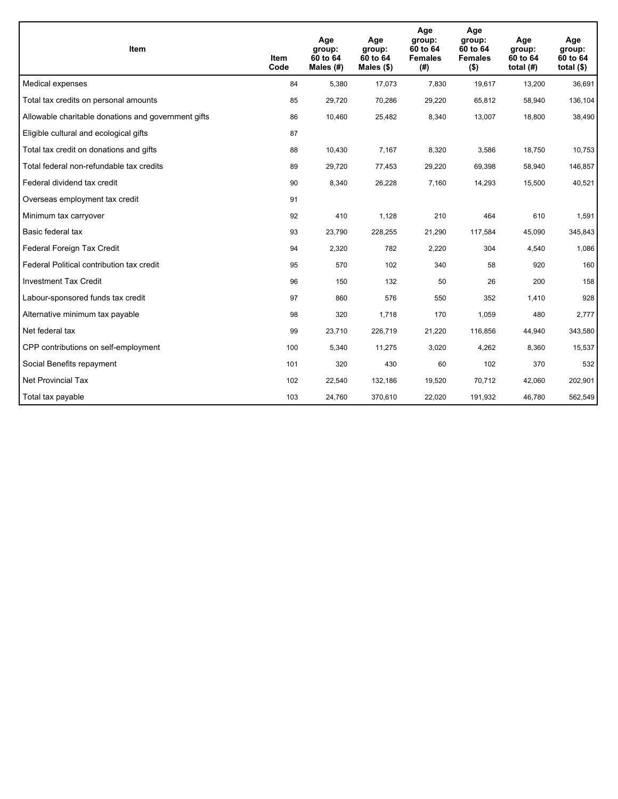| <b>Item</b>                                         | Item<br>Code | Age<br>group:<br>60 to 64<br>Males $(H)$ | Age<br>group:<br>60 to 64<br>Males $(\$)$ | Age<br>group:<br>60 to 64<br><b>Females</b><br>(#) | Age<br>group:<br>60 to 64<br><b>Females</b><br>$($ \$) | Age<br>group:<br>60 to 64<br>total $(H)$ | Age<br>group:<br>60 to 64<br>total $($)$ |
|-----------------------------------------------------|--------------|------------------------------------------|-------------------------------------------|----------------------------------------------------|--------------------------------------------------------|------------------------------------------|------------------------------------------|
| Medical expenses                                    | 84           | 5,380                                    | 17,073                                    | 7,830                                              | 19,617                                                 | 13,200                                   | 36,691                                   |
| Total tax credits on personal amounts               | 85           | 29,720                                   | 70,286                                    | 29,220                                             | 65,812                                                 | 58,940                                   | 136,104                                  |
| Allowable charitable donations and government gifts | 86           | 10,460                                   | 25,482                                    | 8,340                                              | 13,007                                                 | 18,800                                   | 38,490                                   |
| Eligible cultural and ecological gifts              | 87           |                                          |                                           |                                                    |                                                        |                                          |                                          |
| Total tax credit on donations and gifts             | 88           | 10,430                                   | 7,167                                     | 8,320                                              | 3,586                                                  | 18,750                                   | 10,753                                   |
| Total federal non-refundable tax credits            | 89           | 29,720                                   | 77,453                                    | 29,220                                             | 69,398                                                 | 58,940                                   | 146,857                                  |
| Federal dividend tax credit                         | 90           | 8,340                                    | 26,228                                    | 7,160                                              | 14,293                                                 | 15,500                                   | 40,521                                   |
| Overseas employment tax credit                      | 91           |                                          |                                           |                                                    |                                                        |                                          |                                          |
| Minimum tax carryover                               | 92           | 410                                      | 1,128                                     | 210                                                | 464                                                    | 610                                      | 1,591                                    |
| Basic federal tax                                   | 93           | 23,790                                   | 228,255                                   | 21,290                                             | 117,584                                                | 45,090                                   | 345,843                                  |
| Federal Foreign Tax Credit                          | 94           | 2,320                                    | 782                                       | 2,220                                              | 304                                                    | 4,540                                    | 1,086                                    |
| Federal Political contribution tax credit           | 95           | 570                                      | 102                                       | 340                                                | 58                                                     | 920                                      | 160                                      |
| <b>Investment Tax Credit</b>                        | 96           | 150                                      | 132                                       | 50                                                 | 26                                                     | 200                                      | 158                                      |
| Labour-sponsored funds tax credit                   | 97           | 860                                      | 576                                       | 550                                                | 352                                                    | 1,410                                    | 928                                      |
| Alternative minimum tax payable                     | 98           | 320                                      | 1,718                                     | 170                                                | 1,059                                                  | 480                                      | 2,777                                    |
| Net federal tax                                     | 99           | 23,710                                   | 226,719                                   | 21,220                                             | 116,856                                                | 44,940                                   | 343,580                                  |
| CPP contributions on self-employment                | 100          | 5,340                                    | 11,275                                    | 3,020                                              | 4,262                                                  | 8,360                                    | 15,537                                   |
| Social Benefits repayment                           | 101          | 320                                      | 430                                       | 60                                                 | 102                                                    | 370                                      | 532                                      |
| <b>Net Provincial Tax</b>                           | 102          | 22,540                                   | 132,186                                   | 19,520                                             | 70.712                                                 | 42,060                                   | 202,901                                  |
| Total tax payable                                   | 103          | 24,760                                   | 370,610                                   | 22,020                                             | 191,932                                                | 46,780                                   | 562,549                                  |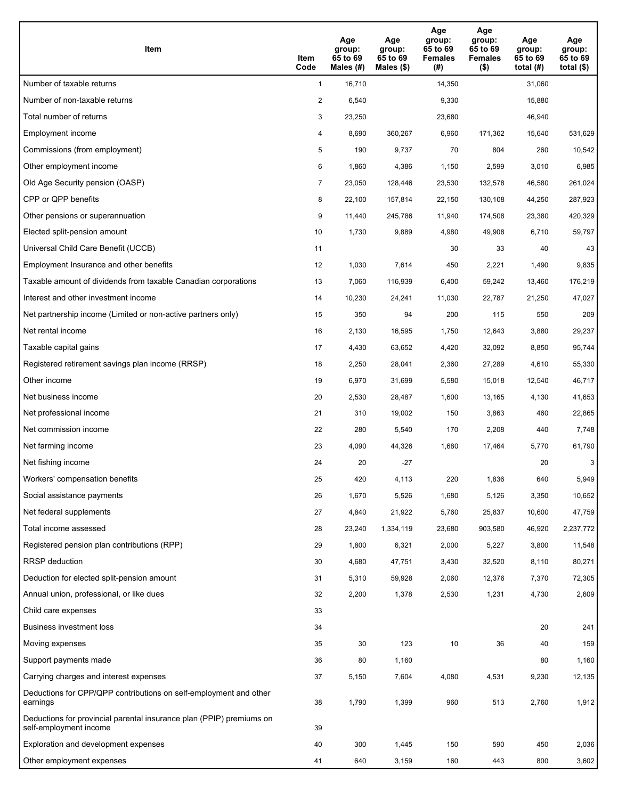| Item                                                                                           | Item<br>Code   | Age<br>group:<br>65 to 69<br>Males (#) | Age<br>group:<br>65 to 69<br>Males $(\$)$ | Age<br>group:<br>65 to 69<br><b>Females</b><br>(#) | Age<br>group:<br>65 to 69<br><b>Females</b><br>$($ \$) | Age<br>group:<br>65 to 69<br>total $(H)$ | Age<br>group:<br>65 to 69<br>total $($)$ |
|------------------------------------------------------------------------------------------------|----------------|----------------------------------------|-------------------------------------------|----------------------------------------------------|--------------------------------------------------------|------------------------------------------|------------------------------------------|
| Number of taxable returns                                                                      | $\mathbf{1}$   | 16,710                                 |                                           | 14,350                                             |                                                        | 31,060                                   |                                          |
| Number of non-taxable returns                                                                  | $\overline{2}$ | 6,540                                  |                                           | 9,330                                              |                                                        | 15,880                                   |                                          |
| Total number of returns                                                                        | 3              | 23,250                                 |                                           | 23,680                                             |                                                        | 46,940                                   |                                          |
| Employment income                                                                              | 4              | 8,690                                  | 360,267                                   | 6,960                                              | 171,362                                                | 15,640                                   | 531,629                                  |
| Commissions (from employment)                                                                  | 5              | 190                                    | 9,737                                     | 70                                                 | 804                                                    | 260                                      | 10,542                                   |
| Other employment income                                                                        | 6              | 1,860                                  | 4,386                                     | 1,150                                              | 2,599                                                  | 3,010                                    | 6,985                                    |
| Old Age Security pension (OASP)                                                                | 7              | 23,050                                 | 128,446                                   | 23,530                                             | 132,578                                                | 46,580                                   | 261,024                                  |
| CPP or QPP benefits                                                                            | 8              | 22,100                                 | 157,814                                   | 22,150                                             | 130,108                                                | 44,250                                   | 287,923                                  |
| Other pensions or superannuation                                                               | 9              | 11,440                                 | 245,786                                   | 11,940                                             | 174,508                                                | 23,380                                   | 420,329                                  |
| Elected split-pension amount                                                                   | 10             | 1,730                                  | 9,889                                     | 4,980                                              | 49,908                                                 | 6,710                                    | 59,797                                   |
| Universal Child Care Benefit (UCCB)                                                            | 11             |                                        |                                           | 30                                                 | 33                                                     | 40                                       | 43                                       |
| Employment Insurance and other benefits                                                        | 12             | 1,030                                  | 7,614                                     | 450                                                | 2,221                                                  | 1,490                                    | 9,835                                    |
| Taxable amount of dividends from taxable Canadian corporations                                 | 13             | 7,060                                  | 116,939                                   | 6,400                                              | 59,242                                                 | 13,460                                   | 176,219                                  |
| Interest and other investment income                                                           | 14             | 10,230                                 | 24,241                                    | 11,030                                             | 22,787                                                 | 21,250                                   | 47,027                                   |
| Net partnership income (Limited or non-active partners only)                                   | 15             | 350                                    | 94                                        | 200                                                | 115                                                    | 550                                      | 209                                      |
| Net rental income                                                                              | 16             | 2,130                                  | 16,595                                    | 1,750                                              | 12,643                                                 | 3,880                                    | 29,237                                   |
| Taxable capital gains                                                                          | 17             | 4,430                                  | 63,652                                    | 4,420                                              | 32,092                                                 | 8,850                                    | 95,744                                   |
| Registered retirement savings plan income (RRSP)                                               | 18             | 2,250                                  | 28,041                                    | 2,360                                              | 27,289                                                 | 4,610                                    | 55,330                                   |
| Other income                                                                                   | 19             | 6,970                                  | 31,699                                    | 5,580                                              | 15,018                                                 | 12,540                                   | 46,717                                   |
| Net business income                                                                            | 20             | 2,530                                  | 28,487                                    | 1,600                                              | 13,165                                                 | 4,130                                    | 41,653                                   |
| Net professional income                                                                        | 21             | 310                                    | 19,002                                    | 150                                                | 3,863                                                  | 460                                      | 22,865                                   |
| Net commission income                                                                          | 22             | 280                                    | 5,540                                     | 170                                                | 2,208                                                  | 440                                      | 7,748                                    |
| Net farming income                                                                             | 23             | 4,090                                  | 44,326                                    | 1,680                                              | 17,464                                                 | 5,770                                    | 61,790                                   |
| Net fishing income                                                                             | 24             | 20                                     | $-27$                                     |                                                    |                                                        | 20                                       | 3                                        |
| Workers' compensation benefits                                                                 | 25             | 420                                    | 4,113                                     | 220                                                | 1,836                                                  | 640                                      | 5,949                                    |
| Social assistance payments                                                                     | 26             | 1,670                                  | 5,526                                     | 1,680                                              | 5,126                                                  | 3,350                                    | 10,652                                   |
| Net federal supplements                                                                        | 27             | 4,840                                  | 21,922                                    | 5,760                                              | 25,837                                                 | 10,600                                   | 47,759                                   |
| Total income assessed                                                                          | 28             | 23,240                                 | 1,334,119                                 | 23,680                                             | 903,580                                                | 46,920                                   | 2,237,772                                |
| Registered pension plan contributions (RPP)                                                    | 29             | 1,800                                  | 6,321                                     | 2,000                                              | 5,227                                                  | 3,800                                    | 11,548                                   |
| RRSP deduction                                                                                 | 30             | 4,680                                  | 47,751                                    | 3,430                                              | 32,520                                                 | 8,110                                    | 80,271                                   |
| Deduction for elected split-pension amount                                                     | 31             | 5,310                                  | 59,928                                    | 2,060                                              | 12,376                                                 | 7,370                                    | 72,305                                   |
| Annual union, professional, or like dues                                                       | 32             | 2,200                                  | 1,378                                     | 2,530                                              | 1,231                                                  | 4,730                                    | 2,609                                    |
| Child care expenses                                                                            | 33             |                                        |                                           |                                                    |                                                        |                                          |                                          |
| Business investment loss                                                                       | 34             |                                        |                                           |                                                    |                                                        | 20                                       | 241                                      |
| Moving expenses                                                                                | 35             | 30                                     | 123                                       | 10                                                 | 36                                                     | 40                                       | 159                                      |
| Support payments made                                                                          | 36             | 80                                     | 1,160                                     |                                                    |                                                        | 80                                       | 1,160                                    |
| Carrying charges and interest expenses                                                         | 37             | 5,150                                  | 7,604                                     | 4,080                                              | 4,531                                                  | 9,230                                    | 12,135                                   |
| Deductions for CPP/QPP contributions on self-employment and other<br>earnings                  | 38             | 1,790                                  | 1,399                                     | 960                                                | 513                                                    | 2,760                                    | 1,912                                    |
| Deductions for provincial parental insurance plan (PPIP) premiums on<br>self-employment income | 39             |                                        |                                           |                                                    |                                                        |                                          |                                          |
| Exploration and development expenses                                                           | 40             | 300                                    | 1,445                                     | 150                                                | 590                                                    | 450                                      | 2,036                                    |
| Other employment expenses                                                                      | 41             | 640                                    | 3,159                                     | 160                                                | 443                                                    | 800                                      | 3,602                                    |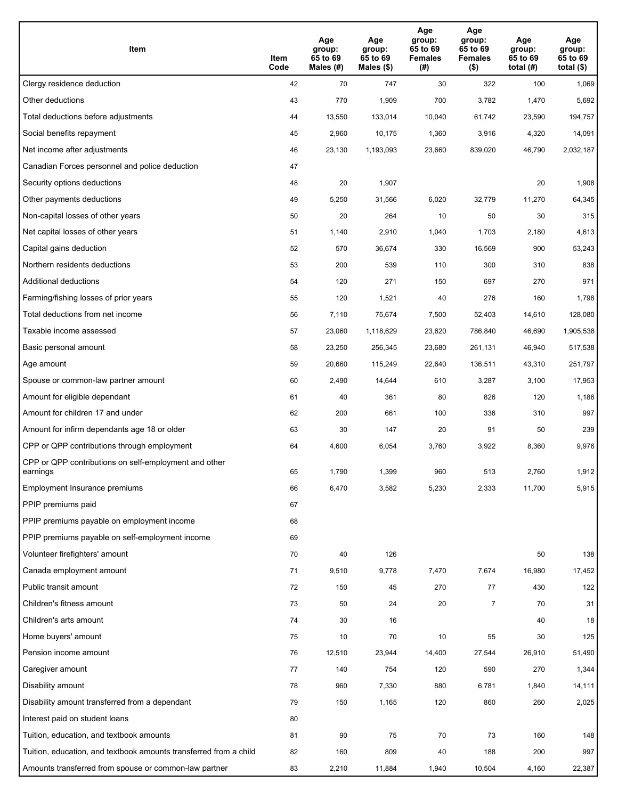| Item                                                              | Item<br>Code | Age<br>group:<br>65 to 69<br>Males (#) | Age<br>group:<br>65 to 69<br>Males (\$) | Age<br>group:<br>65 to 69<br><b>Females</b><br>(#) | Age<br>group:<br>65 to 69<br>Females<br>$($ \$) | Age<br>group:<br>65 to 69<br>total $(H)$ | Age<br>group:<br>65 to 69<br>total $($)$ |
|-------------------------------------------------------------------|--------------|----------------------------------------|-----------------------------------------|----------------------------------------------------|-------------------------------------------------|------------------------------------------|------------------------------------------|
| Clergy residence deduction                                        | 42           | 70                                     | 747                                     | 30                                                 | 322                                             | 100                                      | 1,069                                    |
| Other deductions                                                  | 43           | 770                                    | 1,909                                   | 700                                                | 3,782                                           | 1,470                                    | 5,692                                    |
| Total deductions before adjustments                               | 44           | 13,550                                 | 133,014                                 | 10,040                                             | 61,742                                          | 23,590                                   | 194,757                                  |
| Social benefits repayment                                         | 45           | 2,960                                  | 10,175                                  | 1,360                                              | 3,916                                           | 4,320                                    | 14,091                                   |
| Net income after adjustments                                      | 46           | 23,130                                 | 1,193,093                               | 23,660                                             | 839,020                                         | 46,790                                   | 2,032,187                                |
| Canadian Forces personnel and police deduction                    | 47           |                                        |                                         |                                                    |                                                 |                                          |                                          |
| Security options deductions                                       | 48           | 20                                     | 1,907                                   |                                                    |                                                 | 20                                       | 1,908                                    |
| Other payments deductions                                         | 49           | 5,250                                  | 31,566                                  | 6,020                                              | 32,779                                          | 11,270                                   | 64,345                                   |
| Non-capital losses of other years                                 | 50           | 20                                     | 264                                     | 10                                                 | 50                                              | 30                                       | 315                                      |
| Net capital losses of other years                                 | 51           | 1,140                                  | 2,910                                   | 1,040                                              | 1,703                                           | 2,180                                    | 4,613                                    |
| Capital gains deduction                                           | 52           | 570                                    | 36,674                                  | 330                                                | 16,569                                          | 900                                      | 53,243                                   |
| Northern residents deductions                                     | 53           | 200                                    | 539                                     | 110                                                | 300                                             | 310                                      | 838                                      |
| Additional deductions                                             | 54           | 120                                    | 271                                     | 150                                                | 697                                             | 270                                      | 971                                      |
| Farming/fishing losses of prior years                             | 55           | 120                                    | 1,521                                   | 40                                                 | 276                                             | 160                                      | 1,798                                    |
| Total deductions from net income                                  | 56           | 7,110                                  | 75,674                                  | 7,500                                              | 52,403                                          | 14,610                                   | 128,080                                  |
| Taxable income assessed                                           | 57           | 23,060                                 | 1,118,629                               | 23,620                                             | 786,840                                         | 46,690                                   | 1,905,538                                |
| Basic personal amount                                             | 58           | 23,250                                 | 256,345                                 | 23,680                                             | 261,131                                         | 46,940                                   | 517,538                                  |
| Age amount                                                        | 59           | 20,660                                 | 115,249                                 | 22,640                                             | 136,511                                         | 43,310                                   | 251,797                                  |
| Spouse or common-law partner amount                               | 60           | 2,490                                  | 14,644                                  | 610                                                | 3,287                                           | 3,100                                    | 17,953                                   |
| Amount for eligible dependant                                     | 61           | 40                                     | 361                                     | 80                                                 | 826                                             | 120                                      | 1,186                                    |
| Amount for children 17 and under                                  | 62           | 200                                    | 661                                     | 100                                                | 336                                             | 310                                      | 997                                      |
| Amount for infirm dependants age 18 or older                      | 63           | 30                                     | 147                                     | 20                                                 | 91                                              | 50                                       | 239                                      |
| CPP or QPP contributions through employment                       | 64           | 4,600                                  | 6,054                                   | 3,760                                              | 3,922                                           | 8,360                                    | 9,976                                    |
| CPP or QPP contributions on self-employment and other<br>earnings | 65           | 1,790                                  | 1,399                                   | 960                                                | 513                                             | 2,760                                    | 1,912                                    |
| Employment Insurance premiums                                     | 66           | 6,470                                  | 3,582                                   | 5,230                                              | 2,333                                           | 11,700                                   | 5,915                                    |
| PPIP premiums paid                                                | 67           |                                        |                                         |                                                    |                                                 |                                          |                                          |
| PPIP premiums payable on employment income                        | 68           |                                        |                                         |                                                    |                                                 |                                          |                                          |
| PPIP premiums payable on self-employment income                   | 69           |                                        |                                         |                                                    |                                                 |                                          |                                          |
| Volunteer firefighters' amount                                    | 70           | 40                                     | 126                                     |                                                    |                                                 | 50                                       | 138                                      |
| Canada employment amount                                          | 71           | 9,510                                  | 9,778                                   | 7,470                                              | 7,674                                           | 16,980                                   | 17,452                                   |
| Public transit amount                                             | 72           | 150                                    | 45                                      | 270                                                | 77                                              | 430                                      | 122                                      |
| Children's fitness amount                                         | 73           | 50                                     | 24                                      | 20                                                 | $\overline{7}$                                  | 70                                       | 31                                       |
| Children's arts amount                                            | 74           | 30                                     | 16                                      |                                                    |                                                 | 40                                       | 18                                       |
| Home buyers' amount                                               | 75           | 10                                     | 70                                      | 10                                                 | 55                                              | 30                                       | 125                                      |
| Pension income amount                                             | 76           | 12,510                                 | 23,944                                  | 14,400                                             | 27,544                                          | 26,910                                   | 51,490                                   |
| Caregiver amount                                                  | 77           | 140                                    | 754                                     | 120                                                | 590                                             | 270                                      | 1,344                                    |
| Disability amount                                                 | 78           | 960                                    | 7,330                                   | 880                                                | 6,781                                           | 1,840                                    | 14,111                                   |
| Disability amount transferred from a dependant                    | 79           | 150                                    | 1,165                                   | 120                                                | 860                                             | 260                                      | 2,025                                    |
| Interest paid on student loans                                    | 80           |                                        |                                         |                                                    |                                                 |                                          |                                          |
| Tuition, education, and textbook amounts                          | 81           | 90                                     | 75                                      | 70                                                 | 73                                              | 160                                      | 148                                      |
| Tuition, education, and textbook amounts transferred from a child | 82           | 160                                    | 809                                     | 40                                                 | 188                                             | 200                                      | 997                                      |
| Amounts transferred from spouse or common-law partner             | 83           | 2,210                                  | 11,884                                  | 1,940                                              | 10,504                                          | 4,160                                    | 22,387                                   |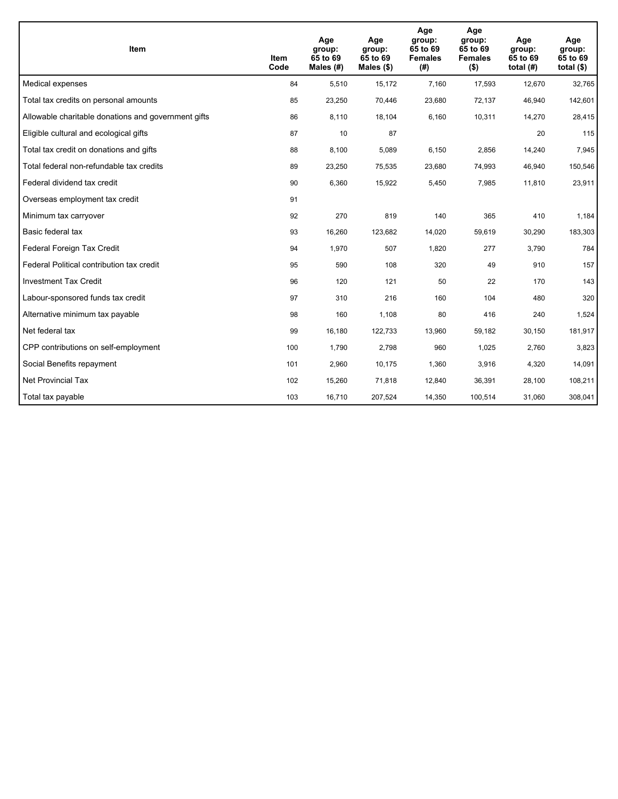| <b>Item</b>                                         | Item<br>Code | Age<br>group:<br>65 to 69<br>Males (#) | Age<br>group:<br>65 to 69<br>Males $(\$)$ | Age<br>group:<br>65 to 69<br><b>Females</b><br>(#) | Age<br>group:<br>65 to 69<br><b>Females</b><br>$($ \$) | Age<br>group:<br>65 to 69<br>total $(H)$ | Age<br>group:<br>65 to 69<br>total $($)$ |
|-----------------------------------------------------|--------------|----------------------------------------|-------------------------------------------|----------------------------------------------------|--------------------------------------------------------|------------------------------------------|------------------------------------------|
| Medical expenses                                    | 84           | 5,510                                  | 15,172                                    | 7,160                                              | 17,593                                                 | 12,670                                   | 32,765                                   |
| Total tax credits on personal amounts               | 85           | 23,250                                 | 70,446                                    | 23,680                                             | 72,137                                                 | 46,940                                   | 142,601                                  |
| Allowable charitable donations and government gifts | 86           | 8,110                                  | 18,104                                    | 6,160                                              | 10,311                                                 | 14,270                                   | 28,415                                   |
| Eligible cultural and ecological gifts              | 87           | 10                                     | 87                                        |                                                    |                                                        | 20                                       | 115                                      |
| Total tax credit on donations and gifts             | 88           | 8,100                                  | 5,089                                     | 6,150                                              | 2,856                                                  | 14,240                                   | 7,945                                    |
| Total federal non-refundable tax credits            | 89           | 23,250                                 | 75,535                                    | 23,680                                             | 74,993                                                 | 46,940                                   | 150,546                                  |
| Federal dividend tax credit                         | 90           | 6,360                                  | 15,922                                    | 5,450                                              | 7,985                                                  | 11,810                                   | 23,911                                   |
| Overseas employment tax credit                      | 91           |                                        |                                           |                                                    |                                                        |                                          |                                          |
| Minimum tax carryover                               | 92           | 270                                    | 819                                       | 140                                                | 365                                                    | 410                                      | 1,184                                    |
| Basic federal tax                                   | 93           | 16,260                                 | 123,682                                   | 14,020                                             | 59,619                                                 | 30,290                                   | 183,303                                  |
| Federal Foreign Tax Credit                          | 94           | 1,970                                  | 507                                       | 1,820                                              | 277                                                    | 3,790                                    | 784                                      |
| Federal Political contribution tax credit           | 95           | 590                                    | 108                                       | 320                                                | 49                                                     | 910                                      | 157                                      |
| <b>Investment Tax Credit</b>                        | 96           | 120                                    | 121                                       | 50                                                 | 22                                                     | 170                                      | 143                                      |
| Labour-sponsored funds tax credit                   | 97           | 310                                    | 216                                       | 160                                                | 104                                                    | 480                                      | 320                                      |
| Alternative minimum tax payable                     | 98           | 160                                    | 1.108                                     | 80                                                 | 416                                                    | 240                                      | 1,524                                    |
| Net federal tax                                     | 99           | 16,180                                 | 122,733                                   | 13,960                                             | 59,182                                                 | 30,150                                   | 181,917                                  |
| CPP contributions on self-employment                | 100          | 1,790                                  | 2,798                                     | 960                                                | 1,025                                                  | 2,760                                    | 3,823                                    |
| Social Benefits repayment                           | 101          | 2,960                                  | 10,175                                    | 1,360                                              | 3,916                                                  | 4,320                                    | 14,091                                   |
| <b>Net Provincial Tax</b>                           | 102          | 15,260                                 | 71,818                                    | 12,840                                             | 36,391                                                 | 28,100                                   | 108,211                                  |
| Total tax payable                                   | 103          | 16,710                                 | 207,524                                   | 14,350                                             | 100,514                                                | 31,060                                   | 308,041                                  |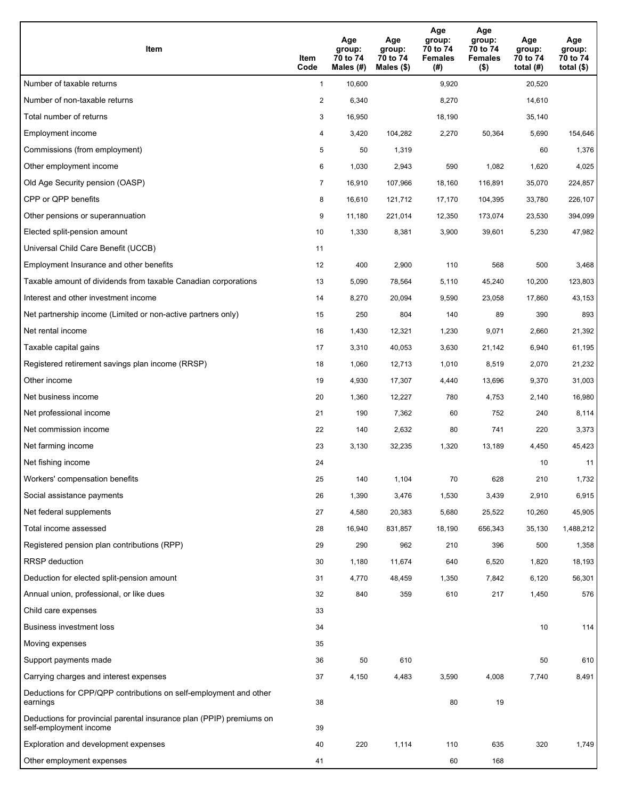| Item                                                                                           | Item<br>Code   | Age<br>group:<br>70 to 74<br>Males $(H)$ | Age<br>group:<br>70 to 74<br>Males (\$) | Age<br>group:<br>70 to 74<br><b>Females</b><br>(# ) | Age<br>group:<br>70 to 74<br><b>Females</b><br>$($ \$) | Age<br>group:<br>70 to 74<br>total $(H)$ | Age<br>group:<br>70 to 74<br>total $($ |
|------------------------------------------------------------------------------------------------|----------------|------------------------------------------|-----------------------------------------|-----------------------------------------------------|--------------------------------------------------------|------------------------------------------|----------------------------------------|
| Number of taxable returns                                                                      | $\mathbf{1}$   | 10,600                                   |                                         | 9,920                                               |                                                        | 20,520                                   |                                        |
| Number of non-taxable returns                                                                  | $\overline{2}$ | 6,340                                    |                                         | 8,270                                               |                                                        | 14,610                                   |                                        |
| Total number of returns                                                                        | 3              | 16,950                                   |                                         | 18,190                                              |                                                        | 35,140                                   |                                        |
| Employment income                                                                              | 4              | 3,420                                    | 104,282                                 | 2,270                                               | 50,364                                                 | 5,690                                    | 154,646                                |
| Commissions (from employment)                                                                  | 5              | 50                                       | 1,319                                   |                                                     |                                                        | 60                                       | 1,376                                  |
| Other employment income                                                                        | 6              | 1,030                                    | 2,943                                   | 590                                                 | 1,082                                                  | 1,620                                    | 4,025                                  |
| Old Age Security pension (OASP)                                                                | $\overline{7}$ | 16,910                                   | 107,966                                 | 18,160                                              | 116,891                                                | 35,070                                   | 224,857                                |
| CPP or QPP benefits                                                                            | 8              | 16,610                                   | 121,712                                 | 17,170                                              | 104,395                                                | 33,780                                   | 226,107                                |
| Other pensions or superannuation                                                               | 9              | 11,180                                   | 221,014                                 | 12,350                                              | 173,074                                                | 23,530                                   | 394,099                                |
| Elected split-pension amount                                                                   | 10             | 1,330                                    | 8,381                                   | 3,900                                               | 39,601                                                 | 5,230                                    | 47,982                                 |
| Universal Child Care Benefit (UCCB)                                                            | 11             |                                          |                                         |                                                     |                                                        |                                          |                                        |
| Employment Insurance and other benefits                                                        | 12             | 400                                      | 2,900                                   | 110                                                 | 568                                                    | 500                                      | 3,468                                  |
| Taxable amount of dividends from taxable Canadian corporations                                 | 13             | 5,090                                    | 78,564                                  | 5,110                                               | 45,240                                                 | 10,200                                   | 123,803                                |
| Interest and other investment income                                                           | 14             | 8,270                                    | 20,094                                  | 9,590                                               | 23,058                                                 | 17,860                                   | 43,153                                 |
| Net partnership income (Limited or non-active partners only)                                   | 15             | 250                                      | 804                                     | 140                                                 | 89                                                     | 390                                      | 893                                    |
| Net rental income                                                                              | 16             | 1,430                                    | 12,321                                  | 1,230                                               | 9,071                                                  | 2,660                                    | 21,392                                 |
| Taxable capital gains                                                                          | 17             | 3,310                                    | 40,053                                  | 3,630                                               | 21,142                                                 | 6,940                                    | 61,195                                 |
| Registered retirement savings plan income (RRSP)                                               | 18             | 1,060                                    | 12,713                                  | 1,010                                               | 8,519                                                  | 2,070                                    | 21,232                                 |
| Other income                                                                                   | 19             | 4,930                                    | 17,307                                  | 4,440                                               | 13,696                                                 | 9,370                                    | 31,003                                 |
| Net business income                                                                            | 20             | 1,360                                    | 12,227                                  | 780                                                 | 4,753                                                  | 2,140                                    | 16,980                                 |
| Net professional income                                                                        | 21             | 190                                      | 7,362                                   | 60                                                  | 752                                                    | 240                                      | 8,114                                  |
| Net commission income                                                                          | 22             | 140                                      | 2,632                                   | 80                                                  | 741                                                    | 220                                      | 3,373                                  |
| Net farming income                                                                             | 23             | 3,130                                    | 32,235                                  | 1,320                                               | 13,189                                                 | 4,450                                    | 45,423                                 |
| Net fishing income                                                                             | 24             |                                          |                                         |                                                     |                                                        | 10                                       | 11                                     |
| Workers' compensation benefits                                                                 | 25             | 140                                      | 1,104                                   | 70                                                  | 628                                                    | 210                                      | 1,732                                  |
| Social assistance payments                                                                     | 26             | 1,390                                    | 3,476                                   | 1,530                                               | 3,439                                                  | 2,910                                    | 6,915                                  |
| Net federal supplements                                                                        | 27             | 4,580                                    | 20,383                                  | 5,680                                               | 25,522                                                 | 10,260                                   | 45,905                                 |
| Total income assessed                                                                          | 28             | 16,940                                   | 831,857                                 | 18,190                                              | 656,343                                                | 35,130                                   | 1,488,212                              |
| Registered pension plan contributions (RPP)                                                    | 29             | 290                                      | 962                                     | 210                                                 | 396                                                    | 500                                      | 1,358                                  |
| <b>RRSP</b> deduction                                                                          | 30             | 1,180                                    | 11,674                                  | 640                                                 | 6,520                                                  | 1,820                                    | 18,193                                 |
| Deduction for elected split-pension amount                                                     | 31             | 4,770                                    | 48,459                                  | 1,350                                               | 7,842                                                  | 6,120                                    | 56,301                                 |
| Annual union, professional, or like dues                                                       | 32             | 840                                      | 359                                     | 610                                                 | 217                                                    | 1,450                                    | 576                                    |
| Child care expenses                                                                            | 33             |                                          |                                         |                                                     |                                                        |                                          |                                        |
| Business investment loss                                                                       | 34             |                                          |                                         |                                                     |                                                        | 10                                       | 114                                    |
| Moving expenses                                                                                | 35             |                                          |                                         |                                                     |                                                        |                                          |                                        |
| Support payments made                                                                          | 36             | 50                                       | 610                                     |                                                     |                                                        | 50                                       | 610                                    |
| Carrying charges and interest expenses                                                         | 37             | 4,150                                    | 4,483                                   | 3,590                                               | 4,008                                                  | 7,740                                    | 8,491                                  |
| Deductions for CPP/QPP contributions on self-employment and other<br>earnings                  | 38             |                                          |                                         | 80                                                  | 19                                                     |                                          |                                        |
| Deductions for provincial parental insurance plan (PPIP) premiums on<br>self-employment income | 39             |                                          |                                         |                                                     |                                                        |                                          |                                        |
| Exploration and development expenses                                                           | 40             | 220                                      | 1,114                                   | 110                                                 | 635                                                    | 320                                      | 1,749                                  |
| Other employment expenses                                                                      | 41             |                                          |                                         | 60                                                  | 168                                                    |                                          |                                        |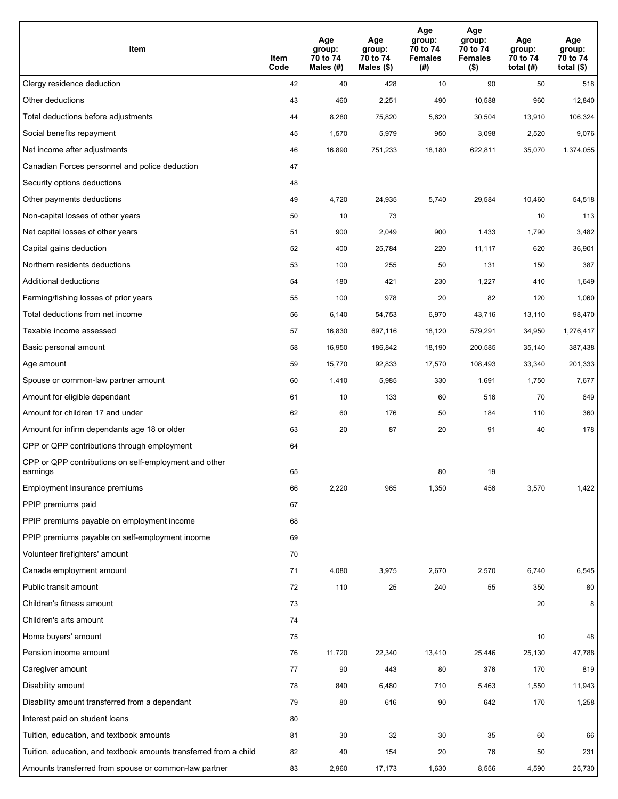| Item                                                              | Item<br>Code | Age<br>group:<br>70 to 74<br>Males (#) | Age<br>group:<br>70 to 74<br>Males (\$) | Age<br>group:<br>70 to 74<br><b>Females</b><br>(#) | Age<br>group:<br>70 to 74<br>Females<br>$($ \$) | Age<br>group:<br>70 to 74<br>total $(H)$ | Age<br>group:<br>70 to 74<br>total $($)$ |
|-------------------------------------------------------------------|--------------|----------------------------------------|-----------------------------------------|----------------------------------------------------|-------------------------------------------------|------------------------------------------|------------------------------------------|
| Clergy residence deduction                                        | 42           | 40                                     | 428                                     | 10                                                 | 90                                              | 50                                       | 518                                      |
| Other deductions                                                  | 43           | 460                                    | 2,251                                   | 490                                                | 10,588                                          | 960                                      | 12,840                                   |
| Total deductions before adjustments                               | 44           | 8,280                                  | 75,820                                  | 5,620                                              | 30,504                                          | 13,910                                   | 106,324                                  |
| Social benefits repayment                                         | 45           | 1,570                                  | 5,979                                   | 950                                                | 3,098                                           | 2,520                                    | 9,076                                    |
| Net income after adjustments                                      | 46           | 16,890                                 | 751,233                                 | 18,180                                             | 622,811                                         | 35,070                                   | 1,374,055                                |
| Canadian Forces personnel and police deduction                    | 47           |                                        |                                         |                                                    |                                                 |                                          |                                          |
| Security options deductions                                       | 48           |                                        |                                         |                                                    |                                                 |                                          |                                          |
| Other payments deductions                                         | 49           | 4,720                                  | 24,935                                  | 5,740                                              | 29,584                                          | 10,460                                   | 54,518                                   |
| Non-capital losses of other years                                 | 50           | 10                                     | 73                                      |                                                    |                                                 | 10                                       | 113                                      |
| Net capital losses of other years                                 | 51           | 900                                    | 2,049                                   | 900                                                | 1,433                                           | 1,790                                    | 3,482                                    |
| Capital gains deduction                                           | 52           | 400                                    | 25,784                                  | 220                                                | 11,117                                          | 620                                      | 36,901                                   |
| Northern residents deductions                                     | 53           | 100                                    | 255                                     | 50                                                 | 131                                             | 150                                      | 387                                      |
| Additional deductions                                             | 54           | 180                                    | 421                                     | 230                                                | 1,227                                           | 410                                      | 1,649                                    |
| Farming/fishing losses of prior years                             | 55           | 100                                    | 978                                     | 20                                                 | 82                                              | 120                                      | 1,060                                    |
| Total deductions from net income                                  | 56           | 6,140                                  | 54,753                                  | 6,970                                              | 43,716                                          | 13,110                                   | 98,470                                   |
| Taxable income assessed                                           | 57           | 16,830                                 | 697,116                                 | 18,120                                             | 579,291                                         | 34,950                                   | 1,276,417                                |
| Basic personal amount                                             | 58           | 16,950                                 | 186,842                                 | 18,190                                             | 200,585                                         | 35,140                                   | 387,438                                  |
| Age amount                                                        | 59           | 15,770                                 | 92,833                                  | 17,570                                             | 108,493                                         | 33,340                                   | 201,333                                  |
| Spouse or common-law partner amount                               | 60           | 1,410                                  | 5,985                                   | 330                                                | 1,691                                           | 1,750                                    | 7,677                                    |
| Amount for eligible dependant                                     | 61           | 10                                     | 133                                     | 60                                                 | 516                                             | 70                                       | 649                                      |
| Amount for children 17 and under                                  | 62           | 60                                     | 176                                     | 50                                                 | 184                                             | 110                                      | 360                                      |
| Amount for infirm dependants age 18 or older                      | 63           | 20                                     | 87                                      | 20                                                 | 91                                              | 40                                       | 178                                      |
| CPP or QPP contributions through employment                       | 64           |                                        |                                         |                                                    |                                                 |                                          |                                          |
| CPP or QPP contributions on self-employment and other<br>earnings | 65           |                                        |                                         | 80                                                 | 19                                              |                                          |                                          |
| Employment Insurance premiums                                     | 66           | 2,220                                  | 965                                     | 1,350                                              | 456                                             | 3,570                                    | 1,422                                    |
| PPIP premiums paid                                                | 67           |                                        |                                         |                                                    |                                                 |                                          |                                          |
| PPIP premiums payable on employment income                        | 68           |                                        |                                         |                                                    |                                                 |                                          |                                          |
| PPIP premiums payable on self-employment income                   | 69           |                                        |                                         |                                                    |                                                 |                                          |                                          |
| Volunteer firefighters' amount                                    | 70           |                                        |                                         |                                                    |                                                 |                                          |                                          |
| Canada employment amount                                          | 71           | 4,080                                  | 3,975                                   | 2,670                                              | 2,570                                           | 6,740                                    | 6,545                                    |
| Public transit amount                                             | 72           | 110                                    | 25                                      | 240                                                | 55                                              | 350                                      | 80                                       |
| Children's fitness amount                                         | 73           |                                        |                                         |                                                    |                                                 | 20                                       | 8                                        |
| Children's arts amount                                            | 74           |                                        |                                         |                                                    |                                                 |                                          |                                          |
| Home buyers' amount                                               | 75           |                                        |                                         |                                                    |                                                 | 10                                       | 48                                       |
| Pension income amount                                             | 76           | 11,720                                 | 22,340                                  | 13,410                                             | 25,446                                          | 25,130                                   | 47,788                                   |
| Caregiver amount                                                  | 77           | 90                                     | 443                                     | 80                                                 | 376                                             | 170                                      | 819                                      |
| Disability amount                                                 | 78           | 840                                    | 6,480                                   | 710                                                | 5,463                                           | 1,550                                    | 11,943                                   |
| Disability amount transferred from a dependant                    | 79           | 80                                     | 616                                     | 90                                                 | 642                                             | 170                                      | 1,258                                    |
| Interest paid on student loans                                    | 80           |                                        |                                         |                                                    |                                                 |                                          |                                          |
| Tuition, education, and textbook amounts                          | 81           | 30                                     | 32                                      | 30                                                 | 35                                              | 60                                       | 66                                       |
| Tuition, education, and textbook amounts transferred from a child | 82           | 40                                     | 154                                     | 20                                                 | 76                                              | 50                                       | 231                                      |
| Amounts transferred from spouse or common-law partner             | 83           | 2,960                                  | 17,173                                  | 1,630                                              | 8,556                                           | 4,590                                    | 25,730                                   |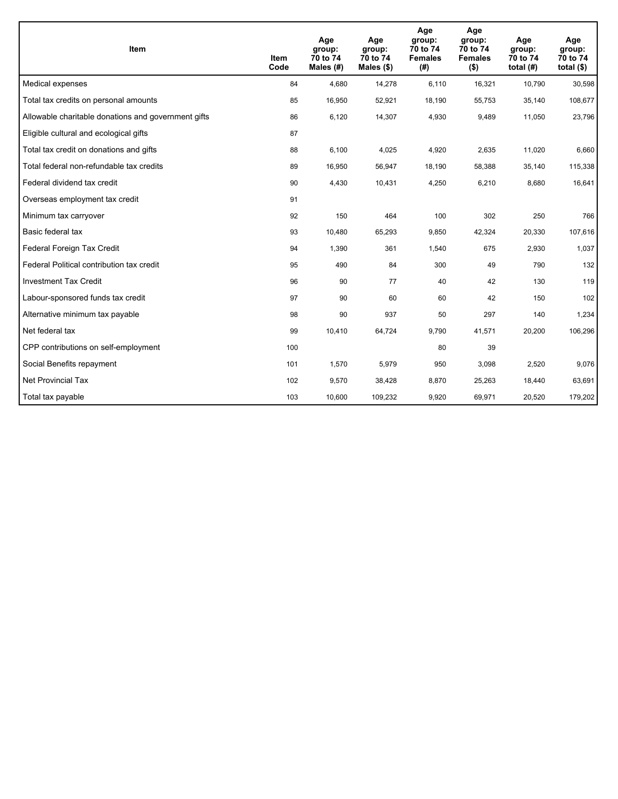| <b>Item</b>                                         | Item<br>Code | Age<br>group:<br>70 to 74<br>Males (#) | Age<br>group:<br>70 to 74<br>Males $(\$)$ | Age<br>group:<br>70 to 74<br><b>Females</b><br>(#) | Age<br>group:<br>70 to 74<br><b>Females</b><br>$($ \$) | Age<br>group:<br>70 to 74<br>total $(H)$ | Age<br>group:<br>70 to 74<br>total $($)$ |
|-----------------------------------------------------|--------------|----------------------------------------|-------------------------------------------|----------------------------------------------------|--------------------------------------------------------|------------------------------------------|------------------------------------------|
| Medical expenses                                    | 84           | 4,680                                  | 14,278                                    | 6,110                                              | 16,321                                                 | 10,790                                   | 30,598                                   |
| Total tax credits on personal amounts               | 85           | 16,950                                 | 52,921                                    | 18,190                                             | 55,753                                                 | 35,140                                   | 108,677                                  |
| Allowable charitable donations and government gifts | 86           | 6,120                                  | 14,307                                    | 4,930                                              | 9,489                                                  | 11,050                                   | 23,796                                   |
| Eligible cultural and ecological gifts              | 87           |                                        |                                           |                                                    |                                                        |                                          |                                          |
| Total tax credit on donations and gifts             | 88           | 6,100                                  | 4,025                                     | 4,920                                              | 2,635                                                  | 11,020                                   | 6,660                                    |
| Total federal non-refundable tax credits            | 89           | 16,950                                 | 56,947                                    | 18,190                                             | 58,388                                                 | 35,140                                   | 115,338                                  |
| Federal dividend tax credit                         | 90           | 4,430                                  | 10,431                                    | 4,250                                              | 6,210                                                  | 8,680                                    | 16,641                                   |
| Overseas employment tax credit                      | 91           |                                        |                                           |                                                    |                                                        |                                          |                                          |
| Minimum tax carryover                               | 92           | 150                                    | 464                                       | 100                                                | 302                                                    | 250                                      | 766                                      |
| Basic federal tax                                   | 93           | 10,480                                 | 65,293                                    | 9,850                                              | 42,324                                                 | 20,330                                   | 107,616                                  |
| Federal Foreign Tax Credit                          | 94           | 1,390                                  | 361                                       | 1,540                                              | 675                                                    | 2,930                                    | 1,037                                    |
| Federal Political contribution tax credit           | 95           | 490                                    | 84                                        | 300                                                | 49                                                     | 790                                      | 132                                      |
| <b>Investment Tax Credit</b>                        | 96           | 90                                     | 77                                        | 40                                                 | 42                                                     | 130                                      | 119                                      |
| Labour-sponsored funds tax credit                   | 97           | 90                                     | 60                                        | 60                                                 | 42                                                     | 150                                      | 102                                      |
| Alternative minimum tax payable                     | 98           | 90                                     | 937                                       | 50                                                 | 297                                                    | 140                                      | 1,234                                    |
| Net federal tax                                     | 99           | 10,410                                 | 64,724                                    | 9,790                                              | 41,571                                                 | 20,200                                   | 106,296                                  |
| CPP contributions on self-employment                | 100          |                                        |                                           | 80                                                 | 39                                                     |                                          |                                          |
| Social Benefits repayment                           | 101          | 1,570                                  | 5,979                                     | 950                                                | 3,098                                                  | 2,520                                    | 9,076                                    |
| <b>Net Provincial Tax</b>                           | 102          | 9,570                                  | 38,428                                    | 8,870                                              | 25,263                                                 | 18,440                                   | 63,691                                   |
| Total tax payable                                   | 103          | 10,600                                 | 109,232                                   | 9,920                                              | 69,971                                                 | 20,520                                   | 179,202                                  |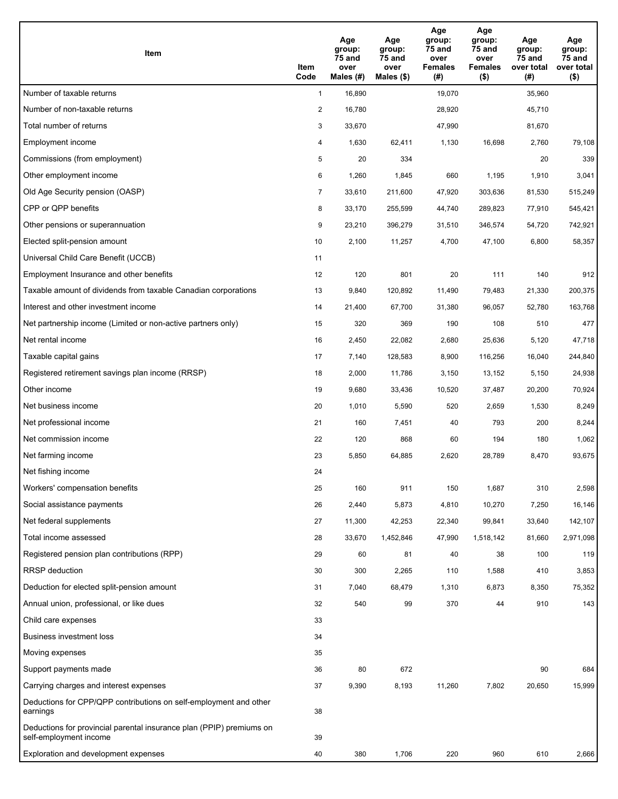| Item                                                                                           | Item<br>Code   | Age<br>group:<br>75 and<br>over<br>Males $(H)$ | Age<br>group:<br>75 and<br>over<br>Males $(\$)$ | Age<br>group:<br>75 and<br>over<br><b>Females</b><br>(# ) | Age<br>group:<br>75 and<br>over<br><b>Females</b><br>$($ \$) | Age<br>group:<br>75 and<br>over total<br>(#) | Age<br>group:<br>75 and<br>over total<br>$($ \$) |
|------------------------------------------------------------------------------------------------|----------------|------------------------------------------------|-------------------------------------------------|-----------------------------------------------------------|--------------------------------------------------------------|----------------------------------------------|--------------------------------------------------|
| Number of taxable returns                                                                      | $\mathbf{1}$   | 16,890                                         |                                                 | 19,070                                                    |                                                              | 35,960                                       |                                                  |
| Number of non-taxable returns                                                                  | $\overline{2}$ | 16,780                                         |                                                 | 28,920                                                    |                                                              | 45,710                                       |                                                  |
| Total number of returns                                                                        | 3              | 33,670                                         |                                                 | 47,990                                                    |                                                              | 81,670                                       |                                                  |
| Employment income                                                                              | 4              | 1,630                                          | 62,411                                          | 1,130                                                     | 16,698                                                       | 2,760                                        | 79,108                                           |
| Commissions (from employment)                                                                  | 5              | 20                                             | 334                                             |                                                           |                                                              | 20                                           | 339                                              |
| Other employment income                                                                        | 6              | 1,260                                          | 1,845                                           | 660                                                       | 1,195                                                        | 1,910                                        | 3,041                                            |
| Old Age Security pension (OASP)                                                                | $\overline{7}$ | 33,610                                         | 211,600                                         | 47,920                                                    | 303,636                                                      | 81,530                                       | 515,249                                          |
| CPP or QPP benefits                                                                            | 8              | 33,170                                         | 255,599                                         | 44,740                                                    | 289,823                                                      | 77,910                                       | 545,421                                          |
| Other pensions or superannuation                                                               | 9              | 23,210                                         | 396,279                                         | 31,510                                                    | 346,574                                                      | 54,720                                       | 742,921                                          |
| Elected split-pension amount                                                                   | 10             | 2,100                                          | 11,257                                          | 4,700                                                     | 47,100                                                       | 6,800                                        | 58,357                                           |
| Universal Child Care Benefit (UCCB)                                                            | 11             |                                                |                                                 |                                                           |                                                              |                                              |                                                  |
| Employment Insurance and other benefits                                                        | 12             | 120                                            | 801                                             | 20                                                        | 111                                                          | 140                                          | 912                                              |
| Taxable amount of dividends from taxable Canadian corporations                                 | 13             | 9,840                                          | 120,892                                         | 11,490                                                    | 79,483                                                       | 21,330                                       | 200,375                                          |
| Interest and other investment income                                                           | 14             | 21,400                                         | 67,700                                          | 31,380                                                    | 96,057                                                       | 52,780                                       | 163,768                                          |
| Net partnership income (Limited or non-active partners only)                                   | 15             | 320                                            | 369                                             | 190                                                       | 108                                                          | 510                                          | 477                                              |
| Net rental income                                                                              | 16             | 2,450                                          | 22,082                                          | 2,680                                                     | 25,636                                                       | 5,120                                        | 47,718                                           |
| Taxable capital gains                                                                          | 17             | 7,140                                          | 128,583                                         | 8,900                                                     | 116,256                                                      | 16,040                                       | 244,840                                          |
| Registered retirement savings plan income (RRSP)                                               | 18             | 2,000                                          | 11,786                                          | 3,150                                                     | 13,152                                                       | 5,150                                        | 24,938                                           |
| Other income                                                                                   | 19             | 9,680                                          | 33,436                                          | 10,520                                                    | 37,487                                                       | 20,200                                       | 70,924                                           |
| Net business income                                                                            | 20             | 1,010                                          | 5,590                                           | 520                                                       | 2,659                                                        | 1,530                                        | 8,249                                            |
| Net professional income                                                                        | 21             | 160                                            | 7,451                                           | 40                                                        | 793                                                          | 200                                          | 8,244                                            |
| Net commission income                                                                          | 22             | 120                                            | 868                                             | 60                                                        | 194                                                          | 180                                          | 1,062                                            |
| Net farming income                                                                             | 23             | 5,850                                          | 64,885                                          | 2,620                                                     | 28,789                                                       | 8,470                                        | 93,675                                           |
| Net fishing income                                                                             | 24             |                                                |                                                 |                                                           |                                                              |                                              |                                                  |
| Workers' compensation benefits                                                                 | 25             | 160                                            | 911                                             | 150                                                       | 1,687                                                        | 310                                          | 2,598                                            |
| Social assistance payments                                                                     | 26             | 2,440                                          | 5,873                                           | 4,810                                                     | 10,270                                                       | 7,250                                        | 16,146                                           |
| Net federal supplements                                                                        | 27             | 11,300                                         | 42,253                                          | 22,340                                                    | 99,841                                                       | 33,640                                       | 142,107                                          |
| Total income assessed                                                                          | 28             | 33,670                                         | 1,452,846                                       | 47,990                                                    | 1,518,142                                                    | 81,660                                       | 2,971,098                                        |
| Registered pension plan contributions (RPP)                                                    | 29             | 60                                             | 81                                              | 40                                                        | 38                                                           | 100                                          | 119                                              |
| <b>RRSP</b> deduction                                                                          | 30             | 300                                            | 2,265                                           | 110                                                       | 1,588                                                        | 410                                          | 3,853                                            |
| Deduction for elected split-pension amount                                                     | 31             | 7,040                                          | 68,479                                          | 1,310                                                     | 6,873                                                        | 8,350                                        | 75,352                                           |
| Annual union, professional, or like dues                                                       | 32             | 540                                            | 99                                              | 370                                                       | 44                                                           | 910                                          | 143                                              |
| Child care expenses                                                                            | 33             |                                                |                                                 |                                                           |                                                              |                                              |                                                  |
| <b>Business investment loss</b>                                                                | 34             |                                                |                                                 |                                                           |                                                              |                                              |                                                  |
| Moving expenses                                                                                | 35             |                                                |                                                 |                                                           |                                                              |                                              |                                                  |
| Support payments made                                                                          | 36             | 80                                             | 672                                             |                                                           |                                                              | 90                                           | 684                                              |
| Carrying charges and interest expenses                                                         | 37             | 9,390                                          | 8,193                                           | 11,260                                                    | 7,802                                                        | 20,650                                       | 15,999                                           |
| Deductions for CPP/QPP contributions on self-employment and other<br>earnings                  | 38             |                                                |                                                 |                                                           |                                                              |                                              |                                                  |
| Deductions for provincial parental insurance plan (PPIP) premiums on<br>self-employment income | 39             |                                                |                                                 |                                                           |                                                              |                                              |                                                  |
| Exploration and development expenses                                                           | 40             | 380                                            | 1,706                                           | 220                                                       | 960                                                          | 610                                          | 2,666                                            |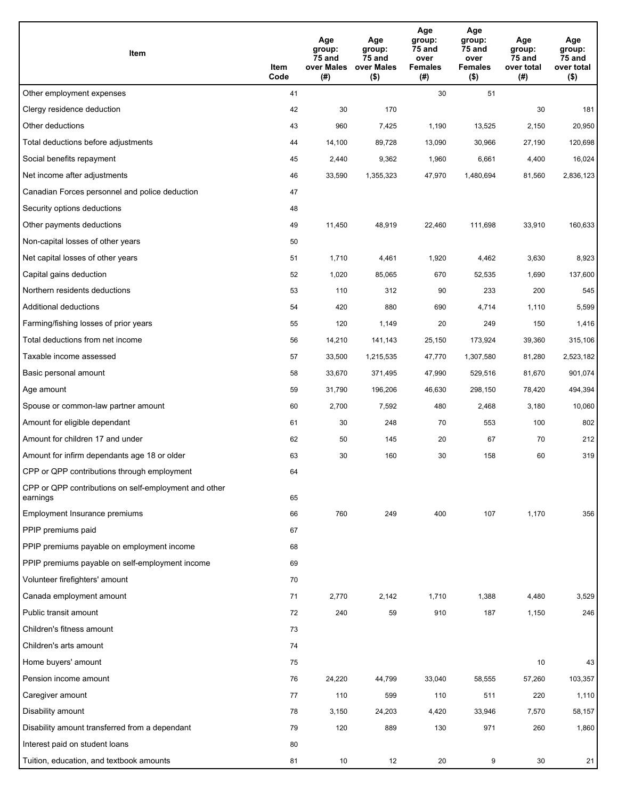| Item                                                              | Item<br>Code | Age<br>group:<br>75 and<br>over Males<br>(#) | Age<br>group:<br>75 and<br>over Males<br>$($ \$) | Age<br>group:<br>75 and<br>over<br>Females<br>(#) | Age<br>group:<br>75 and<br>over<br><b>Females</b><br>$($ \$) | Age<br>group:<br>75 and<br>over total<br>(#) | Age<br>group:<br>75 and<br>over total<br>$($ \$) |
|-------------------------------------------------------------------|--------------|----------------------------------------------|--------------------------------------------------|---------------------------------------------------|--------------------------------------------------------------|----------------------------------------------|--------------------------------------------------|
| Other employment expenses                                         | 41           |                                              |                                                  | 30                                                | 51                                                           |                                              |                                                  |
| Clergy residence deduction                                        | 42           | 30                                           | 170                                              |                                                   |                                                              | 30                                           | 181                                              |
| Other deductions                                                  | 43           | 960                                          | 7,425                                            | 1,190                                             | 13,525                                                       | 2,150                                        | 20,950                                           |
| Total deductions before adjustments                               | 44           | 14,100                                       | 89,728                                           | 13,090                                            | 30,966                                                       | 27,190                                       | 120,698                                          |
| Social benefits repayment                                         | 45           | 2,440                                        | 9,362                                            | 1,960                                             | 6,661                                                        | 4,400                                        | 16,024                                           |
| Net income after adjustments                                      | 46           | 33,590                                       | 1,355,323                                        | 47,970                                            | 1,480,694                                                    | 81,560                                       | 2,836,123                                        |
| Canadian Forces personnel and police deduction                    | 47           |                                              |                                                  |                                                   |                                                              |                                              |                                                  |
| Security options deductions                                       | 48           |                                              |                                                  |                                                   |                                                              |                                              |                                                  |
| Other payments deductions                                         | 49           | 11,450                                       | 48,919                                           | 22,460                                            | 111,698                                                      | 33,910                                       | 160,633                                          |
| Non-capital losses of other years                                 | 50           |                                              |                                                  |                                                   |                                                              |                                              |                                                  |
| Net capital losses of other years                                 | 51           | 1,710                                        | 4,461                                            | 1,920                                             | 4,462                                                        | 3,630                                        | 8,923                                            |
| Capital gains deduction                                           | 52           | 1,020                                        | 85,065                                           | 670                                               | 52,535                                                       | 1,690                                        | 137,600                                          |
| Northern residents deductions                                     | 53           | 110                                          | 312                                              | 90                                                | 233                                                          | 200                                          | 545                                              |
| Additional deductions                                             | 54           | 420                                          | 880                                              | 690                                               | 4,714                                                        | 1,110                                        | 5,599                                            |
| Farming/fishing losses of prior years                             | 55           | 120                                          | 1,149                                            | 20                                                | 249                                                          | 150                                          | 1,416                                            |
| Total deductions from net income                                  | 56           | 14,210                                       | 141,143                                          | 25,150                                            | 173,924                                                      | 39,360                                       | 315,106                                          |
| Taxable income assessed                                           | 57           | 33,500                                       | 1,215,535                                        | 47,770                                            | 1,307,580                                                    | 81,280                                       | 2,523,182                                        |
| Basic personal amount                                             | 58           | 33,670                                       | 371,495                                          | 47,990                                            | 529,516                                                      | 81,670                                       | 901,074                                          |
| Age amount                                                        | 59           | 31,790                                       | 196,206                                          | 46,630                                            | 298,150                                                      | 78,420                                       | 494,394                                          |
| Spouse or common-law partner amount                               | 60           | 2,700                                        | 7,592                                            | 480                                               | 2,468                                                        | 3,180                                        | 10,060                                           |
| Amount for eligible dependant                                     | 61           | 30                                           | 248                                              | 70                                                | 553                                                          | 100                                          | 802                                              |
| Amount for children 17 and under                                  | 62           | 50                                           | 145                                              | 20                                                | 67                                                           | 70                                           | 212                                              |
| Amount for infirm dependants age 18 or older                      | 63           | 30                                           | 160                                              | 30                                                | 158                                                          | 60                                           | 319                                              |
| CPP or QPP contributions through employment                       | 64           |                                              |                                                  |                                                   |                                                              |                                              |                                                  |
| CPP or QPP contributions on self-employment and other<br>earnings | 65           |                                              |                                                  |                                                   |                                                              |                                              |                                                  |
| Employment Insurance premiums                                     | 66           | 760                                          | 249                                              | 400                                               | 107                                                          | 1,170                                        | 356                                              |
| PPIP premiums paid                                                | 67           |                                              |                                                  |                                                   |                                                              |                                              |                                                  |
| PPIP premiums payable on employment income                        | 68           |                                              |                                                  |                                                   |                                                              |                                              |                                                  |
| PPIP premiums payable on self-employment income                   | 69           |                                              |                                                  |                                                   |                                                              |                                              |                                                  |
| Volunteer firefighters' amount                                    | 70           |                                              |                                                  |                                                   |                                                              |                                              |                                                  |
| Canada employment amount                                          | 71           | 2,770                                        | 2,142                                            | 1,710                                             | 1,388                                                        | 4,480                                        | 3,529                                            |
| Public transit amount                                             | 72           | 240                                          | 59                                               | 910                                               | 187                                                          | 1,150                                        | 246                                              |
| Children's fitness amount                                         | 73           |                                              |                                                  |                                                   |                                                              |                                              |                                                  |
| Children's arts amount                                            | 74           |                                              |                                                  |                                                   |                                                              |                                              |                                                  |
| Home buyers' amount                                               | 75           |                                              |                                                  |                                                   |                                                              | 10                                           | 43                                               |
| Pension income amount                                             | 76           | 24,220                                       | 44,799                                           | 33,040                                            | 58,555                                                       | 57,260                                       | 103,357                                          |
| Caregiver amount                                                  | 77           | 110                                          | 599                                              | 110                                               | 511                                                          | 220                                          | 1,110                                            |
| Disability amount                                                 | 78           | 3,150                                        | 24,203                                           | 4,420                                             | 33,946                                                       | 7,570                                        | 58,157                                           |
| Disability amount transferred from a dependant                    | 79           | 120                                          | 889                                              | 130                                               | 971                                                          | 260                                          | 1,860                                            |
| Interest paid on student loans                                    | 80           |                                              |                                                  |                                                   |                                                              |                                              |                                                  |
| Tuition, education, and textbook amounts                          | 81           | 10                                           | 12                                               | 20                                                | 9                                                            | $30\,$                                       | 21                                               |